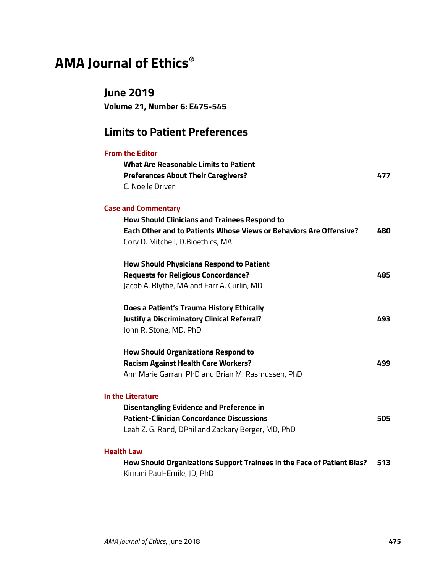# **AMA Journal of Ethics®**

## **June 2019**

**Volume 21, Number 6: E475-545**

# **Limits to Patient Preferences**

| LIIIILS LO PALIEIIL PIEIEIEIILES                                                                                                         |     |
|------------------------------------------------------------------------------------------------------------------------------------------|-----|
| <b>From the Editor</b><br><b>What Are Reasonable Limits to Patient</b><br><b>Preferences About Their Caregivers?</b><br>C. Noelle Driver | 477 |
| <b>Case and Commentary</b>                                                                                                               |     |
| <b>How Should Clinicians and Trainees Respond to</b>                                                                                     |     |
| Each Other and to Patients Whose Views or Behaviors Are Offensive?                                                                       | 480 |
| Cory D. Mitchell, D. Bioethics, MA                                                                                                       |     |
| <b>How Should Physicians Respond to Patient</b>                                                                                          |     |
| <b>Requests for Religious Concordance?</b>                                                                                               | 485 |
| Jacob A. Blythe, MA and Farr A. Curlin, MD                                                                                               |     |
| Does a Patient's Trauma History Ethically                                                                                                |     |
| <b>Justify a Discriminatory Clinical Referral?</b>                                                                                       | 493 |
| John R. Stone, MD, PhD                                                                                                                   |     |
| <b>How Should Organizations Respond to</b>                                                                                               |     |
| <b>Racism Against Health Care Workers?</b>                                                                                               | 499 |
| Ann Marie Garran, PhD and Brian M. Rasmussen, PhD                                                                                        |     |
| In the Literature                                                                                                                        |     |
| <b>Disentangling Evidence and Preference in</b>                                                                                          |     |
| <b>Patient-Clinician Concordance Discussions</b>                                                                                         | 505 |
| Leah Z. G. Rand, DPhil and Zackary Berger, MD, PhD                                                                                       |     |
| <b>Health Law</b>                                                                                                                        |     |
| How Should Organizations Support Trainees in the Face of Patient Bias?<br>Kimani Paul-Emile, JD, PhD                                     | 513 |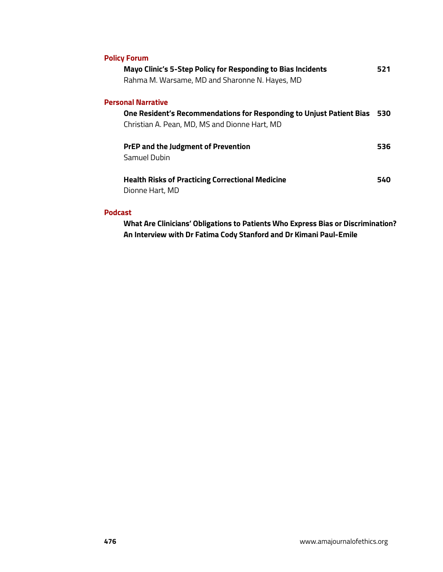## **Policy Forum**

| <b>Mayo Clinic's 5-Step Policy for Responding to Bias Incidents</b><br>Rahma M. Warsame, MD and Sharonne N. Hayes, MD | 521  |
|-----------------------------------------------------------------------------------------------------------------------|------|
| <b>Personal Narrative</b>                                                                                             |      |
| One Resident's Recommendations for Responding to Unjust Patient Bias                                                  | -530 |
| Christian A. Pean, MD, MS and Dionne Hart, MD                                                                         |      |
| <b>PrEP and the Judgment of Prevention</b>                                                                            | 536  |
| Samuel Dubin                                                                                                          |      |
| <b>Health Risks of Practicing Correctional Medicine</b><br>Dionne Hart, MD                                            | 540. |

## **Podcast**

**What Are Clinicians' Obligations to Patients Who Express Bias or Discrimination? An Interview with Dr Fatima Cody Stanford and Dr Kimani Paul-Emile**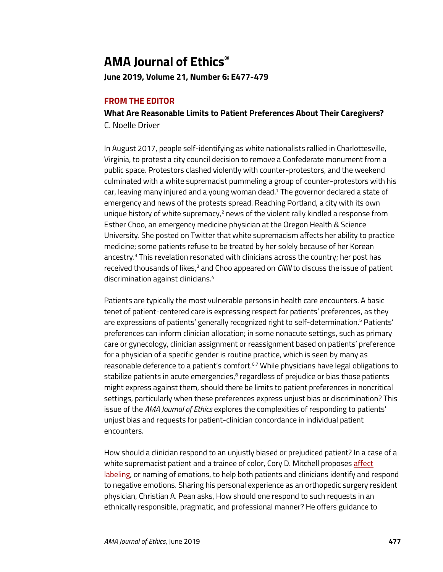# **AMA Journal of Ethics®**

**June 2019, Volume 21, Number 6: E477-479**

## **FROM THE EDITOR**

## **What Are Reasonable Limits to Patient Preferences About Their Caregivers?** C. Noelle Driver

In August 2017, people self-identifying as white nationalists rallied in Charlottesville, Virginia, to protest a city council decision to remove a Confederate monument from a public space. Protestors clashed violently with counter-protestors, and the weekend culminated with a white supremacist pummeling a group of counter-protestors with his car, leaving many injured and a young woman dead.<sup>1</sup> The governor declared a state of emergency and news of the protests spread. Reaching Portland, a city with its own unique history of white supremacy, $2$  news of the violent rally kindled a response from Esther Choo, an emergency medicine physician at the Oregon Health & Science University. She posted on Twitter that white supremacism affects her ability to practice medicine; some patients refuse to be treated by her solely because of her Korean ancestry. $3$  This revelation resonated with clinicians across the country; her post has received thousands of likes,<sup>3</sup> and Choo appeared on *CNN* to discuss the issue of patient discrimination against clinicians.4

Patients are typically the most vulnerable persons in health care encounters. A basic tenet of patient-centered care is expressing respect for patients' preferences, as they are expressions of patients' generally recognized right to self-determination.<sup>5</sup> Patients' preferences can inform clinician allocation; in some nonacute settings, such as primary care or gynecology, clinician assignment or reassignment based on patients' preference for a physician of a specific gender is routine practice, which is seen by many as reasonable deference to a patient's comfort.<sup>6,7</sup> While physicians have legal obligations to stabilize patients in acute emergencies, $<sup>8</sup>$  regardless of prejudice or bias those patients</sup> might express against them, should there be limits to patient preferences in noncritical settings, particularly when these preferences express unjust bias or discrimination? This issue of the *AMA Journal of Ethics* explores the complexities of responding to patients' unjust bias and requests for patient-clinician concordance in individual patient encounters.

How should a clinician respond to an unjustly biased or prejudiced patient? In a case of a white supremacist patient and a trainee of color, Cory D. Mitchell proposes affect [labeling,](https://journalofethics.ama-assn.org/article/how-should-clinicians-and-trainees-respond-each-other-and-patients-whose-views-or-behaviors-are/2019-06) or naming of emotions, to help both patients and clinicians identify and respond to negative emotions. Sharing his personal experience as an orthopedic surgery resident physician, Christian A. Pean asks, How should one respond to such requests in an ethnically responsible, pragmatic, and professional manner? He offers guidance to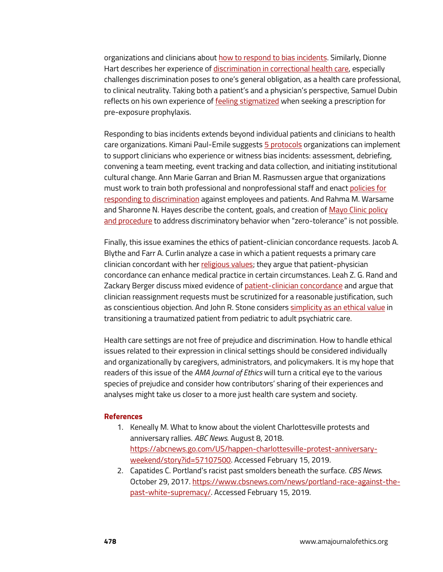organizations and clinicians about [how to respond to bias incidents.](https://journalofethics.ama-assn.org/article/one-residents-recommendations-responding-unjust-patient-bias/2019-06) Similarly, Dionne Hart describes her experience of [discrimination in correctional health care,](https://journalofethics.ama-assn.org/article/health-risks-practicing-correctional-medicine/2019-06) especially challenges discrimination poses to one's general obligation, as a health care professional, to clinical neutrality. Taking both a patient's and a physician's perspective, Samuel Dubin reflects on his own experience of **feeling stigmatized** when seeking a prescription for pre-exposure prophylaxis.

Responding to bias incidents extends beyond individual patients and clinicians to health care organizations. Kimani Paul-Emile suggest[s 5 protocols](https://journalofethics.ama-assn.org/article/how-should-organizations-support-trainees-face-patient-bias/2019-06) organizations can implement to support clinicians who experience or witness bias incidents: assessment, debriefing, convening a team meeting, event tracking and data collection, and initiating institutional cultural change. Ann Marie Garran and Brian M. Rasmussen argue that organizations must work to train both professional and nonprofessional staff and enact [policies for](https://journalofethics.ama-assn.org/article/how-should-organizations-respond-racism-against-health-care-workers/2019-06) [responding to discrimination](https://journalofethics.ama-assn.org/article/how-should-organizations-respond-racism-against-health-care-workers/2019-06) against employees and patients. And Rahma M. Warsame and Sharonne N. Hayes describe the content, goals, and creation o[f Mayo Clinic policy](https://journalofethics.ama-assn.org/article/mayo-clinics-5-step-policy-responding-bias-incidents/2019-06)  [and procedure](https://journalofethics.ama-assn.org/article/mayo-clinics-5-step-policy-responding-bias-incidents/2019-06) to address discriminatory behavior when "zero-tolerance" is not possible.

Finally, this issue examines the ethics of patient-clinician concordance requests. Jacob A. Blythe and Farr A. Curlin analyze a case in which a patient requests a primary care clinician concordant with her [religious values;](https://journalofethics.ama-assn.org/article/how-should-physicians-respond-patient-requests-religious-concordance/2019-06) they argue that patient-physician concordance can enhance medical practice in certain circumstances. Leah Z. G. Rand and Zackary Berger discuss mixed evidence of [patient-clinician concordance](https://journalofethics.ama-assn.org/article/disentangling-evidence-and-preference-patient-clinician-concordance-discussions/2019-06) and argue that clinician reassignment requests must be scrutinized for a reasonable justification, such as conscientious objection. And John R. Stone consider[s simplicity as an ethical value](https://journalofethics.ama-assn.org/article/does-patients-trauma-history-ethically-justify-discriminatory-clinical-referral/2019-06) in transitioning a traumatized patient from pediatric to adult psychiatric care.

Health care settings are not free of prejudice and discrimination. How to handle ethical issues related to their expression in clinical settings should be considered individually and organizationally by caregivers, administrators, and policymakers. It is my hope that readers of this issue of the *AMA Journal of Ethics* will turn a critical eye to the various species of prejudice and consider how contributors' sharing of their experiences and analyses might take us closer to a more just health care system and society.

### **References**

- 1. Keneally M. What to know about the violent Charlottesville protests and anniversary rallies. *ABC News*. August 8, 2018. [https://abcnews.go.com/US/happen-charlottesville-protest-anniversary](https://abcnews.go.com/US/happen-charlottesville-protest-anniversary-weekend/story?id=57107500)[weekend/story?id=57107500.](https://abcnews.go.com/US/happen-charlottesville-protest-anniversary-weekend/story?id=57107500) Accessed February 15, 2019.
- 2. Capatides C. Portland's racist past smolders beneath the surface. *CBS News*. October 29, 2017. [https://www.cbsnews.com/news/portland-race-against-the](https://www.cbsnews.com/news/portland-race-against-the-past-white-supremacy/)[past-white-supremacy/.](https://www.cbsnews.com/news/portland-race-against-the-past-white-supremacy/) Accessed February 15, 2019.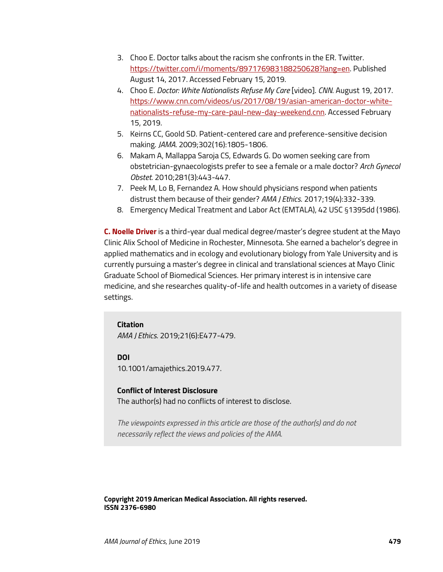- 3. Choo E. Doctor talks about the racism she confronts in the ER. Twitter. [https://twitter.com/i/moments/897176983188250628?lang=en.](https://twitter.com/i/moments/897176983188250628?lang=en) Published August 14, 2017. Accessed February 15, 2019.
- 4. Choo E. *Doctor: White Nationalists Refuse My Care* [video]. *CNN*. August 19, 2017. [https://www.cnn.com/videos/us/2017/08/19/asian-american-doctor-white](https://www.cnn.com/videos/us/2017/08/19/asian-american-doctor-white-nationalists-refuse-my-care-paul-new-day-weekend.cnn)[nationalists-refuse-my-care-paul-new-day-weekend.cnn.](https://www.cnn.com/videos/us/2017/08/19/asian-american-doctor-white-nationalists-refuse-my-care-paul-new-day-weekend.cnn) Accessed February 15, 2019.
- 5. Keirns CC, Goold SD. Patient-centered care and preference-sensitive decision making. *JAMA*. 2009;302(16):1805-1806.
- 6. Makam A, Mallappa Saroja CS, Edwards G. Do women seeking care from obstetrician-gynaecologists prefer to see a female or a male doctor? *Arch Gynecol Obstet*. 2010;281(3):443-447.
- 7. Peek M, Lo B, Fernandez A. How should physicians respond when patients distrust them because of their gender? *AMA J Ethics*. 2017;19(4):332-339.
- 8. Emergency Medical Treatment and Labor Act (EMTALA), 42 USC §1395dd (1986).

**C. Noelle Driver** is a third-year dual medical degree/master's degree student at the Mayo Clinic Alix School of Medicine in Rochester, Minnesota. She earned a bachelor's degree in applied mathematics and in ecology and evolutionary biology from Yale University and is currently pursuing a master's degree in clinical and translational sciences at Mayo Clinic Graduate School of Biomedical Sciences. Her primary interest is in intensive care medicine, and she researches quality-of-life and health outcomes in a variety of disease settings.

#### **Citation**

*AMA J Ethics*. 2019;21(6):E477-479.

#### **DOI**

10.1001/amajethics.2019.477.

### **Conflict of Interest Disclosure**

The author(s) had no conflicts of interest to disclose.

*The viewpoints expressed in this article are those of the author(s) and do not necessarily reflect the views and policies of the AMA.*

#### **Copyright 2019 American Medical Association. All rights reserved. ISSN 2376-6980**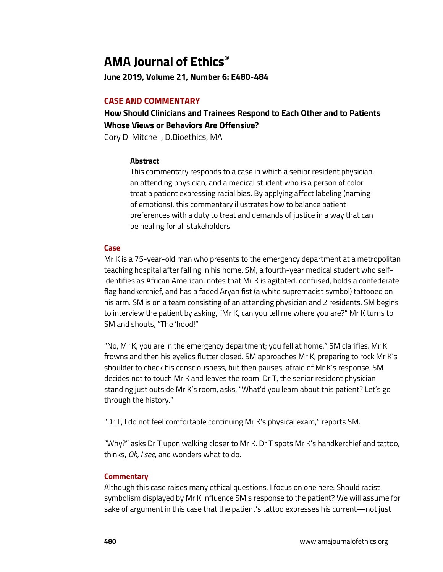# **AMA Journal of Ethics®**

**June 2019, Volume 21, Number 6: E480-484**

## **CASE AND COMMENTARY**

**How Should Clinicians and Trainees Respond to Each Other and to Patients Whose Views or Behaviors Are Offensive?**

Cory D. Mitchell, D.Bioethics, MA

## **Abstract**

This commentary responds to a case in which a senior resident physician, an attending physician, and a medical student who is a person of color treat a patient expressing racial bias. By applying affect labeling (naming of emotions), this commentary illustrates how to balance patient preferences with a duty to treat and demands of justice in a way that can be healing for all stakeholders.

## **Case**

Mr K is a 75-year-old man who presents to the emergency department at a metropolitan teaching hospital after falling in his home. SM, a fourth-year medical student who selfidentifies as African American, notes that Mr K is agitated, confused, holds a confederate flag handkerchief, and has a faded Aryan fist (a white supremacist symbol) tattooed on his arm. SM is on a team consisting of an attending physician and 2 residents. SM begins to interview the patient by asking, "Mr K, can you tell me where you are?" Mr K turns to SM and shouts, "The 'hood!"

"No, Mr K, you are in the emergency department; you fell at home," SM clarifies. Mr K frowns and then his eyelids flutter closed. SM approaches Mr K, preparing to rock Mr K's shoulder to check his consciousness, but then pauses, afraid of Mr K's response. SM decides not to touch Mr K and leaves the room. Dr T, the senior resident physician standing just outside Mr K's room, asks, "What'd you learn about this patient? Let's go through the history."

"Dr T, I do not feel comfortable continuing Mr K's physical exam," reports SM.

"Why?" asks Dr T upon walking closer to Mr K. Dr T spots Mr K's handkerchief and tattoo, thinks, *Oh, I see*, and wonders what to do.

## **Commentary**

Although this case raises many ethical questions, I focus on one here: Should racist symbolism displayed by Mr K influence SM's response to the patient? We will assume for sake of argument in this case that the patient's tattoo expresses his current—not just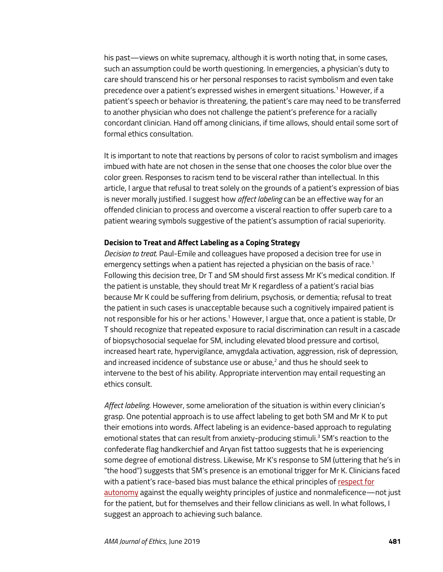his past—views on white supremacy, although it is worth noting that, in some cases, such an assumption could be worth questioning. In emergencies, a physician's duty to care should transcend his or her personal responses to racist symbolism and even take precedence over a patient's expressed wishes in emergent situations.<sup>1</sup> However, if a patient's speech or behavior is threatening, the patient's care may need to be transferred to another physician who does not challenge the patient's preference for a racially concordant clinician. Hand off among clinicians, if time allows, should entail some sort of formal ethics consultation.

It is important to note that reactions by persons of color to racist symbolism and images imbued with hate are not chosen in the sense that one chooses the color blue over the color green. Responses to racism tend to be visceral rather than intellectual. In this article, I argue that refusal to treat solely on the grounds of a patient's expression of bias is never morally justified. I suggest how *affect labeling* can be an effective way for an offended clinician to process and overcome a visceral reaction to offer superb care to a patient wearing symbols suggestive of the patient's assumption of racial superiority.

### **Decision to Treat and Affect Labeling as a Coping Strategy**

*Decision to treat*. Paul-Emile and colleagues have proposed a decision tree for use in emergency settings when a patient has rejected a physician on the basis of race.<sup>1</sup> Following this decision tree, Dr T and SM should first assess Mr K's medical condition. If the patient is unstable, they should treat Mr K regardless of a patient's racial bias because Mr K could be suffering from delirium, psychosis, or dementia; refusal to treat the patient in such cases is unacceptable because such a cognitively impaired patient is not responsible for his or her actions.<sup>1</sup> However, I argue that, once a patient is stable, Dr T should recognize that repeated exposure to racial discrimination can result in a cascade of biopsychosocial sequelae for SM, including elevated blood pressure and cortisol, increased heart rate, hypervigilance, amygdala activation, aggression, risk of depression, and increased incidence of substance use or abuse, $<sup>2</sup>$  and thus he should seek to</sup> intervene to the best of his ability. Appropriate intervention may entail requesting an ethics consult.

*Affect labeling*. However, some amelioration of the situation is within every clinician's grasp. One potential approach is to use affect labeling to get both SM and Mr K to put their emotions into words. Affect labeling is an evidence-based approach to regulating emotional states that can result from anxiety-producing stimuli.<sup>3</sup> SM's reaction to the confederate flag handkerchief and Aryan fist tattoo suggests that he is experiencing some degree of emotional distress. Likewise, Mr K's response to SM (uttering that he's in "the hood") suggests that SM's presence is an emotional trigger for Mr K. Clinicians faced with a patient's race-based bias must balance the ethical principles of [respect for](https://journalofethics.ama-assn.org/article/prejudiced-patient/2014-06)  [autonomy](https://journalofethics.ama-assn.org/article/prejudiced-patient/2014-06) against the equally weighty principles of justice and nonmaleficence—not just for the patient, but for themselves and their fellow clinicians as well. In what follows, I suggest an approach to achieving such balance.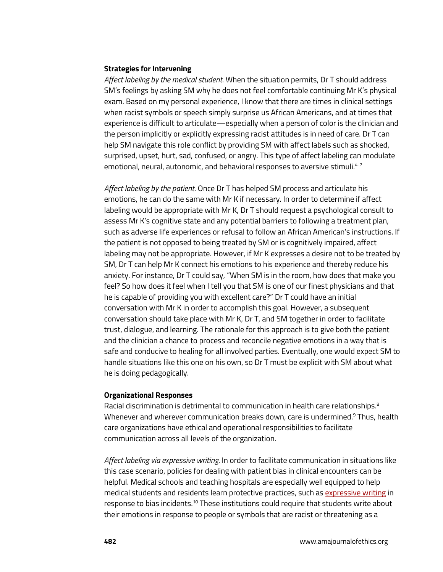#### **Strategies for Intervening**

*Affect labeling by the medical student*. When the situation permits, Dr T should address SM's feelings by asking SM why he does not feel comfortable continuing Mr K's physical exam. Based on my personal experience, I know that there are times in clinical settings when racist symbols or speech simply surprise us African Americans, and at times that experience is difficult to articulate—especially when a person of color is the clinician and the person implicitly or explicitly expressing racist attitudes is in need of care. Dr T can help SM navigate this role conflict by providing SM with affect labels such as shocked, surprised, upset, hurt, sad, confused, or angry. This type of affect labeling can modulate emotional, neural, autonomic, and behavioral responses to aversive stimuli.<sup>4-7</sup>

*Affect labeling by the patient*. Once Dr T has helped SM process and articulate his emotions, he can do the same with Mr K if necessary. In order to determine if affect labeling would be appropriate with Mr K, Dr T should request a psychological consult to assess Mr K's cognitive state and any potential barriers to following a treatment plan, such as adverse life experiences or refusal to follow an African American's instructions. If the patient is not opposed to being treated by SM or is cognitively impaired, affect labeling may not be appropriate. However, if Mr K expresses a desire not to be treated by SM, Dr T can help Mr K connect his emotions to his experience and thereby reduce his anxiety. For instance, Dr T could say, "When SM is in the room, how does that make you feel? So how does it feel when I tell you that SM is one of our finest physicians and that he is capable of providing you with excellent care?" Dr T could have an initial conversation with Mr K in order to accomplish this goal. However, a subsequent conversation should take place with Mr K, Dr T, and SM together in order to facilitate trust, dialogue, and learning. The rationale for this approach is to give both the patient and the clinician a chance to process and reconcile negative emotions in a way that is safe and conducive to healing for all involved parties. Eventually, one would expect SM to handle situations like this one on his own, so Dr T must be explicit with SM about what he is doing pedagogically.

#### **Organizational Responses**

Racial discrimination is detrimental to communication in health care relationships.<sup>8</sup> Whenever and wherever communication breaks down, care is undermined.<sup>9</sup> Thus, health care organizations have ethical and operational responsibilities to facilitate communication across all levels of the organization.

*Affect labeling via expressive writing*. In order to facilitate communication in situations like this case scenario, policies for dealing with patient bias in clinical encounters can be helpful. Medical schools and teaching hospitals are especially well equipped to help medical students and residents learn protective practices, such a[s expressive writing](https://journalofethics.ama-assn.org/article/medical-students-learn-tell-stories-about-their-patients-and-themselves/2011-07) in response to bias incidents.10 These institutions could require that students write about their emotions in response to people or symbols that are racist or threatening as a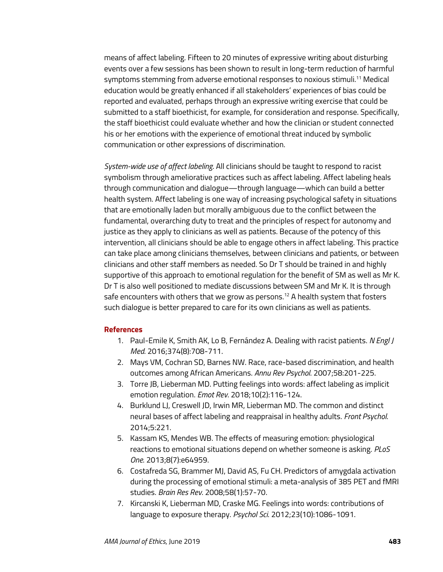means of affect labeling. Fifteen to 20 minutes of expressive writing about disturbing events over a few sessions has been shown to result in long-term reduction of harmful symptoms stemming from adverse emotional responses to noxious stimuli.<sup>11</sup> Medical education would be greatly enhanced if all stakeholders' experiences of bias could be reported and evaluated, perhaps through an expressive writing exercise that could be submitted to a staff bioethicist, for example, for consideration and response. Specifically, the staff bioethicist could evaluate whether and how the clinician or student connected his or her emotions with the experience of emotional threat induced by symbolic communication or other expressions of discrimination.

*System-wide use of affect labeling*. All clinicians should be taught to respond to racist symbolism through ameliorative practices such as affect labeling. Affect labeling heals through communication and dialogue—through language—which can build a better health system. Affect labeling is one way of increasing psychological safety in situations that are emotionally laden but morally ambiguous due to the conflict between the fundamental, overarching duty to treat and the principles of respect for autonomy and justice as they apply to clinicians as well as patients. Because of the potency of this intervention, all clinicians should be able to engage others in affect labeling. This practice can take place among clinicians themselves, between clinicians and patients, or between clinicians and other staff members as needed. So Dr T should be trained in and highly supportive of this approach to emotional regulation for the benefit of SM as well as Mr K. Dr T is also well positioned to mediate discussions between SM and Mr K. It is through safe encounters with others that we grow as persons.<sup>12</sup> A health system that fosters such dialogue is better prepared to care for its own clinicians as well as patients.

## **References**

- 1. Paul-Emile K, Smith AK, Lo B, Fernández A. Dealing with racist patients. *N Engl J Med*. 2016;374(8):708-711.
- 2. Mays VM, Cochran SD, Barnes NW. Race, race-based discrimination, and health outcomes among African Americans. *Annu Rev Psychol*. 2007;58:201-225.
- 3. Torre JB, Lieberman MD. Putting feelings into words: affect labeling as implicit emotion regulation. *Emot Rev*. 2018;10(2):116-124.
- 4. Burklund LJ, Creswell JD, Irwin MR, Lieberman MD. The common and distinct neural bases of affect labeling and reappraisal in healthy adults. *Front Psychol*. 2014;5:221.
- 5. Kassam KS, Mendes WB. The effects of measuring emotion: physiological reactions to emotional situations depend on whether someone is asking. *PLoS One*. 2013;8(7):e64959.
- 6. Costafreda SG, Brammer MJ, David AS, Fu CH. Predictors of amygdala activation during the processing of emotional stimuli: a meta-analysis of 385 PET and fMRI studies. *Brain Res Rev*. 2008;58(1):57-70.
- 7. Kircanski K, Lieberman MD, Craske MG. Feelings into words: contributions of language to exposure therapy. *Psychol Sci*. 2012;23(10):1086-1091.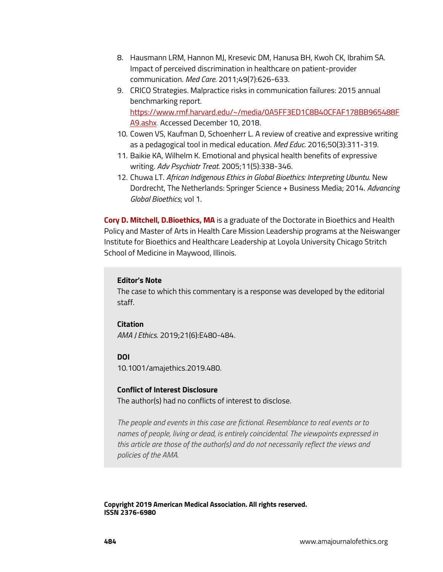- 8. Hausmann LRM, Hannon MJ, Kresevic DM, Hanusa BH, Kwoh CK, Ibrahim SA. Impact of perceived discrimination in healthcare on patient-provider communication. *Med Care*. 2011;49(7):626-633.
- 9. CRICO Strategies. Malpractice risks in communication failures: 2015 annual benchmarking report. [https://www.rmf.harvard.edu/~/media/0A5FF3ED1C8B40CFAF178BB965488F](https://www.rmf.harvard.edu/%7E/media/0A5FF3ED1C8B40CFAF178BB965488FA9.ashx) [A9.ashx.](https://www.rmf.harvard.edu/%7E/media/0A5FF3ED1C8B40CFAF178BB965488FA9.ashx) Accessed December 10, 2018.
- 10. Cowen VS, Kaufman D, Schoenherr L. A review of creative and expressive writing as a pedagogical tool in medical education. *Med Educ*. 2016;50(3):311-319.
- 11. Baikie KA, Wilhelm K. Emotional and physical health benefits of expressive writing. *Adv Psychiatr Treat*. 2005;11(5):338-346.
- 12. Chuwa LT. *African Indigenous Ethics in Global Bioethics: Interpreting Ubuntu*. New Dordrecht, The Netherlands: Springer Science + Business Media; 2014. *Advancing Global Bioethics*; vol 1.

**Cory D. Mitchell, D.Bioethics, MA** is a graduate of the Doctorate in Bioethics and Health Policy and Master of Arts in Health Care Mission Leadership programs at the Neiswanger Institute for Bioethics and Healthcare Leadership at Loyola University Chicago Stritch School of Medicine in Maywood, Illinois.

#### **Editor's Note**

The case to which this commentary is a response was developed by the editorial staff.

#### **Citation**

*AMA J Ethics*. 2019;21(6):E480-484.

## **DOI**

10.1001/amajethics.2019.480.

### **Conflict of Interest Disclosure**

The author(s) had no conflicts of interest to disclose.

*The people and events in this case are fictional. Resemblance to real events or to names of people, living or dead, is entirely coincidental. The viewpoints expressed in this article are those of the author(s) and do not necessarily reflect the views and policies of the AMA.*

#### **Copyright 2019 American Medical Association. All rights reserved. ISSN 2376-6980**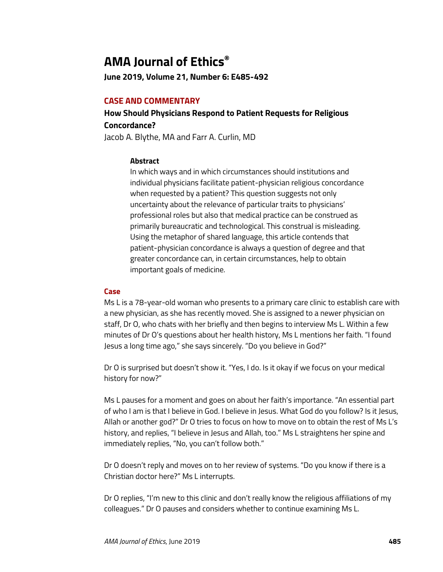# **AMA Journal of Ethics®**

**June 2019, Volume 21, Number 6: E485-492**

## **CASE AND COMMENTARY**

# **How Should Physicians Respond to Patient Requests for Religious Concordance?**

Jacob A. Blythe, MA and Farr A. Curlin, MD

## **Abstract**

In which ways and in which circumstances should institutions and individual physicians facilitate patient-physician religious concordance when requested by a patient? This question suggests not only uncertainty about the relevance of particular traits to physicians' professional roles but also that medical practice can be construed as primarily bureaucratic and technological. This construal is misleading. Using the metaphor of shared language, this article contends that patient-physician concordance is always a question of degree and that greater concordance can, in certain circumstances, help to obtain important goals of medicine.

## **Case**

Ms L is a 78-year-old woman who presents to a primary care clinic to establish care with a new physician, as she has recently moved. She is assigned to a newer physician on staff, Dr O, who chats with her briefly and then begins to interview Ms L. Within a few minutes of Dr O's questions about her health history, Ms L mentions her faith. "I found Jesus a long time ago," she says sincerely. "Do you believe in God?"

Dr O is surprised but doesn't show it. "Yes, I do. Is it okay if we focus on your medical history for now?"

Ms L pauses for a moment and goes on about her faith's importance. "An essential part of who I am is that I believe in God. I believe in Jesus. What God do you follow? Is it Jesus, Allah or another god?" Dr O tries to focus on how to move on to obtain the rest of Ms L's history, and replies, "I believe in Jesus and Allah, too." Ms L straightens her spine and immediately replies, "No, you can't follow both."

Dr O doesn't reply and moves on to her review of systems. "Do you know if there is a Christian doctor here?" Ms L interrupts.

Dr O replies, "I'm new to this clinic and don't really know the religious affiliations of my colleagues." Dr O pauses and considers whether to continue examining Ms L.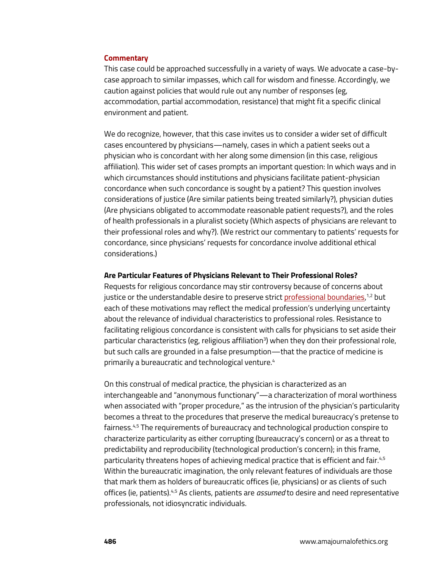#### **Commentary**

This case could be approached successfully in a variety of ways. We advocate a case-bycase approach to similar impasses, which call for wisdom and finesse. Accordingly, we caution against policies that would rule out any number of responses (eg, accommodation, partial accommodation, resistance) that might fit a specific clinical environment and patient.

We do recognize, however, that this case invites us to consider a wider set of difficult cases encountered by physicians—namely, cases in which a patient seeks out a physician who is concordant with her along some dimension (in this case, religious affiliation). This wider set of cases prompts an important question: In which ways and in which circumstances should institutions and physicians facilitate patient-physician concordance when such concordance is sought by a patient? This question involves considerations of justice (Are similar patients being treated similarly?), physician duties (Are physicians obligated to accommodate reasonable patient requests?), and the roles of health professionals in a pluralist society (Which aspects of physicians are relevant to their professional roles and why?). (We restrict our commentary to patients' requests for concordance, since physicians' requests for concordance involve additional ethical considerations.)

#### **Are Particular Features of Physicians Relevant to Their Professional Roles?**

Requests for religious concordance may stir controversy because of concerns about justice or the understandable desire to preserve strict <u>professional boundaries</u>,<sup>1,2</sup> but each of these motivations may reflect the medical profession's underlying uncertainty about the relevance of individual characteristics to professional roles. Resistance to facilitating religious concordance is consistent with calls for physicians to set aside their particular characteristics (eg, religious affiliation<sup>3</sup>) when they don their professional role, but such calls are grounded in a false presumption—that the practice of medicine is primarily a bureaucratic and technological venture.<sup>4</sup>

On this construal of medical practice, the physician is characterized as an interchangeable and "anonymous functionary"—a characterization of moral worthiness when associated with "proper procedure," as the intrusion of the physician's particularity becomes a threat to the procedures that preserve the medical bureaucracy's pretense to fairness.4,5 The requirements of bureaucracy and technological production conspire to characterize particularity as either corrupting (bureaucracy's concern) or as a threat to predictability and reproducibility (technological production's concern); in this frame, particularity threatens hopes of achieving medical practice that is efficient and fair.<sup>4,5</sup> Within the bureaucratic imagination, the only relevant features of individuals are those that mark them as holders of bureaucratic offices (ie, physicians) or as clients of such offices (ie, patients).4,5 As clients, patients are *assumed* to desire and need representative professionals, not idiosyncratic individuals.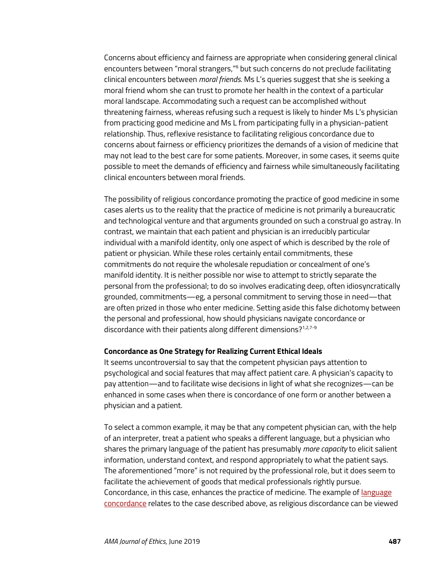Concerns about efficiency and fairness are appropriate when considering general clinical encounters between "moral strangers,"<sup>6</sup> but such concerns do not preclude facilitating clinical encounters between *moral friends*. Ms L's queries suggest that she is seeking a moral friend whom she can trust to promote her health in the context of a particular moral landscape. Accommodating such a request can be accomplished without threatening fairness, whereas refusing such a request is likely to hinder Ms L's physician from practicing good medicine and Ms L from participating fully in a physician-patient relationship. Thus, reflexive resistance to facilitating religious concordance due to concerns about fairness or efficiency prioritizes the demands of a vision of medicine that may not lead to the best care for some patients. Moreover, in some cases, it seems quite possible to meet the demands of efficiency and fairness while simultaneously facilitating clinical encounters between moral friends.

The possibility of religious concordance promoting the practice of good medicine in some cases alerts us to the reality that the practice of medicine is not primarily a bureaucratic and technological venture and that arguments grounded on such a construal go astray. In contrast, we maintain that each patient and physician is an irreducibly particular individual with a manifold identity, only one aspect of which is described by the role of patient or physician. While these roles certainly entail commitments, these commitments do not require the wholesale repudiation or concealment of one's manifold identity. It is neither possible nor wise to attempt to strictly separate the personal from the professional; to do so involves eradicating deep, often idiosyncratically grounded, commitments—eg, a personal commitment to serving those in need—that are often prized in those who enter medicine. Setting aside this false dichotomy between the personal and professional, how should physicians navigate concordance or discordance with their patients along different dimensions?1,2,7-9

#### **Concordance as One Strategy for Realizing Current Ethical Ideals**

It seems uncontroversial to say that the competent physician pays attention to psychological and social features that may affect patient care. A physician's capacity to pay attention—and to facilitate wise decisions in light of what she recognizes—can be enhanced in some cases when there is concordance of one form or another between a physician and a patient.

To select a common example, it may be that any competent physician can, with the help of an interpreter, treat a patient who speaks a different language, but a physician who shares the primary language of the patient has presumably *more capacity* to elicit salient information, understand context, and respond appropriately to what the patient says. The aforementioned "more" is not required by the professional role, but it does seem to facilitate the achievement of goods that medical professionals rightly pursue. Concordance, in this case, enhances the practice of medicine. The example o[f language](https://journalofethics.ama-assn.org/article/clinicians-obligations-use-qualified-medical-interpreters-when-caring-patients-limited-english/2017-03)  [concordance](https://journalofethics.ama-assn.org/article/clinicians-obligations-use-qualified-medical-interpreters-when-caring-patients-limited-english/2017-03) relates to the case described above, as religious discordance can be viewed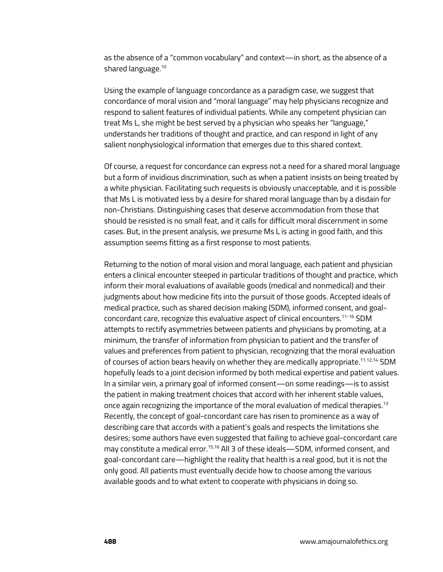as the absence of a "common vocabulary" and context—in short, as the absence of a shared language. 10

Using the example of language concordance as a paradigm case, we suggest that concordance of moral vision and "moral language" may help physicians recognize and respond to salient features of individual patients. While any competent physician can treat Ms L, she might be best served by a physician who speaks her "language," understands her traditions of thought and practice, and can respond in light of any salient nonphysiological information that emerges due to this shared context.

Of course, a request for concordance can express not a need for a shared moral language but a form of invidious discrimination, such as when a patient insists on being treated by a white physician. Facilitating such requests is obviously unacceptable, and it is possible that Ms L is motivated less by a desire for shared moral language than by a disdain for non-Christians. Distinguishing cases that deserve accommodation from those that should be resisted is no small feat, and it calls for difficult moral discernment in some cases. But, in the present analysis, we presume Ms L is acting in good faith, and this assumption seems fitting as a first response to most patients.

Returning to the notion of moral vision and moral language, each patient and physician enters a clinical encounter steeped in particular traditions of thought and practice, which inform their moral evaluations of available goods (medical and nonmedical) and their judgments about how medicine fits into the pursuit of those goods. Accepted ideals of medical practice, such as shared decision making (SDM), informed consent, and goalconcordant care, recognize this evaluative aspect of clinical encounters.11-16 SDM attempts to rectify asymmetries between patients and physicians by promoting, at a minimum, the transfer of information from physician to patient and the transfer of values and preferences from patient to physician, recognizing that the moral evaluation of courses of action bears heavily on whether they are medically appropriate.<sup>11,12,14</sup> SDM hopefully leads to a joint decision informed by both medical expertise and patient values. In a similar vein, a primary goal of informed consent—on some readings—is to assist the patient in making treatment choices that accord with her inherent stable values, once again recognizing the importance of the moral evaluation of medical therapies.<sup>13</sup> Recently, the concept of goal-concordant care has risen to prominence as a way of describing care that accords with a patient's goals and respects the limitations she desires; some authors have even suggested that failing to achieve goal-concordant care may constitute a medical error.<sup>15,16</sup> All 3 of these ideals—SDM, informed consent, and goal-concordant care—highlight the reality that health is a real good, but it is not the only good. All patients must eventually decide how to choose among the various available goods and to what extent to cooperate with physicians in doing so.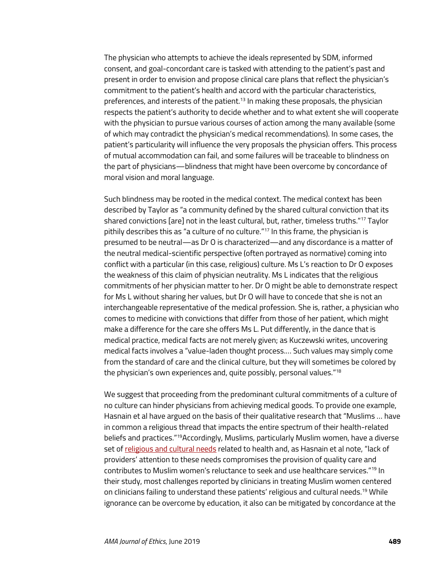The physician who attempts to achieve the ideals represented by SDM, informed consent, and goal-concordant care is tasked with attending to the patient's past and present in order to envision and propose clinical care plans that reflect the physician's commitment to the patient's health and accord with the particular characteristics, preferences, and interests of the patient.<sup>13</sup> In making these proposals, the physician respects the patient's authority to decide whether and to what extent she will cooperate with the physician to pursue various courses of action among the many available (some of which may contradict the physician's medical recommendations). In some cases, the patient's particularity will influence the very proposals the physician offers. This process of mutual accommodation can fail, and some failures will be traceable to blindness on the part of physicians—blindness that might have been overcome by concordance of moral vision and moral language.

Such blindness may be rooted in the medical context. The medical context has been described by Taylor as "a community defined by the shared cultural conviction that its shared convictions [are] not in the least cultural, but, rather, timeless truths."17 Taylor pithily describes this as "a culture of no culture."17 In this frame, the physician is presumed to be neutral—as Dr O is characterized—and any discordance is a matter of the neutral medical-scientific perspective (often portrayed as normative) coming into conflict with a particular (in this case, religious) culture. Ms L's reaction to Dr O exposes the weakness of this claim of physician neutrality. Ms L indicates that the religious commitments of her physician matter to her. Dr O might be able to demonstrate respect for Ms L without sharing her values, but Dr O will have to concede that she is not an interchangeable representative of the medical profession. She is, rather, a physician who comes to medicine with convictions that differ from those of her patient, which might make a difference for the care she offers Ms L. Put differently, in the dance that is medical practice, medical facts are not merely given; as Kuczewski writes, uncovering medical facts involves a "value-laden thought process.… Such values may simply come from the standard of care and the clinical culture, but they will sometimes be colored by the physician's own experiences and, quite possibly, personal values."<sup>18</sup>

We suggest that proceeding from the predominant cultural commitments of a culture of no culture can hinder physicians from achieving medical goods. To provide one example, Hasnain et al have argued on the basis of their qualitative research that "Muslims … have in common a religious thread that impacts the entire spectrum of their health-related beliefs and practices."19Accordingly, Muslims, particularly Muslim women, have a diverse set of [religious and cultural needs](https://journalofethics.ama-assn.org/article/best-practices-partnering-ethnic-minority-serving-religious-organizations-health-promotion-and/2018-07) related to health and, as Hasnain et al note, "lack of providers' attention to these needs compromises the provision of quality care and contributes to Muslim women's reluctance to seek and use healthcare services."19 In their study, most challenges reported by clinicians in treating Muslim women centered on clinicians failing to understand these patients' religious and cultural needs.<sup>19</sup> While ignorance can be overcome by education, it also can be mitigated by concordance at the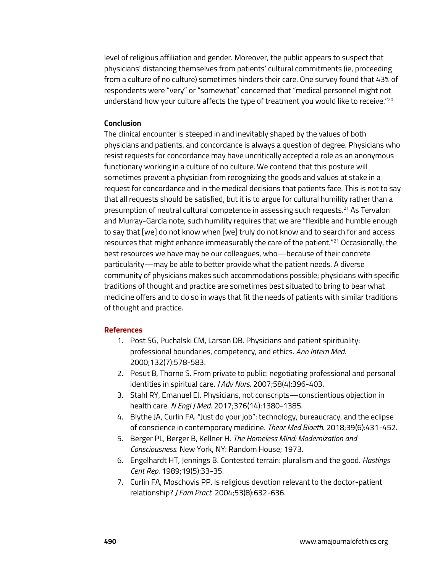level of religious affiliation and gender. Moreover, the public appears to suspect that physicians' distancing themselves from patients' cultural commitments (ie, proceeding from a culture of no culture) sometimes hinders their care. One survey found that 43% of respondents were "very" or "somewhat" concerned that "medical personnel might not understand how your culture affects the type of treatment you would like to receive."<sup>20</sup>

### **Conclusion**

The clinical encounter is steeped in and inevitably shaped by the values of both physicians and patients, and concordance is always a question of degree. Physicians who resist requests for concordance may have uncritically accepted a role as an anonymous functionary working in a culture of no culture. We contend that this posture will sometimes prevent a physician from recognizing the goods and values at stake in a request for concordance and in the medical decisions that patients face. This is not to say that all requests should be satisfied, but it is to argue for cultural humility rather than a presumption of neutral cultural competence in assessing such requests.<sup>21</sup> As Tervalon and Murray-García note, such humility requires that we are "flexible and humble enough to say that [we] do not know when [we] truly do not know and to search for and access resources that might enhance immeasurably the care of the patient."21 Occasionally, the best resources we have may be our colleagues, who—because of their concrete particularity—may be able to better provide what the patient needs. A diverse community of physicians makes such accommodations possible; physicians with specific traditions of thought and practice are sometimes best situated to bring to bear what medicine offers and to do so in ways that fit the needs of patients with similar traditions of thought and practice.

### **References**

- 1. Post SG, Puchalski CM, Larson DB. Physicians and patient spirituality: professional boundaries, competency, and ethics. *Ann Intern Med*. 2000;132(7):578-583.
- 2. Pesut B, Thorne S. From private to public: negotiating professional and personal identities in spiritual care. *J Adv Nurs*. 2007;58(4):396-403.
- 3. Stahl RY, Emanuel EJ. Physicians, not conscripts—conscientious objection in health care. *N Engl J Med*. 2017;376(14):1380-1385.
- 4. Blythe JA, Curlin FA. "Just do your job": technology, bureaucracy, and the eclipse of conscience in contemporary medicine. *Theor Med Bioeth*. 2018;39(6):431-452.
- 5. Berger PL, Berger B, Kellner H. *The Homeless Mind: Modernization and Consciousness*. New York, NY: Random House; 1973.
- 6. Engelhardt HT, Jennings B. Contested terrain: pluralism and the good. *Hastings Cent Rep*. 1989;19(5):33-35.
- 7. Curlin FA, Moschovis PP. Is religious devotion relevant to the doctor-patient relationship? *J Fam Pract*. 2004;53(8):632-636.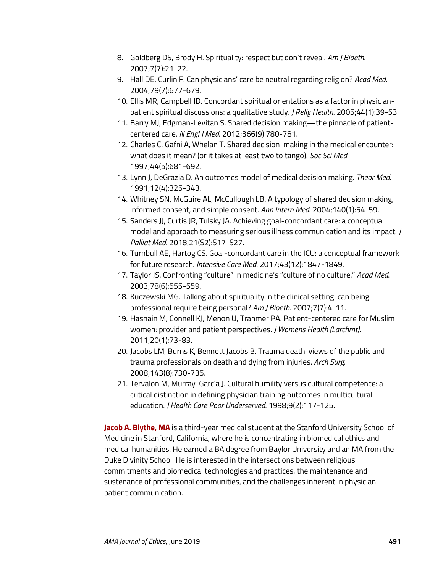- 8. Goldberg DS, Brody H. Spirituality: respect but don't reveal. *Am J Bioeth*. 2007;7(7):21-22.
- 9. Hall DE, Curlin F. Can physicians' care be neutral regarding religion? *Acad Med*. 2004;79(7):677-679.
- 10. Ellis MR, Campbell JD. Concordant spiritual orientations as a factor in physicianpatient spiritual discussions: a qualitative study. *J Relig Health*. 2005;44(1):39-53.
- 11. Barry MJ, Edgman-Levitan S. Shared decision making—the pinnacle of patientcentered care. *N Engl J Med*. 2012;366(9):780-781.
- 12. Charles C, Gafni A, Whelan T. Shared decision-making in the medical encounter: what does it mean? (or it takes at least two to tango). *Soc Sci Med*. 1997;44(5):681-692.
- 13. Lynn J, DeGrazia D. An outcomes model of medical decision making. *Theor Med*. 1991;12(4):325-343.
- 14. Whitney SN, McGuire AL, McCullough LB. A typology of shared decision making, informed consent, and simple consent. *Ann Intern Med*. 2004;140(1):54-59.
- 15. Sanders JJ, Curtis JR, Tulsky JA. Achieving goal-concordant care: a conceptual model and approach to measuring serious illness communication and its impact. *J Palliat Med*. 2018;21(S2):S17-S27.
- 16. Turnbull AE, Hartog CS. Goal-concordant care in the ICU: a conceptual framework for future research. *Intensive Care Med*. 2017;43(12):1847-1849.
- 17. Taylor JS. Confronting "culture" in medicine's "culture of no culture." *Acad Med*. 2003;78(6):555-559.
- 18. Kuczewski MG. Talking about spirituality in the clinical setting: can being professional require being personal? *Am J Bioeth*. 2007;7(7):4-11.
- 19. Hasnain M, Connell KJ, Menon U, Tranmer PA. Patient-centered care for Muslim women: provider and patient perspectives. *J Womens Health (Larchmt)*. 2011;20(1):73-83.
- 20. Jacobs LM, Burns K, Bennett Jacobs B. Trauma death: views of the public and trauma professionals on death and dying from injuries. *Arch Surg*. 2008;143(8):730-735.
- 21. Tervalon M, Murray-García J. Cultural humility versus cultural competence: a critical distinction in defining physician training outcomes in multicultural education. *J Health Care Poor Underserved*. 1998;9(2):117-125.

**Jacob A. Blythe, MA** is a third-year medical student at the Stanford University School of Medicine in Stanford, California, where he is concentrating in biomedical ethics and medical humanities. He earned a BA degree from Baylor University and an MA from the Duke Divinity School. He is interested in the intersections between religious commitments and biomedical technologies and practices, the maintenance and sustenance of professional communities, and the challenges inherent in physicianpatient communication.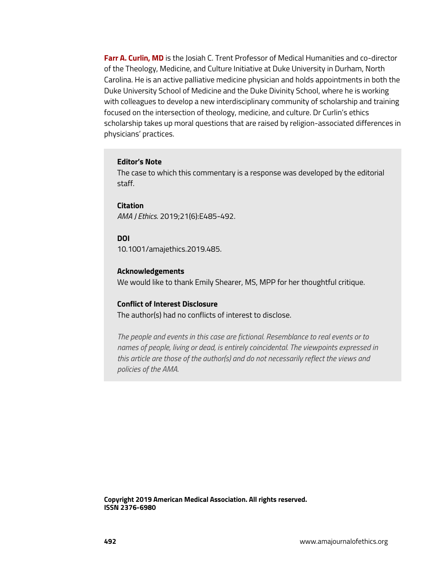**Farr A. Curlin, MD** is the Josiah C. Trent Professor of Medical Humanities and co-director of the Theology, Medicine, and Culture Initiative at Duke University in Durham, North Carolina. He is an active palliative medicine physician and holds appointments in both the Duke University School of Medicine and the Duke Divinity School, where he is working with colleagues to develop a new interdisciplinary community of scholarship and training focused on the intersection of theology, medicine, and culture. Dr Curlin's ethics scholarship takes up moral questions that are raised by religion-associated differences in physicians' practices.

#### **Editor's Note**

The case to which this commentary is a response was developed by the editorial staff.

#### **Citation**

*AMA J Ethics*. 2019;21(6):E485-492.

**DOI**

10.1001/amajethics.2019.485.

#### **Acknowledgements**

We would like to thank Emily Shearer, MS, MPP for her thoughtful critique.

#### **Conflict of Interest Disclosure**

The author(s) had no conflicts of interest to disclose.

*The people and events in this case are fictional. Resemblance to real events or to names of people, living or dead, is entirely coincidental. The viewpoints expressed in this article are those of the author(s) and do not necessarily reflect the views and policies of the AMA.*

**Copyright 2019 American Medical Association. All rights reserved. ISSN 2376-6980**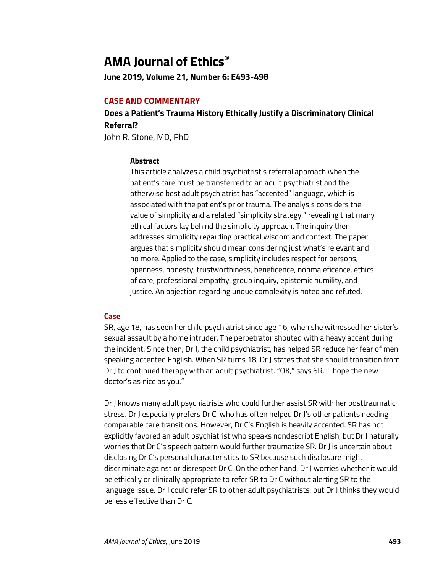# **AMA Journal of Ethics®**

**June 2019, Volume 21, Number 6: E493-498**

## **CASE AND COMMENTARY**

**Does a Patient's Trauma History Ethically Justify a Discriminatory Clinical Referral?**

John R. Stone, MD, PhD

## **Abstract**

This article analyzes a child psychiatrist's referral approach when the patient's care must be transferred to an adult psychiatrist and the otherwise best adult psychiatrist has "accented" language, which is associated with the patient's prior trauma. The analysis considers the value of simplicity and a related "simplicity strategy," revealing that many ethical factors lay behind the simplicity approach. The inquiry then addresses simplicity regarding practical wisdom and context. The paper argues that simplicity should mean considering just what's relevant and no more. Applied to the case, simplicity includes respect for persons, openness, honesty, trustworthiness, beneficence, nonmaleficence, ethics of care, professional empathy, group inquiry, epistemic humility, and justice. An objection regarding undue complexity is noted and refuted.

## **Case**

SR, age 18, has seen her child psychiatrist since age 16, when she witnessed her sister's sexual assault by a home intruder. The perpetrator shouted with a heavy accent during the incident. Since then, Dr J, the child psychiatrist, has helped SR reduce her fear of men speaking accented English. When SR turns 18, Dr J states that she should transition from Dr J to continued therapy with an adult psychiatrist. "OK," says SR. "I hope the new doctor's as nice as you."

Dr J knows many adult psychiatrists who could further assist SR with her posttraumatic stress. Dr J especially prefers Dr C, who has often helped Dr J's other patients needing comparable care transitions. However, Dr C's English is heavily accented. SR has not explicitly favored an adult psychiatrist who speaks nondescript English, but Dr J naturally worries that Dr C's speech pattern would further traumatize SR. Dr J is uncertain about disclosing Dr C's personal characteristics to SR because such disclosure might discriminate against or disrespect Dr C. On the other hand, Dr J worries whether it would be ethically or clinically appropriate to refer SR to Dr C without alerting SR to the language issue. Dr J could refer SR to other adult psychiatrists, but Dr J thinks they would be less effective than Dr C.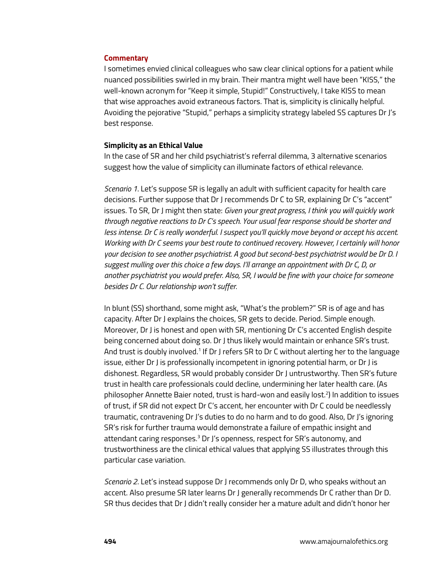#### **Commentary**

I sometimes envied clinical colleagues who saw clear clinical options for a patient while nuanced possibilities swirled in my brain. Their mantra might well have been "KISS," the well-known acronym for "Keep it simple, Stupid!" Constructively, I take KISS to mean that wise approaches avoid extraneous factors. That is, simplicity is clinically helpful. Avoiding the pejorative "Stupid," perhaps a simplicity strategy labeled SS captures Dr J's best response.

#### **Simplicity as an Ethical Value**

In the case of SR and her child psychiatrist's referral dilemma, 3 alternative scenarios suggest how the value of simplicity can illuminate factors of ethical relevance.

*Scenario 1*. Let's suppose SR is legally an adult with sufficient capacity for health care decisions. Further suppose that Dr J recommends Dr C to SR, explaining Dr C's "accent" issues. To SR, Dr J might then state: *Given your great progress, I think you will quickly work through negative reactions to Dr C's speech. Your usual fear response should be shorter and less intense. Dr C is really wonderful. I suspect you'll quickly move beyond or accept his accent. Working with Dr C seems your best route to continued recovery. However, I certainly will honor your decision to see another psychiatrist. A good but second-best psychiatrist would be Dr D. I suggest mulling over this choice a few days. I'll arrange an appointment with Dr C, D, or another psychiatrist you would prefer. Also, SR, I would be fine with your choice for someone besides Dr C. Our relationship won't suffer.*

In blunt (SS) shorthand, some might ask, "What's the problem?" SR is of age and has capacity. After Dr J explains the choices, SR gets to decide. Period. Simple enough. Moreover, Dr J is honest and open with SR, mentioning Dr C's accented English despite being concerned about doing so. Dr J thus likely would maintain or enhance SR's trust. And trust is doubly involved.<sup>1</sup> If Dr J refers SR to Dr C without alerting her to the language issue, either Dr J is professionally incompetent in ignoring potential harm, or Dr J is dishonest. Regardless, SR would probably consider Dr J untrustworthy. Then SR's future trust in health care professionals could decline, undermining her later health care. (As philosopher Annette Baier noted, trust is hard-won and easily lost.2 ) In addition to issues of trust, if SR did not expect Dr C's accent, her encounter with Dr C could be needlessly traumatic, contravening Dr J's duties to do no harm and to do good. Also, Dr J's ignoring SR's risk for further trauma would demonstrate a failure of empathic insight and attendant caring responses.<sup>3</sup> Dr J's openness, respect for SR's autonomy, and trustworthiness are the clinical ethical values that applying SS illustrates through this particular case variation.

*Scenario 2*. Let's instead suppose Dr J recommends only Dr D, who speaks without an accent. Also presume SR later learns Dr J generally recommends Dr C rather than Dr D. SR thus decides that Dr J didn't really consider her a mature adult and didn't honor her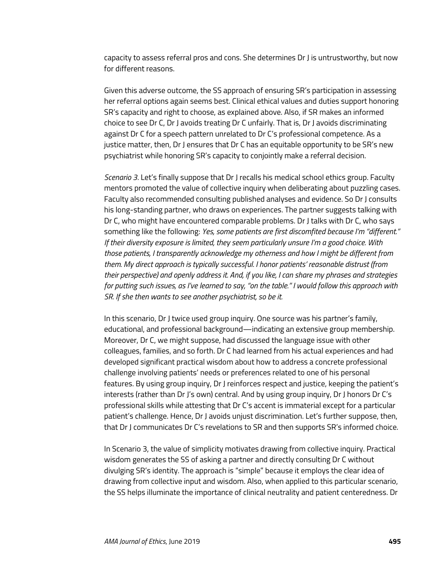capacity to assess referral pros and cons. She determines Dr J is untrustworthy, but now for different reasons.

Given this adverse outcome, the SS approach of ensuring SR's participation in assessing her referral options again seems best. Clinical ethical values and duties support honoring SR's capacity and right to choose, as explained above. Also, if SR makes an informed choice to see Dr C, Dr J avoids treating Dr C unfairly. That is, Dr J avoids discriminating against Dr C for a speech pattern unrelated to Dr C's professional competence. As a justice matter, then, Dr J ensures that Dr C has an equitable opportunity to be SR's new psychiatrist while honoring SR's capacity to conjointly make a referral decision.

*Scenario 3*. Let's finally suppose that Dr J recalls his medical school ethics group. Faculty mentors promoted the value of collective inquiry when deliberating about puzzling cases. Faculty also recommended consulting published analyses and evidence. So Dr J consults his long-standing partner, who draws on experiences. The partner suggests talking with Dr C, who might have encountered comparable problems. Dr J talks with Dr C, who says something like the following: *Yes, some patients are first discomfited because I'm "different." If their diversity exposure is limited, they seem particularly unsure I'm a good choice. With those patients, I transparently acknowledge my otherness and how I might be different from them. My direct approach is typically successful. I honor patients' reasonable distrust (from their perspective) and openly address it. And, if you like, I can share my phrases and strategies for putting such issues, as I've learned to say, "on the table." I would follow this approach with SR. If she then wants to see another psychiatrist, so be it.*

In this scenario, Dr J twice used group inquiry. One source was his partner's family, educational, and professional background—indicating an extensive group membership. Moreover, Dr C, we might suppose, had discussed the language issue with other colleagues, families, and so forth. Dr C had learned from his actual experiences and had developed significant practical wisdom about how to address a concrete professional challenge involving patients' needs or preferences related to one of his personal features. By using group inquiry, Dr J reinforces respect and justice, keeping the patient's interests (rather than Dr J's own) central. And by using group inquiry, Dr J honors Dr C's professional skills while attesting that Dr C's accent is immaterial except for a particular patient's challenge. Hence, Dr J avoids unjust discrimination. Let's further suppose, then, that Dr J communicates Dr C's revelations to SR and then supports SR's informed choice.

In Scenario 3, the value of simplicity motivates drawing from collective inquiry. Practical wisdom generates the SS of asking a partner and directly consulting Dr C without divulging SR's identity. The approach is "simple" because it employs the clear idea of drawing from collective input and wisdom. Also, when applied to this particular scenario, the SS helps illuminate the importance of clinical neutrality and patient centeredness. Dr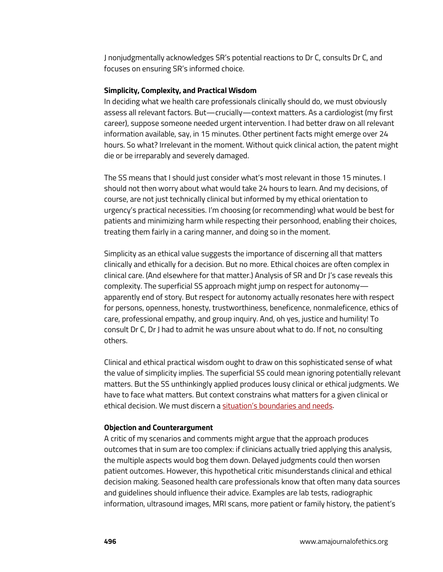J nonjudgmentally acknowledges SR's potential reactions to Dr C, consults Dr C, and focuses on ensuring SR's informed choice.

#### **Simplicity, Complexity, and Practical Wisdom**

In deciding what we health care professionals clinically should do, we must obviously assess all relevant factors. But—crucially—context matters. As a cardiologist (my first career), suppose someone needed urgent intervention. I had better draw on all relevant information available, say, in 15 minutes. Other pertinent facts might emerge over 24 hours. So what? Irrelevant in the moment. Without quick clinical action, the patent might die or be irreparably and severely damaged.

The SS means that I should just consider what's most relevant in those 15 minutes. I should not then worry about what would take 24 hours to learn. And my decisions, of course, are not just technically clinical but informed by my ethical orientation to urgency's practical necessities. I'm choosing (or recommending) what would be best for patients and minimizing harm while respecting their personhood, enabling their choices, treating them fairly in a caring manner, and doing so in the moment.

Simplicity as an ethical value suggests the importance of discerning all that matters clinically and ethically for a decision. But no more. Ethical choices are often complex in clinical care. (And elsewhere for that matter.) Analysis of SR and Dr J's case reveals this complexity. The superficial SS approach might jump on respect for autonomy apparently end of story. But respect for autonomy actually resonates here with respect for persons, openness, honesty, trustworthiness, beneficence, nonmaleficence, ethics of care, professional empathy, and group inquiry. And, oh yes, justice and humility! To consult Dr C, Dr J had to admit he was unsure about what to do. If not, no consulting others.

Clinical and ethical practical wisdom ought to draw on this sophisticated sense of what the value of simplicity implies. The superficial SS could mean ignoring potentially relevant matters. But the SS unthinkingly applied produces lousy clinical or ethical judgments. We have to face what matters. But context constrains what matters for a given clinical or ethical decision. We must discern [a situation's boundaries and needs.](https://journalofethics.ama-assn.org/article/how-situational-diagnosis-helps-disentangle-ethical-and-psychological-features-complex-cases/2017-05)

#### **Objection and Counterargument**

A critic of my scenarios and comments might argue that the approach produces outcomes that in sum are too complex: if clinicians actually tried applying this analysis, the multiple aspects would bog them down. Delayed judgments could then worsen patient outcomes. However, this hypothetical critic misunderstands clinical and ethical decision making. Seasoned health care professionals know that often many data sources and guidelines should influence their advice. Examples are lab tests, radiographic information, ultrasound images, MRI scans, more patient or family history, the patient's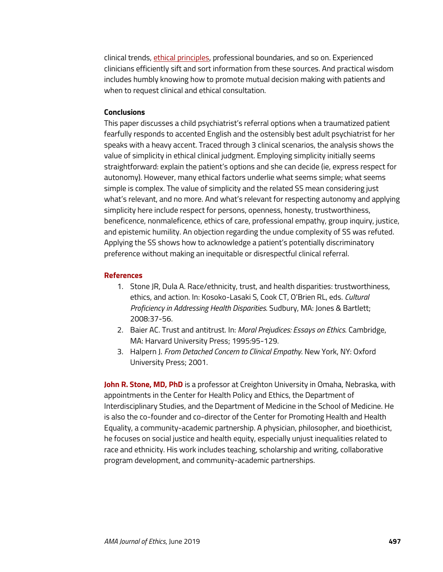clinical trends, [ethical principles,](https://journalofethics.ama-assn.org/article/four-quadrant-approach-ethical-issues-burn-care/2018-06) professional boundaries, and so on. Experienced clinicians efficiently sift and sort information from these sources. And practical wisdom includes humbly knowing how to promote mutual decision making with patients and when to request clinical and ethical consultation.

### **Conclusions**

This paper discusses a child psychiatrist's referral options when a traumatized patient fearfully responds to accented English and the ostensibly best adult psychiatrist for her speaks with a heavy accent. Traced through 3 clinical scenarios, the analysis shows the value of simplicity in ethical clinical judgment. Employing simplicity initially seems straightforward: explain the patient's options and she can decide (ie, express respect for autonomy). However, many ethical factors underlie what seems simple; what seems simple is complex. The value of simplicity and the related SS mean considering just what's relevant, and no more. And what's relevant for respecting autonomy and applying simplicity here include respect for persons, openness, honesty, trustworthiness, beneficence, nonmaleficence, ethics of care, professional empathy, group inquiry, justice, and epistemic humility. An objection regarding the undue complexity of SS was refuted. Applying the SS shows how to acknowledge a patient's potentially discriminatory preference without making an inequitable or disrespectful clinical referral.

#### **References**

- 1. Stone JR, Dula A. Race/ethnicity, trust, and health disparities: trustworthiness, ethics, and action. In: Kosoko-Lasaki S, Cook CT, O'Brien RL, eds. *Cultural Proficiency in Addressing Health Disparities*. Sudbury, MA: Jones & Bartlett; 2008:37-56.
- 2. Baier AC. Trust and antitrust. In: *Moral Prejudices: Essays on Ethics*. Cambridge, MA: Harvard University Press; 1995:95-129.
- 3. Halpern J. *From Detached Concern to Clinical Empathy*. New York, NY: Oxford University Press; 2001.

**John R. Stone, MD, PhD** is a professor at Creighton University in Omaha, Nebraska, with appointments in the Center for Health Policy and Ethics, the Department of Interdisciplinary Studies, and the Department of Medicine in the School of Medicine. He is also the co-founder and co-director of the Center for Promoting Health and Health Equality, a community-academic partnership. A physician, philosopher, and bioethicist, he focuses on social justice and health equity, especially unjust inequalities related to race and ethnicity. His work includes teaching, scholarship and writing, collaborative program development, and community-academic partnerships.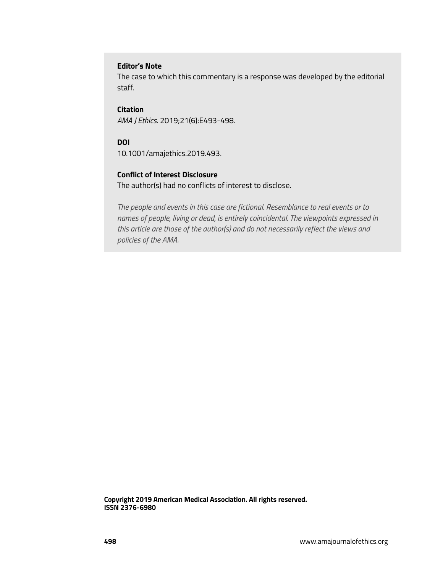#### **Editor's Note**

The case to which this commentary is a response was developed by the editorial staff.

## **Citation**

*AMA J Ethics*. 2019;21(6):E493-498.

### **DOI**

10.1001/amajethics.2019.493.

## **Conflict of Interest Disclosure**

The author(s) had no conflicts of interest to disclose.

*The people and events in this case are fictional. Resemblance to real events or to names of people, living or dead, is entirely coincidental. The viewpoints expressed in this article are those of the author(s) and do not necessarily reflect the views and policies of the AMA.*

**Copyright 2019 American Medical Association. All rights reserved. ISSN 2376-6980**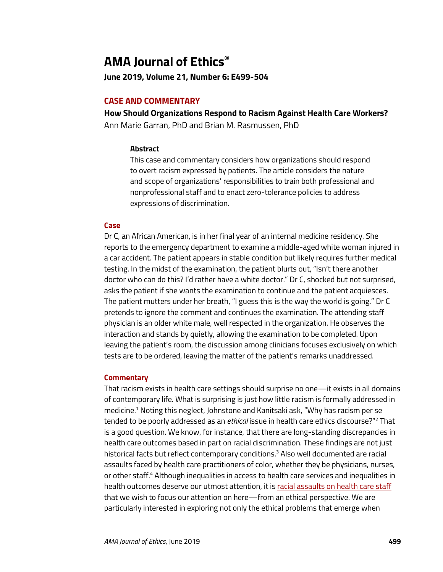# **AMA Journal of Ethics®**

## **June 2019, Volume 21, Number 6: E499-504**

### **CASE AND COMMENTARY**

### **How Should Organizations Respond to Racism Against Health Care Workers?**

Ann Marie Garran, PhD and Brian M. Rasmussen, PhD

### **Abstract**

This case and commentary considers how organizations should respond to overt racism expressed by patients. The article considers the nature and scope of organizations' responsibilities to train both professional and nonprofessional staff and to enact zero-tolerance policies to address expressions of discrimination.

### **Case**

Dr C, an African American, is in her final year of an internal medicine residency. She reports to the emergency department to examine a middle-aged white woman injured in a car accident. The patient appears in stable condition but likely requires further medical testing. In the midst of the examination, the patient blurts out, "Isn't there another doctor who can do this? I'd rather have a white doctor." Dr C, shocked but not surprised, asks the patient if she wants the examination to continue and the patient acquiesces. The patient mutters under her breath, "I guess this is the way the world is going." Dr C pretends to ignore the comment and continues the examination. The attending staff physician is an older white male, well respected in the organization. He observes the interaction and stands by quietly, allowing the examination to be completed. Upon leaving the patient's room, the discussion among clinicians focuses exclusively on which tests are to be ordered, leaving the matter of the patient's remarks unaddressed.

### **Commentary**

That racism exists in health care settings should surprise no one—it exists in all domains of contemporary life. What is surprising is just how little racism is formally addressed in medicine.1 Noting this neglect, Johnstone and Kanitsaki ask, "Why has racism per se tended to be poorly addressed as an *ethical* issue in health care ethics discourse?"2 That is a good question. We know, for instance, that there are long-standing discrepancies in health care outcomes based in part on racial discrimination. These findings are not just historical facts but reflect contemporary conditions.<sup>3</sup> Also well documented are racial assaults faced by health care practitioners of color, whether they be physicians, nurses, or other staff.<sup>4</sup> Although inequalities in access to health care services and inequalities in health outcomes deserve our utmost attention, it is [racial assaults on health care staff](https://journalofethics.ama-assn.org/article/how-should-clinicians-and-trainees-respond-each-other-and-patients-whose-views-or-behaviors-are/2019-06) that we wish to focus our attention on here—from an ethical perspective. We are particularly interested in exploring not only the ethical problems that emerge when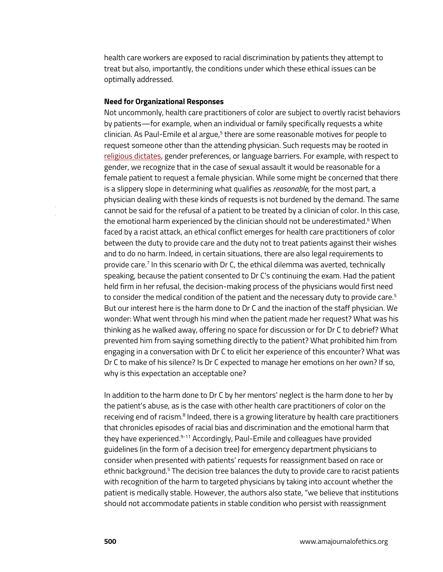health care workers are exposed to racial discrimination by patients they attempt to treat but also, importantly, the conditions under which these ethical issues can be optimally addressed.

#### **Need for Organizational Responses**

Not uncommonly, health care practitioners of color are subject to overtly racist behaviors by patients—for example, when an individual or family specifically requests a white clinician. As Paul-Emile et al argue,<sup>5</sup> there are some reasonable motives for people to request someone other than the attending physician. Such requests may be rooted in [religious dictates,](https://journalofethics.ama-assn.org/article/how-should-physicians-respond-patient-requests-religious-concordance/2019-06) gender preferences, or language barriers. For example, with respect to gender, we recognize that in the case of sexual assault it would be reasonable for a female patient to request a female physician. While some might be concerned that there is a slippery slope in determining what qualifies as *reasonable*, for the most part, a physician dealing with these kinds of requests is not burdened by the demand. The same cannot be said for the refusal of a patient to be treated by a clinician of color. In this case, the emotional harm experienced by the clinician should not be underestimated.<sup>6</sup> When faced by a racist attack, an ethical conflict emerges for health care practitioners of color between the duty to provide care and the duty not to treat patients against their wishes and to do no harm. Indeed, in certain situations, there are also legal requirements to provide care.7 In this scenario with Dr C, the ethical dilemma was averted, technically speaking, because the patient consented to Dr C's continuing the exam. Had the patient held firm in her refusal, the decision-making process of the physicians would first need to consider the medical condition of the patient and the necessary duty to provide care.<sup>5</sup> But our interest here is the harm done to Dr C and the inaction of the staff physician. We wonder: What went through his mind when the patient made her request? What was his thinking as he walked away, offering no space for discussion or for Dr C to debrief? What prevented him from saying something directly to the patient? What prohibited him from engaging in a conversation with Dr C to elicit her experience of this encounter? What was Dr C to make of his silence? Is Dr C expected to manage her emotions on her own? If so, why is this expectation an acceptable one?

In addition to the harm done to Dr C by her mentors' neglect is the harm done to her by the patient's abuse, as is the case with other health care practitioners of color on the receiving end of racism.<sup>8</sup> Indeed, there is a growing literature by health care practitioners that chronicles episodes of racial bias and discrimination and the emotional harm that they have experienced.<sup>9-11</sup> Accordingly, Paul-Emile and colleagues have provided guidelines (in the form of a decision tree) for emergency department physicians to consider when presented with patients' requests for reassignment based on race or ethnic background.<sup>5</sup> The decision tree balances the duty to provide care to racist patients with recognition of the harm to targeted physicians by taking into account whether the patient is medically stable. However, the authors also state, "we believe that institutions should not accommodate patients in stable condition who persist with reassignment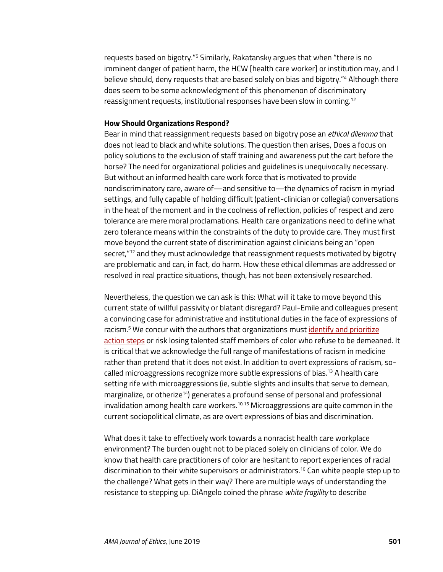requests based on bigotry."<sup>5</sup> Similarly, Rakatansky argues that when "there is no imminent danger of patient harm, the HCW [health care worker] or institution may, and I believe should, deny requests that are based solely on bias and bigotry."<sup>4</sup> Although there does seem to be some acknowledgment of this phenomenon of discriminatory reassignment requests, institutional responses have been slow in coming.<sup>12</sup>

### **How Should Organizations Respond?**

Bear in mind that reassignment requests based on bigotry pose an *ethical dilemma* that does not lead to black and white solutions. The question then arises, Does a focus on policy solutions to the exclusion of staff training and awareness put the cart before the horse? The need for organizational policies and guidelines is unequivocally necessary. But without an informed health care work force that is motivated to provide nondiscriminatory care, aware of—and sensitive to—the dynamics of racism in myriad settings, and fully capable of holding difficult (patient-clinician or collegial) conversations in the heat of the moment and in the coolness of reflection, policies of respect and zero tolerance are mere moral proclamations. Health care organizations need to define what zero tolerance means within the constraints of the duty to provide care. They must first move beyond the current state of discrimination against clinicians being an "open secret,"<sup>12</sup> and they must acknowledge that reassignment requests motivated by bigotry are problematic and can, in fact, do harm. How these ethical dilemmas are addressed or resolved in real practice situations, though, has not been extensively researched.

Nevertheless, the question we can ask is this: What will it take to move beyond this current state of willful passivity or blatant disregard? Paul-Emile and colleagues present a convincing case for administrative and institutional duties in the face of expressions of racism.<sup>5</sup> We concur with the authors that organizations must *identify and prioritize* [action steps](https://journalofethics.ama-assn.org/article/how-should-organizations-support-trainees-face-patient-bias/2019-06) or risk losing talented staff members of color who refuse to be demeaned. It is critical that we acknowledge the full range of manifestations of racism in medicine rather than pretend that it does not exist. In addition to overt expressions of racism, socalled microaggressions recognize more subtle expressions of bias.<sup>13</sup> A health care setting rife with microaggressions (ie, subtle slights and insults that serve to demean, marginalize, or otherize<sup>14</sup>) generates a profound sense of personal and professional invalidation among health care workers.<sup>10,15</sup> Microaggressions are quite common in the current sociopolitical climate, as are overt expressions of bias and discrimination.

What does it take to effectively work towards a nonracist health care workplace environment? The burden ought not to be placed solely on clinicians of color. We do know that health care practitioners of color are hesitant to report experiences of racial discrimination to their white supervisors or administrators.16 Can white people step up to the challenge? What gets in their way? There are multiple ways of understanding the resistance to stepping up. DiAngelo coined the phrase *white fragility* to describe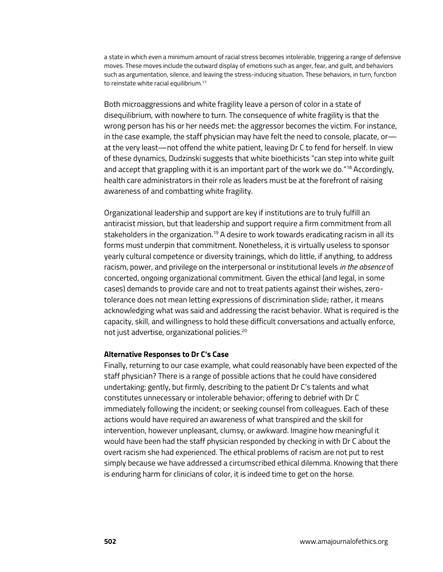a state in which even a minimum amount of racial stress becomes intolerable, triggering a range of defensive moves. These moves include the outward display of emotions such as anger, fear, and guilt, and behaviors such as argumentation, silence, and leaving the stress-inducing situation. These behaviors, in turn, function to reinstate white racial equilibrium.<sup>17</sup>

Both microaggressions and white fragility leave a person of color in a state of disequilibrium, with nowhere to turn. The consequence of white fragility is that the wrong person has his or her needs met: the aggressor becomes the victim. For instance, in the case example, the staff physician may have felt the need to console, placate, or at the very least—not offend the white patient, leaving Dr C to fend for herself. In view of these dynamics, Dudzinski suggests that white bioethicists "can step into white guilt and accept that grappling with it is an important part of the work we do."<sup>18</sup> Accordingly, health care administrators in their role as leaders must be at the forefront of raising awareness of and combatting white fragility.

Organizational leadership and support are key if institutions are to truly fulfill an antiracist mission, but that leadership and support require a firm commitment from all stakeholders in the organization.<sup>19</sup> A desire to work towards eradicating racism in all its forms must underpin that commitment. Nonetheless, it is virtually useless to sponsor yearly cultural competence or diversity trainings, which do little, if anything, to address racism, power, and privilege on the interpersonal or institutional levels *in the absence* of concerted, ongoing organizational commitment. Given the ethical (and legal, in some cases) demands to provide care and not to treat patients against their wishes, zerotolerance does not mean letting expressions of discrimination slide; rather, it means acknowledging what was said and addressing the racist behavior. What is required is the capacity, skill, and willingness to hold these difficult conversations and actually enforce, not just advertise, organizational policies.20

#### **Alternative Responses to Dr C's Case**

Finally, returning to our case example, what could reasonably have been expected of the staff physician? There is a range of possible actions that he could have considered undertaking: gently, but firmly, describing to the patient Dr C's talents and what constitutes unnecessary or intolerable behavior; offering to debrief with Dr C immediately following the incident; or seeking counsel from colleagues. Each of these actions would have required an awareness of what transpired and the skill for intervention, however unpleasant, clumsy, or awkward. Imagine how meaningful it would have been had the staff physician responded by checking in with Dr C about the overt racism she had experienced. The ethical problems of racism are not put to rest simply because we have addressed a circumscribed ethical dilemma. Knowing that there is enduring harm for clinicians of color, it is indeed time to get on the horse.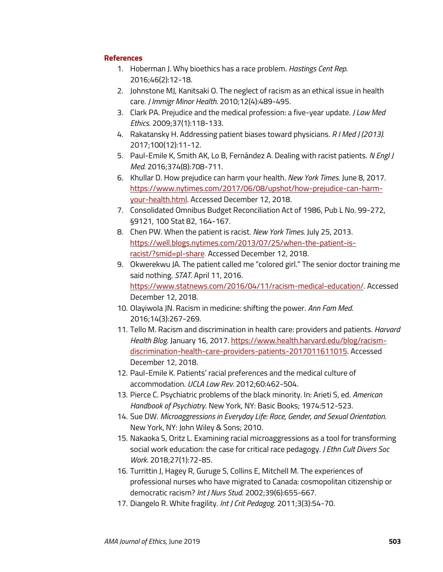## **References**

- 1. Hoberman J. Why bioethics has a race problem. *Hastings Cent Rep*. 2016;46(2):12-18.
- 2. Johnstone MJ, Kanitsaki O. The neglect of racism as an ethical issue in health care. *J Immigr Minor Health*. 2010;12(4):489-495.
- 3. Clark PA. Prejudice and the medical profession: a five-year update. *J Law Med Ethics*. 2009;37(1):118-133.
- 4. Rakatansky H. Addressing patient biases toward physicians. *R I Med J (2013)*. 2017;100(12):11-12.
- 5. Paul-Emile K, Smith AK, Lo B, Fernández A. Dealing with racist patients. *N Engl J Med*. 2016;374(8):708-711.
- 6. Khullar D. How prejudice can harm your health. *New York Times*. June 8, 2017. [https://www.nytimes.com/2017/06/08/upshot/how-prejudice-can-harm](https://www.nytimes.com/2017/06/08/upshot/how-prejudice-can-harm-your-health.html)[your-health.html.](https://www.nytimes.com/2017/06/08/upshot/how-prejudice-can-harm-your-health.html) Accessed December 12, 2018.
- 7. Consolidated Omnibus Budget Reconciliation Act of 1986, Pub L No. 99-272, §9121, 100 Stat 82, 164-167.
- 8. Chen PW. When the patient is racist. *New York Times*. July 25, 2013. [https://well.blogs.nytimes.com/2013/07/25/when-the-patient-is](https://well.blogs.nytimes.com/2013/07/25/when-the-patient-is-racist/?smid=pl-share)[racist/?smid=pl-share.](https://well.blogs.nytimes.com/2013/07/25/when-the-patient-is-racist/?smid=pl-share) Accessed December 12, 2018.
- 9. Okwerekwu JA. The patient called me "colored girl." The senior doctor training me said nothing. *STAT*. April 11, 2016. [https://www.statnews.com/2016/04/11/racism-medical-education/.](https://www.statnews.com/2016/04/11/racism-medical-education/) Accessed December 12, 2018.
- 10. Olayiwola JN. Racism in medicine: shifting the power. *Ann Fam Med*. 2016;14(3):267-269.
- 11. Tello M. Racism and discrimination in health care: providers and patients. *Harvard Health Blog*. January 16, 2017. [https://www.health.harvard.edu/blog/racism](https://www.health.harvard.edu/blog/racism-discrimination-health-care-providers-patients-2017011611015)[discrimination-health-care-providers-patients-2017011611015.](https://www.health.harvard.edu/blog/racism-discrimination-health-care-providers-patients-2017011611015) Accessed December 12, 2018.
- 12. Paul-Emile K. Patients' racial preferences and the medical culture of accommodation. *UCLA Law Rev*. 2012;60:462-504.
- 13. Pierce C. Psychiatric problems of the black minority. In: Arieti S, ed. *American Handbook of Psychiatry*. New York, NY: Basic Books; 1974:512-523.
- 14. Sue DW. *Microaggressions in Everyday Life: Race, Gender, and Sexual Orientation*. New York, NY: John Wiley & Sons; 2010.
- 15. Nakaoka S, Oritz L. Examining racial microaggressions as a tool for transforming social work education: the case for critical race pedagogy. *J Ethn Cult Divers Soc Work*. 2018;27(1):72-85.
- 16. Turrittin J, Hagey R, Guruge S, Collins E, Mitchell M. The experiences of professional nurses who have migrated to Canada: cosmopolitan citizenship or democratic racism? *Int J Nurs Stud*. 2002;39(6):655-667.
- 17. Diangelo R. White fragility. *Int J Crit Pedagog*. 2011;3(3):54-70.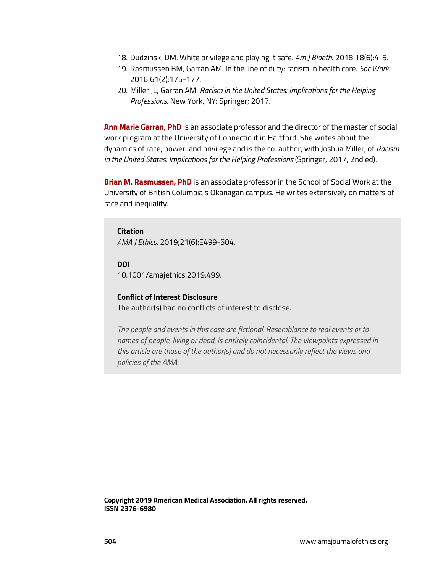- 18. Dudzinski DM. White privilege and playing it safe. *Am J Bioeth*. 2018;18(6):4-5.
- 19. Rasmussen BM, Garran AM. In the line of duty: racism in health care. *Soc Work*. 2016;61(2):175-177.
- 20. Miller JL, Garran AM. *Racism in the United States: Implications for the Helping Professions*. New York, NY: Springer; 2017.

**Ann Marie Garran, PhD** is an associate professor and the director of the master of social work program at the University of Connecticut in Hartford. She writes about the dynamics of race, power, and privilege and is the co-author, with Joshua Miller, of *Racism in the United States: Implications for the Helping Professions* (Springer, 2017, 2nd ed).

**Brian M. Rasmussen, PhD** is an associate professor in the School of Social Work at the University of British Columbia's Okanagan campus. He writes extensively on matters of race and inequality.

### **Citation**

*AMA J Ethics*. 2019;21(6):E499-504.

#### **DOI**

10.1001/amajethics.2019.499.

#### **Conflict of Interest Disclosure**

The author(s) had no conflicts of interest to disclose.

*The people and events in this case are fictional. Resemblance to real events or to names of people, living or dead, is entirely coincidental. The viewpoints expressed in this article are those of the author(s) and do not necessarily reflect the views and policies of the AMA.*

**Copyright 2019 American Medical Association. All rights reserved. ISSN 2376-6980**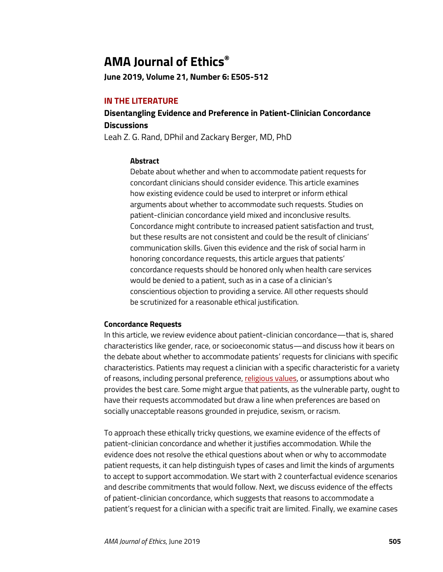# **AMA Journal of Ethics®**

**June 2019, Volume 21, Number 6: E505-512**

## **IN THE LITERATURE**

## **Disentangling Evidence and Preference in Patient-Clinician Concordance Discussions**

Leah Z. G. Rand, DPhil and Zackary Berger, MD, PhD

## **Abstract**

Debate about whether and when to accommodate patient requests for concordant clinicians should consider evidence. This article examines how existing evidence could be used to interpret or inform ethical arguments about whether to accommodate such requests. Studies on patient-clinician concordance yield mixed and inconclusive results. Concordance might contribute to increased patient satisfaction and trust, but these results are not consistent and could be the result of clinicians' communication skills. Given this evidence and the risk of social harm in honoring concordance requests, this article argues that patients' concordance requests should be honored only when health care services would be denied to a patient, such as in a case of a clinician's conscientious objection to providing a service. All other requests should be scrutinized for a reasonable ethical justification.

## **Concordance Requests**

In this article, we review evidence about patient-clinician concordance—that is, shared characteristics like gender, race, or socioeconomic status—and discuss how it bears on the debate about whether to accommodate patients' requests for clinicians with specific characteristics. Patients may request a clinician with a specific characteristic for a variety of reasons, including personal preference[, religious values,](https://journalofethics.ama-assn.org/article/how-should-physicians-respond-patient-requests-religious-concordance/2019-06) or assumptions about who provides the best care. Some might argue that patients, as the vulnerable party, ought to have their requests accommodated but draw a line when preferences are based on socially unacceptable reasons grounded in prejudice, sexism, or racism.

To approach these ethically tricky questions, we examine evidence of the effects of patient-clinician concordance and whether it justifies accommodation. While the evidence does not resolve the ethical questions about when or why to accommodate patient requests, it can help distinguish types of cases and limit the kinds of arguments to accept to support accommodation. We start with 2 counterfactual evidence scenarios and describe commitments that would follow. Next, we discuss evidence of the effects of patient-clinician concordance, which suggests that reasons to accommodate a patient's request for a clinician with a specific trait are limited. Finally, we examine cases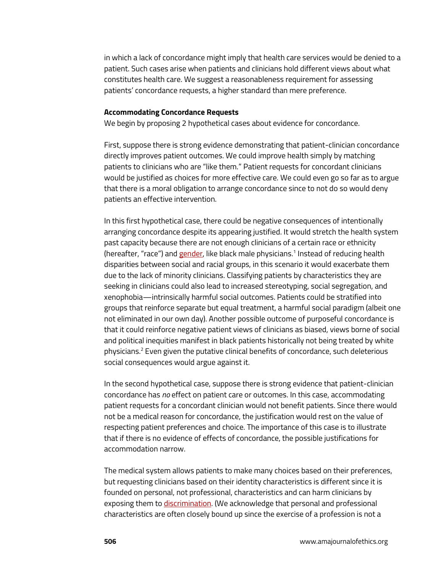in which a lack of concordance might imply that health care services would be denied to a patient. Such cases arise when patients and clinicians hold different views about what constitutes health care. We suggest a reasonableness requirement for assessing patients' concordance requests, a higher standard than mere preference.

#### **Accommodating Concordance Requests**

We begin by proposing 2 hypothetical cases about evidence for concordance.

First, suppose there is strong evidence demonstrating that patient-clinician concordance directly improves patient outcomes. We could improve health simply by matching patients to clinicians who are "like them." Patient requests for concordant clinicians would be justified as choices for more effective care. We could even go so far as to argue that there is a moral obligation to arrange concordance since to not do so would deny patients an effective intervention.

In this first hypothetical case, there could be negative consequences of intentionally arranging concordance despite its appearing justified. It would stretch the health system past capacity because there are not enough clinicians of a certain race or ethnicity (hereafter, "race") and [gender,](https://journalofethics.ama-assn.org/article/how-should-physicians-respond-when-patients-distrust-them-because-their-gender/2017-04) like black male physicians.<sup>1</sup> Instead of reducing health disparities between social and racial groups, in this scenario it would exacerbate them due to the lack of minority clinicians. Classifying patients by characteristics they are seeking in clinicians could also lead to increased stereotyping, social segregation, and xenophobia—intrinsically harmful social outcomes. Patients could be stratified into groups that reinforce separate but equal treatment, a harmful social paradigm (albeit one not eliminated in our own day). Another possible outcome of purposeful concordance is that it could reinforce negative patient views of clinicians as biased, views borne of social and political inequities manifest in black patients historically not being treated by white physicians.2 Even given the putative clinical benefits of concordance, such deleterious social consequences would argue against it.

In the second hypothetical case, suppose there is strong evidence that patient-clinician concordance has *no* effect on patient care or outcomes. In this case, accommodating patient requests for a concordant clinician would not benefit patients. Since there would not be a medical reason for concordance, the justification would rest on the value of respecting patient preferences and choice. The importance of this case is to illustrate that if there is no evidence of effects of concordance, the possible justifications for accommodation narrow.

The medical system allows patients to make many choices based on their preferences, but requesting clinicians based on their identity characteristics is different since it is founded on personal, not professional, characteristics and can harm clinicians by exposing them t[o discrimination.](https://journalofethics.ama-assn.org/article/one-residents-recommendations-responding-unjust-patient-bias/2019-06) (We acknowledge that personal and professional characteristics are often closely bound up since the exercise of a profession is not a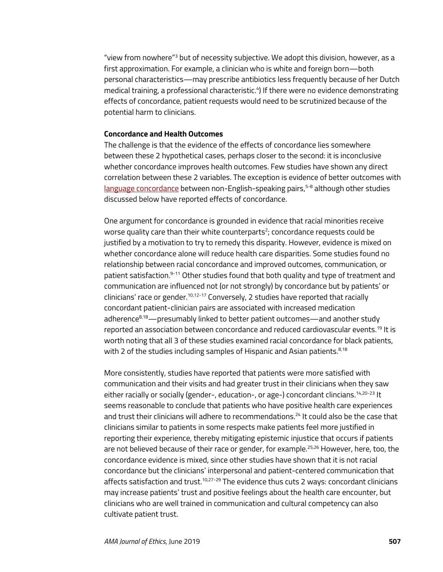"view from nowhere"3 but of necessity subjective. We adopt this division, however, as a first approximation. For example, a clinician who is white and foreign born—both personal characteristics—may prescribe antibiotics less frequently because of her Dutch medical training, a professional characteristic.<sup>4</sup>) If there were no evidence demonstrating effects of concordance, patient requests would need to be scrutinized because of the potential harm to clinicians.

#### **Concordance and Health Outcomes**

The challenge is that the evidence of the effects of concordance lies somewhere between these 2 hypothetical cases, perhaps closer to the second: it is inconclusive whether concordance improves health outcomes. Few studies have shown any direct correlation between these 2 variables. The exception is evidence of better outcomes with [language concordance](https://journalofethics.ama-assn.org/article/should-all-us-physicians-speak-spanish/2008-04) between non-English-speaking pairs,<sup>5-8</sup> although other studies discussed below have reported effects of concordance.

One argument for concordance is grounded in evidence that racial minorities receive worse quality care than their white counterparts $^2$ ; concordance requests could be justified by a motivation to try to remedy this disparity. However, evidence is mixed on whether concordance alone will reduce health care disparities. Some studies found no relationship between racial concordance and improved outcomes, communication, or patient satisfaction.<sup>9-11</sup> Other studies found that both quality and type of treatment and communication are influenced not (or not strongly) by concordance but by patients' or clinicians' race or gender.<sup>10,12-17</sup> Conversely, 2 studies have reported that racially concordant patient-clinician pairs are associated with increased medication adherence<sup>8,18</sup>—presumably linked to better patient outcomes—and another study reported an association between concordance and reduced cardiovascular events.<sup>19</sup> It is worth noting that all 3 of these studies examined racial concordance for black patients, with 2 of the studies including samples of Hispanic and Asian patients.<sup>8,18</sup>

More consistently, studies have reported that patients were more satisfied with communication and their visits and had greater trust in their clinicians when they saw either racially or socially (gender-, education-, or age-) concordant clincians.<sup>14,20-23</sup> It seems reasonable to conclude that patients who have positive health care experiences and trust their clinicians will adhere to recommendations.<sup>24</sup> It could also be the case that clinicians similar to patients in some respects make patients feel more justified in reporting their experience, thereby mitigating epistemic injustice that occurs if patients are not believed because of their race or gender, for example.<sup>25,26</sup> However, here, too, the concordance evidence is mixed, since other studies have shown that it is not racial concordance but the clinicians' interpersonal and patient-centered communication that affects satisfaction and trust.<sup>10,27-29</sup> The evidence thus cuts 2 ways: concordant clinicians may increase patients' trust and positive feelings about the health care encounter, but clinicians who are well trained in communication and cultural competency can also cultivate patient trust.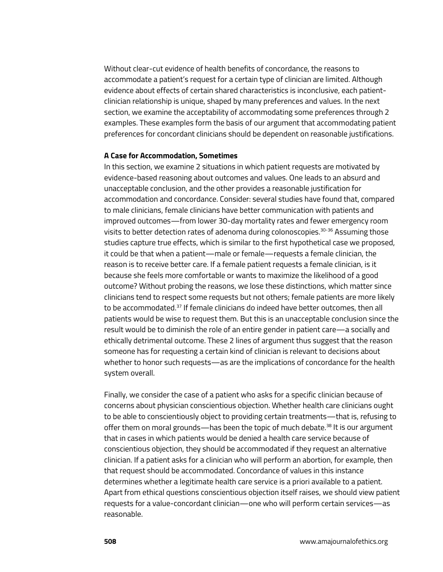Without clear-cut evidence of health benefits of concordance, the reasons to accommodate a patient's request for a certain type of clinician are limited. Although evidence about effects of certain shared characteristics is inconclusive, each patientclinician relationship is unique, shaped by many preferences and values. In the next section, we examine the acceptability of accommodating some preferences through 2 examples. These examples form the basis of our argument that accommodating patient preferences for concordant clinicians should be dependent on reasonable justifications.

#### **A Case for Accommodation, Sometimes**

In this section, we examine 2 situations in which patient requests are motivated by evidence-based reasoning about outcomes and values. One leads to an absurd and unacceptable conclusion, and the other provides a reasonable justification for accommodation and concordance. Consider: several studies have found that, compared to male clinicians, female clinicians have better communication with patients and improved outcomes—from lower 30-day mortality rates and fewer emergency room visits to better detection rates of adenoma during colonoscopies.<sup>30-36</sup> Assuming those studies capture true effects, which is similar to the first hypothetical case we proposed, it could be that when a patient—male or female—requests a female clinician, the reason is to receive better care. If a female patient requests a female clinician, is it because she feels more comfortable or wants to maximize the likelihood of a good outcome? Without probing the reasons, we lose these distinctions, which matter since clinicians tend to respect some requests but not others; female patients are more likely to be accommodated.37 If female clinicians do indeed have better outcomes, then all patients would be wise to request them. But this is an unacceptable conclusion since the result would be to diminish the role of an entire gender in patient care—a socially and ethically detrimental outcome. These 2 lines of argument thus suggest that the reason someone has for requesting a certain kind of clinician is relevant to decisions about whether to honor such requests—as are the implications of concordance for the health system overall.

Finally, we consider the case of a patient who asks for a specific clinician because of concerns about physician conscientious objection. Whether health care clinicians ought to be able to conscientiously object to providing certain treatments—that is, refusing to offer them on moral grounds—has been the topic of much debate.<sup>38</sup> It is our argument that in cases in which patients would be denied a health care service because of conscientious objection, they should be accommodated if they request an alternative clinician. If a patient asks for a clinician who will perform an abortion, for example, then that request should be accommodated. Concordance of values in this instance determines whether a legitimate health care service is a priori available to a patient. Apart from ethical questions conscientious objection itself raises, we should view patient requests for a value-concordant clinician—one who will perform certain services—as reasonable.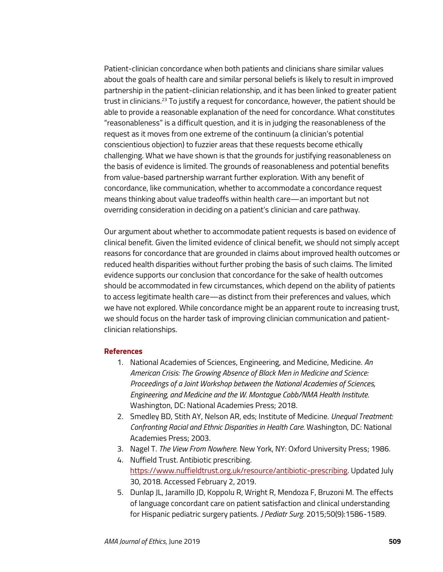Patient-clinician concordance when both patients and clinicians share similar values about the goals of health care and similar personal beliefs is likely to result in improved partnership in the patient-clinician relationship, and it has been linked to greater patient trust in clinicians.23 To justify a request for concordance, however, the patient should be able to provide a reasonable explanation of the need for concordance. What constitutes "reasonableness" is a difficult question, and it is in judging the reasonableness of the request as it moves from one extreme of the continuum (a clinician's potential conscientious objection) to fuzzier areas that these requests become ethically challenging. What we have shown is that the grounds for justifying reasonableness on the basis of evidence is limited. The grounds of reasonableness and potential benefits from value-based partnership warrant further exploration. With any benefit of concordance, like communication, whether to accommodate a concordance request means thinking about value tradeoffs within health care—an important but not overriding consideration in deciding on a patient's clinician and care pathway.

Our argument about whether to accommodate patient requests is based on evidence of clinical benefit. Given the limited evidence of clinical benefit, we should not simply accept reasons for concordance that are grounded in claims about improved health outcomes or reduced health disparities without further probing the basis of such claims. The limited evidence supports our conclusion that concordance for the sake of health outcomes should be accommodated in few circumstances, which depend on the ability of patients to access legitimate health care—as distinct from their preferences and values, which we have not explored. While concordance might be an apparent route to increasing trust, we should focus on the harder task of improving clinician communication and patientclinician relationships.

### **References**

- 1. National Academies of Sciences, Engineering, and Medicine, Medicine. *An American Crisis: The Growing Absence of Black Men in Medicine and Science: Proceedings of a Joint Workshop between the National Academies of Sciences, Engineering, and Medicine and the W. Montague Cobb/NMA Health Institute*. Washington, DC: National Academies Press; 2018.
- 2. Smedley BD, Stith AY, Nelson AR, eds; Institute of Medicine. *Unequal Treatment: Confronting Racial and Ethnic Disparities in Health Care*. Washington, DC: National Academies Press; 2003.
- 3. Nagel T. *The View From Nowhere*. New York, NY: Oxford University Press; 1986.
- 4. Nuffield Trust. Antibiotic prescribing. [https://www.nuffieldtrust.org.uk/resource/antibiotic-prescribing.](https://www.nuffieldtrust.org.uk/resource/antibiotic-prescribing) Updated July 30, 2018. Accessed February 2, 2019.
- 5. Dunlap JL, Jaramillo JD, Koppolu R, Wright R, Mendoza F, Bruzoni M. The effects of language concordant care on patient satisfaction and clinical understanding for Hispanic pediatric surgery patients. *J Pediatr Surg*. 2015;50(9):1586-1589.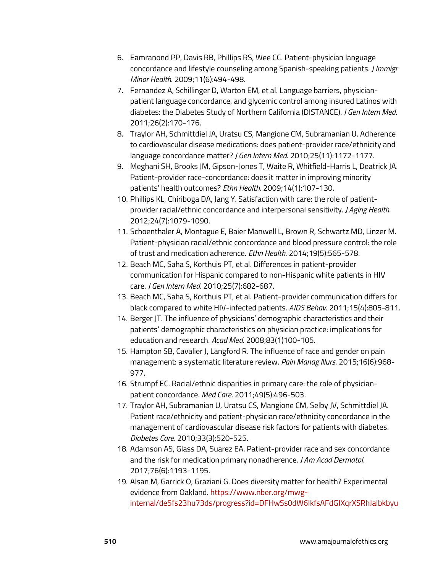- 6. Eamranond PP, Davis RB, Phillips RS, Wee CC. Patient-physician language concordance and lifestyle counseling among Spanish-speaking patients. *J Immigr Minor Health*. 2009;11(6):494-498.
- 7. Fernandez A, Schillinger D, Warton EM, et al. Language barriers, physicianpatient language concordance, and glycemic control among insured Latinos with diabetes: the Diabetes Study of Northern California (DISTANCE). *J Gen Intern Med*. 2011;26(2):170-176.
- 8. Traylor AH, Schmittdiel JA, Uratsu CS, Mangione CM, Subramanian U. Adherence to cardiovascular disease medications: does patient-provider race/ethnicity and language concordance matter? *J Gen Intern Med*. 2010;25(11):1172-1177.
- 9. Meghani SH, Brooks JM, Gipson-Jones T, Waite R, Whitfield-Harris L, Deatrick JA. Patient-provider race-concordance: does it matter in improving minority patients' health outcomes? *Ethn Health*. 2009;14(1):107-130.
- 10. Phillips KL, Chiriboga DA, Jang Y. Satisfaction with care: the role of patientprovider racial/ethnic concordance and interpersonal sensitivity. *J Aging Health*. 2012;24(7):1079-1090.
- 11. Schoenthaler A, Montague E, Baier Manwell L, Brown R, Schwartz MD, Linzer M. Patient-physician racial/ethnic concordance and blood pressure control: the role of trust and medication adherence. *Ethn Health*. 2014;19(5):565-578.
- 12. Beach MC, Saha S, Korthuis PT, et al. Differences in patient-provider communication for Hispanic compared to non-Hispanic white patients in HIV care. *J Gen Intern Med*. 2010;25(7):682-687.
- 13. Beach MC, Saha S, Korthuis PT, et al. Patient-provider communication differs for black compared to white HIV-infected patients. *AIDS Behav*. 2011;15(4):805-811.
- 14. Berger JT. The influence of physicians' demographic characteristics and their patients' demographic characteristics on physician practice: implications for education and research. *Acad Med*. 2008;83(1)100-105.
- 15. Hampton SB, Cavalier J, Langford R. The influence of race and gender on pain management: a systematic literature review. *Pain Manag Nurs*. 2015;16(6):968- 977.
- 16. Strumpf EC. Racial/ethnic disparities in primary care: the role of physicianpatient concordance. *Med Care*. 2011;49(5):496-503.
- 17. Traylor AH, Subramanian U, Uratsu CS, Mangione CM, Selby JV, Schmittdiel JA. Patient race/ethnicity and patient-physician race/ethnicity concordance in the management of cardiovascular disease risk factors for patients with diabetes. *Diabetes Care*. 2010;33(3):520-525.
- 18. Adamson AS, Glass DA, Suarez EA. Patient-provider race and sex concordance and the risk for medication primary nonadherence. *J Am Acad Dermatol*. 2017;76(6):1193-1195.
- 19. Alsan M, Garrick O, Graziani G. Does diversity matter for health? Experimental evidence from Oakland. [https://www.nber.org/mwg](https://www.nber.org/mwg-internal/de5fs23hu73ds/progress?id=DFHwSs0dW6IkfsAFdGJXqrXSRhJalbkbyuOzprJwEpA,&dl)[internal/de5fs23hu73ds/progress?id=DFHwSs0dW6IkfsAFdGJXqrXSRhJalbkbyu](https://www.nber.org/mwg-internal/de5fs23hu73ds/progress?id=DFHwSs0dW6IkfsAFdGJXqrXSRhJalbkbyuOzprJwEpA,&dl)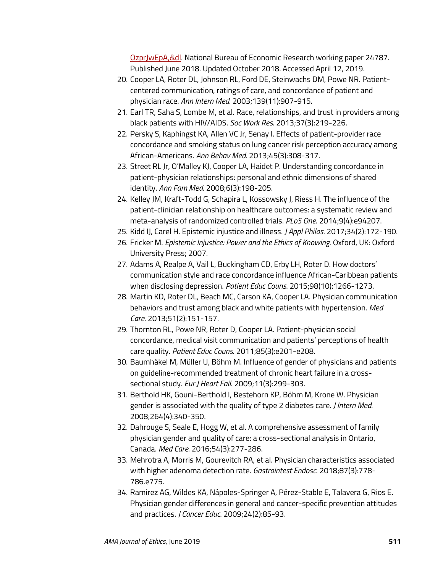[OzprJwEpA,&dl.](https://www.nber.org/mwg-internal/de5fs23hu73ds/progress?id=DFHwSs0dW6IkfsAFdGJXqrXSRhJalbkbyuOzprJwEpA,&dl) National Bureau of Economic Research working paper 24787. Published June 2018. Updated October 2018. Accessed April 12, 2019.

- 20. Cooper LA, Roter DL, Johnson RL, Ford DE, Steinwachs DM, Powe NR. Patientcentered communication, ratings of care, and concordance of patient and physician race. *Ann Intern Med*. 2003;139(11):907-915.
- 21. Earl TR, Saha S, Lombe M, et al. Race, relationships, and trust in providers among black patients with HIV/AIDS. *Soc Work Res*. 2013;37(3):219-226.
- 22. Persky S, Kaphingst KA, Allen VC Jr, Senay I. Effects of patient-provider race concordance and smoking status on lung cancer risk perception accuracy among African-Americans. *Ann Behav Med*. 2013;45(3):308-317.
- 23. Street RL Jr, O'Malley KJ, Cooper LA, Haidet P. Understanding concordance in patient-physician relationships: personal and ethnic dimensions of shared identity. *Ann Fam Med*. 2008;6(3):198-205.
- 24. Kelley JM, Kraft-Todd G, Schapira L, Kossowsky J, Riess H. The influence of the patient-clinician relationship on healthcare outcomes: a systematic review and meta-analysis of randomized controlled trials. *PLoS One*. 2014;9(4):e94207.
- 25. Kidd IJ, Carel H. Epistemic injustice and illness. *J Appl Philos*. 2017;34(2):172-190.
- 26. Fricker M. *Epistemic Injustice: Power and the Ethics of Knowing*. Oxford, UK: Oxford University Press; 2007.
- 27. Adams A, Realpe A, Vail L, Buckingham CD, Erby LH, Roter D. How doctors' communication style and race concordance influence African-Caribbean patients when disclosing depression. *Patient Educ Couns*. 2015;98(10):1266-1273.
- 28. Martin KD, Roter DL, Beach MC, Carson KA, Cooper LA. Physician communication behaviors and trust among black and white patients with hypertension. *Med Care*. 2013;51(2):151-157.
- 29. Thornton RL, Powe NR, Roter D, Cooper LA. Patient-physician social concordance, medical visit communication and patients' perceptions of health care quality. *Patient Educ Couns*. 2011;85(3):e201-e208.
- 30. Baumhäkel M, Müller U, Böhm M. Influence of gender of physicians and patients on guideline-recommended treatment of chronic heart failure in a crosssectional study. *Eur J Heart Fail*. 2009;11(3):299-303.
- 31. Berthold HK, Gouni-Berthold I, Bestehorn KP, Böhm M, Krone W. Physician gender is associated with the quality of type 2 diabetes care. *J Intern Med*. 2008;264(4):340-350.
- 32. Dahrouge S, Seale E, Hogg W, et al. A comprehensive assessment of family physician gender and quality of care: a cross-sectional analysis in Ontario, Canada. *Med Care*. 2016;54(3):277-286.
- 33. Mehrotra A, Morris M, Gourevitch RA, et al. Physician characteristics associated with higher adenoma detection rate. *Gastrointest Endosc*. 2018;87(3):778- 786.e775.
- 34. Ramirez AG, Wildes KA, Nápoles-Springer A, Pérez-Stable E, Talavera G, Rios E. Physician gender differences in general and cancer-specific prevention attitudes and practices. *J Cancer Educ*. 2009;24(2):85-93.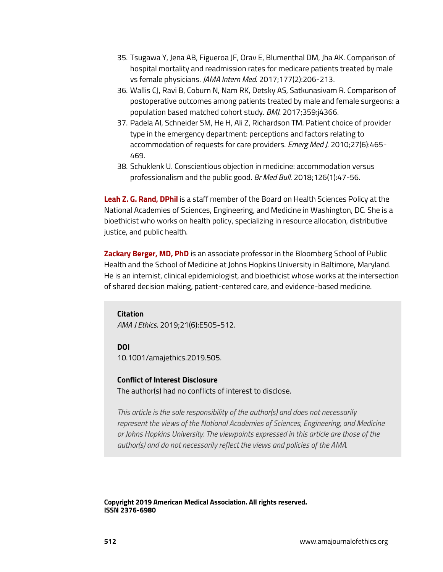- 35. Tsugawa Y, Jena AB, Figueroa JF, Orav E, Blumenthal DM, Jha AK. Comparison of hospital mortality and readmission rates for medicare patients treated by male vs female physicians. *JAMA Intern Med*. 2017;177(2):206-213.
- 36. Wallis CJ, Ravi B, Coburn N, Nam RK, Detsky AS, Satkunasivam R. Comparison of postoperative outcomes among patients treated by male and female surgeons: a population based matched cohort study. *BMJ*. 2017;359:j4366.
- 37. Padela AI, Schneider SM, He H, Ali Z, Richardson TM. Patient choice of provider type in the emergency department: perceptions and factors relating to accommodation of requests for care providers. *Emerg Med J*. 2010;27(6):465- 469.
- 38. Schuklenk U. Conscientious objection in medicine: accommodation versus professionalism and the public good. *Br Med Bull*. 2018;126(1):47-56.

**Leah Z. G. Rand, DPhil** is a staff member of the Board on Health Sciences Policy at the National Academies of Sciences, Engineering, and Medicine in Washington, DC. She is a bioethicist who works on health policy, specializing in resource allocation, distributive justice, and public health.

**Zackary Berger, MD, PhD** is an associate professor in the Bloomberg School of Public Health and the School of Medicine at Johns Hopkins University in Baltimore, Maryland. He is an internist, clinical epidemiologist, and bioethicist whose works at the intersection of shared decision making, patient-centered care, and evidence-based medicine.

#### **Citation**

*AMA J Ethics*. 2019;21(6):E505-512.

### **DOI**

10.1001/amajethics.2019.505.

### **Conflict of Interest Disclosure**

The author(s) had no conflicts of interest to disclose.

*This article is the sole responsibility of the author(s) and does not necessarily represent the views of the National Academies of Sciences, Engineering, and Medicine or Johns Hopkins University. The viewpoints expressed in this article are those of the author(s) and do not necessarily reflect the views and policies of the AMA.*

#### **Copyright 2019 American Medical Association. All rights reserved. ISSN 2376-6980**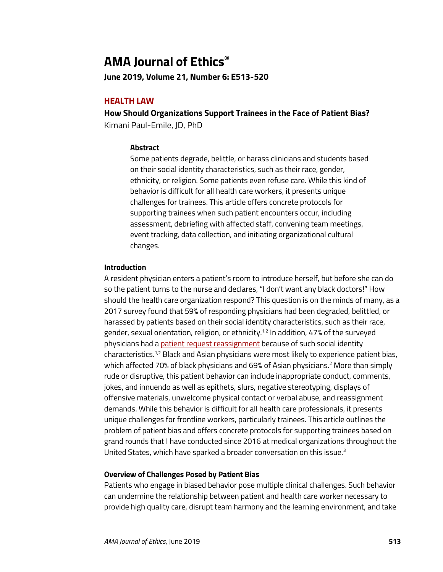# **AMA Journal of Ethics®**

**June 2019, Volume 21, Number 6: E513-520**

## **HEALTH LAW**

**How Should Organizations Support Trainees in the Face of Patient Bias?** Kimani Paul-Emile, JD, PhD

## **Abstract**

Some patients degrade, belittle, or harass clinicians and students based on their social identity characteristics, such as their race, gender, ethnicity, or religion. Some patients even refuse care. While this kind of behavior is difficult for all health care workers, it presents unique challenges for trainees. This article offers concrete protocols for supporting trainees when such patient encounters occur, including assessment, debriefing with affected staff, convening team meetings, event tracking, data collection, and initiating organizational cultural changes.

## **Introduction**

A resident physician enters a patient's room to introduce herself, but before she can do so the patient turns to the nurse and declares, "I don't want any black doctors!" How should the health care organization respond? This question is on the minds of many, as a 2017 survey found that 59% of responding physicians had been degraded, belittled, or harassed by patients based on their social identity characteristics, such as their race, gender, sexual orientation, religion, or ethnicity.<sup>1,2</sup> In addition, 47% of the surveyed physicians had a [patient request reassignment](https://journalofethics.ama-assn.org/article/how-should-physicians-respond-patient-requests-religious-concordance/2019-06) because of such social identity characteristics.1,2 Black and Asian physicians were most likely to experience patient bias, which affected 70% of black physicians and 69% of Asian physicians.<sup>2</sup> More than simply rude or disruptive, this patient behavior can include inappropriate conduct, comments, jokes, and innuendo as well as epithets, slurs, negative stereotyping, displays of offensive materials, unwelcome physical contact or verbal abuse, and reassignment demands. While this behavior is difficult for all health care professionals, it presents unique challenges for frontline workers, particularly trainees. This article outlines the problem of patient bias and offers concrete protocols for supporting trainees based on grand rounds that I have conducted since 2016 at medical organizations throughout the United States, which have sparked a broader conversation on this issue.<sup>3</sup>

## **Overview of Challenges Posed by Patient Bias**

Patients who engage in biased behavior pose multiple clinical challenges. Such behavior can undermine the relationship between patient and health care worker necessary to provide high quality care, disrupt team harmony and the learning environment, and take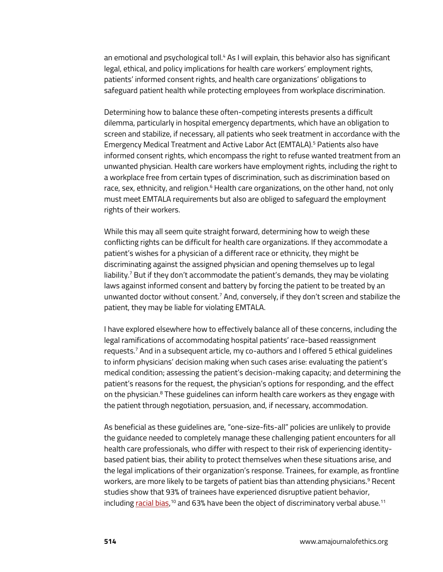an emotional and psychological toll.<sup>4</sup> As I will explain, this behavior also has significant legal, ethical, and policy implications for health care workers' employment rights, patients' informed consent rights, and health care organizations' obligations to safeguard patient health while protecting employees from workplace discrimination.

Determining how to balance these often-competing interests presents a difficult dilemma, particularly in hospital emergency departments, which have an obligation to screen and stabilize, if necessary, all patients who seek treatment in accordance with the Emergency Medical Treatment and Active Labor Act (EMTALA).5 Patients also have informed consent rights, which encompass the right to refuse wanted treatment from an unwanted physician. Health care workers have employment rights, including the right to a workplace free from certain types of discrimination, such as discrimination based on race, sex, ethnicity, and religion.<sup>6</sup> Health care organizations, on the other hand, not only must meet EMTALA requirements but also are obliged to safeguard the employment rights of their workers.

While this may all seem quite straight forward, determining how to weigh these conflicting rights can be difficult for health care organizations. If they accommodate a patient's wishes for a physician of a different race or ethnicity, they might be discriminating against the assigned physician and opening themselves up to legal liability.7 But if they don't accommodate the patient's demands, they may be violating laws against informed consent and battery by forcing the patient to be treated by an unwanted doctor without consent.<sup>7</sup> And, conversely, if they don't screen and stabilize the patient, they may be liable for violating EMTALA.

I have explored elsewhere how to effectively balance all of these concerns, including the legal ramifications of accommodating hospital patients' race-based reassignment requests.7 And in a subsequent article, my co-authors and I offered 5 ethical guidelines to inform physicians' decision making when such cases arise: evaluating the patient's medical condition; assessing the patient's decision-making capacity; and determining the patient's reasons for the request, the physician's options for responding, and the effect on the physician.<sup>8</sup> These guidelines can inform health care workers as they engage with the patient through negotiation, persuasion, and, if necessary, accommodation.

As beneficial as these guidelines are, "one-size-fits-all" policies are unlikely to provide the guidance needed to completely manage these challenging patient encounters for all health care professionals, who differ with respect to their risk of experiencing identitybased patient bias, their ability to protect themselves when these situations arise, and the legal implications of their organization's response. Trainees, for example, as frontline workers, are more likely to be targets of patient bias than attending physicians.<sup>9</sup> Recent studies show that 93% of trainees have experienced disruptive patient behavior, including <u>racial bias</u>, <sup>10</sup> and 63% have been the object of discriminatory verbal abuse. <sup>11</sup>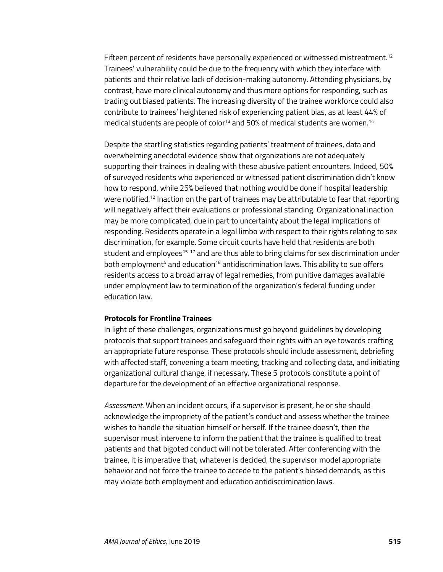Fifteen percent of residents have personally experienced or witnessed mistreatment.<sup>12</sup> Trainees' vulnerability could be due to the frequency with which they interface with patients and their relative lack of decision-making autonomy. Attending physicians, by contrast, have more clinical autonomy and thus more options for responding, such as trading out biased patients. The increasing diversity of the trainee workforce could also contribute to trainees' heightened risk of experiencing patient bias, as at least 44% of medical students are people of color<sup>13</sup> and 50% of medical students are women.<sup>14</sup>

Despite the startling statistics regarding patients' treatment of trainees, data and overwhelming anecdotal evidence show that organizations are not adequately supporting their trainees in dealing with these abusive patient encounters. Indeed, 50% of surveyed residents who experienced or witnessed patient discrimination didn't know how to respond, while 25% believed that nothing would be done if hospital leadership were notified.<sup>12</sup> Inaction on the part of trainees may be attributable to fear that reporting will negatively affect their evaluations or professional standing. Organizational inaction may be more complicated, due in part to uncertainty about the legal implications of responding. Residents operate in a legal limbo with respect to their rights relating to sex discrimination, for example. Some circuit courts have held that residents are both student and employees<sup>15-17</sup> and are thus able to bring claims for sex discrimination under both employment<sup>5</sup> and education<sup>18</sup> antidiscrimination laws. This ability to sue offers residents access to a broad array of legal remedies, from punitive damages available under employment law to termination of the organization's federal funding under education law.

#### **Protocols for Frontline Trainees**

In light of these challenges, organizations must go beyond guidelines by developing protocols that support trainees and safeguard their rights with an eye towards crafting an appropriate future response. These protocols should include assessment, debriefing with affected staff, convening a team meeting, tracking and collecting data, and initiating organizational cultural change, if necessary. These 5 protocols constitute a point of departure for the development of an effective organizational response.

*Assessment*. When an incident occurs, if a supervisor is present, he or she should acknowledge the impropriety of the patient's conduct and assess whether the trainee wishes to handle the situation himself or herself. If the trainee doesn't, then the supervisor must intervene to inform the patient that the trainee is qualified to treat patients and that bigoted conduct will not be tolerated. After conferencing with the trainee, it is imperative that, whatever is decided, the supervisor model appropriate behavior and not force the trainee to accede to the patient's biased demands, as this may violate both employment and education antidiscrimination laws.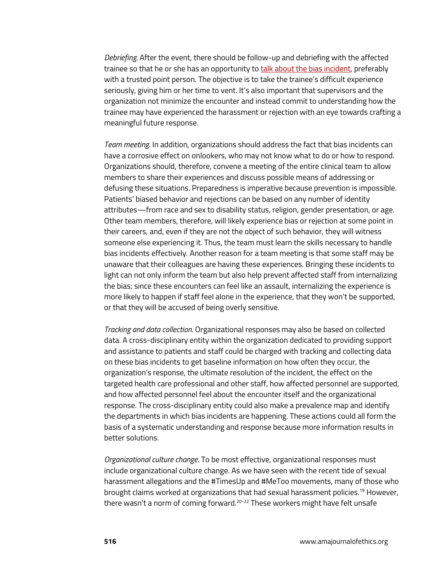*Debriefing*. After the event, there should be follow-up and debriefing with the affected trainee so that he or she has an opportunity to [talk about the bias incident,](https://journalofethics.ama-assn.org/article/how-should-clinicians-and-trainees-respond-each-other-and-patients-whose-views-or-behaviors-are/2019-06) preferably with a trusted point person. The objective is to take the trainee's difficult experience seriously, giving him or her time to vent. It's also important that supervisors and the organization not minimize the encounter and instead commit to understanding how the trainee may have experienced the harassment or rejection with an eye towards crafting a meaningful future response.

*Team meeting*. In addition, organizations should address the fact that bias incidents can have a corrosive effect on onlookers, who may not know what to do or how to respond. Organizations should, therefore, convene a meeting of the entire clinical team to allow members to share their experiences and discuss possible means of addressing or defusing these situations. Preparedness is imperative because prevention is impossible. Patients' biased behavior and rejections can be based on any number of identity attributes—from race and sex to disability status, religion, gender presentation, or age. Other team members, therefore, will likely experience bias or rejection at some point in their careers, and, even if they are not the object of such behavior, they will witness someone else experiencing it. Thus, the team must learn the skills necessary to handle bias incidents effectively. Another reason for a team meeting is that some staff may be unaware that their colleagues are having these experiences. Bringing these incidents to light can not only inform the team but also help prevent affected staff from internalizing the bias; since these encounters can feel like an assault, internalizing the experience is more likely to happen if staff feel alone in the experience, that they won't be supported, or that they will be accused of being overly sensitive.

*Tracking and data collection*. Organizational responses may also be based on collected data. A cross-disciplinary entity within the organization dedicated to providing support and assistance to patients and staff could be charged with tracking and collecting data on these bias incidents to get baseline information on how often they occur, the organization's response, the ultimate resolution of the incident, the effect on the targeted health care professional and other staff, how affected personnel are supported, and how affected personnel feel about the encounter itself and the organizational response. The cross-disciplinary entity could also make a prevalence map and identify the departments in which bias incidents are happening. These actions could all form the basis of a systematic understanding and response because more information results in better solutions.

*Organizational culture change*. To be most effective, organizational responses must include organizational culture change. As we have seen with the recent tide of sexual harassment allegations and the #TimesUp and #MeToo movements, many of those who brought claims worked at organizations that had sexual harassment policies.<sup>19</sup> However, there wasn't a norm of coming forward.<sup>20-22</sup> These workers might have felt unsafe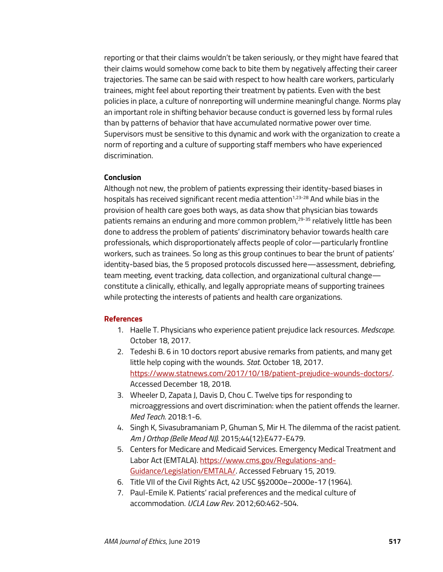reporting or that their claims wouldn't be taken seriously, or they might have feared that their claims would somehow come back to bite them by negatively affecting their career trajectories. The same can be said with respect to how health care workers, particularly trainees, might feel about reporting their treatment by patients. Even with the best policies in place, a culture of nonreporting will undermine meaningful change. Norms play an important role in shifting behavior because conduct is governed less by formal rules than by patterns of behavior that have accumulated normative power over time. Supervisors must be sensitive to this dynamic and work with the organization to create a norm of reporting and a culture of supporting staff members who have experienced discrimination.

## **Conclusion**

Although not new, the problem of patients expressing their identity-based biases in hospitals has received significant recent media attention<sup>1,23-28</sup> And while bias in the provision of health care goes both ways, as data show that physician bias towards patients remains an enduring and more common problem,<sup>29-35</sup> relatively little has been done to address the problem of patients' discriminatory behavior towards health care professionals, which disproportionately affects people of color—particularly frontline workers, such as trainees. So long as this group continues to bear the brunt of patients' identity-based bias, the 5 proposed protocols discussed here—assessment, debriefing, team meeting, event tracking, data collection, and organizational cultural change constitute a clinically, ethically, and legally appropriate means of supporting trainees while protecting the interests of patients and health care organizations.

## **References**

- 1. Haelle T. Physicians who experience patient prejudice lack resources. *Medscape*. October 18, 2017.
- 2. Tedeshi B. 6 in 10 doctors report abusive remarks from patients, and many get little help coping with the wounds. *Stat*. October 18, 2017. [https://www.statnews.com/2017/10/18/patient-prejudice-wounds-doctors/.](https://www.statnews.com/2017/10/18/patient-prejudice-wounds-doctors/) Accessed December 18, 2018.
- 3. Wheeler D, Zapata J, Davis D, Chou C. Twelve tips for responding to microaggressions and overt discrimination: when the patient offends the learner. *Med Teach*. 2018:1-6.
- 4. Singh K, Sivasubramaniam P, Ghuman S, Mir H. The dilemma of the racist patient. *Am J Orthop (Belle Mead NJ)*. 2015;44(12):E477-E479.
- 5. Centers for Medicare and Medicaid Services. Emergency Medical Treatment and Labor Act (EMTALA)[. https://www.cms.gov/Regulations-and-](https://www.cms.gov/Regulations-and-Guidance/Legislation/EMTALA/)[Guidance/Legislation/EMTALA/.](https://www.cms.gov/Regulations-and-Guidance/Legislation/EMTALA/) Accessed February 15, 2019.
- 6. Title VII of the Civil Rights Act, 42 USC §§2000e–2000e-17 (1964).
- 7. Paul-Emile K. Patients' racial preferences and the medical culture of accommodation. *UCLA Law Rev*. 2012;60:462-504.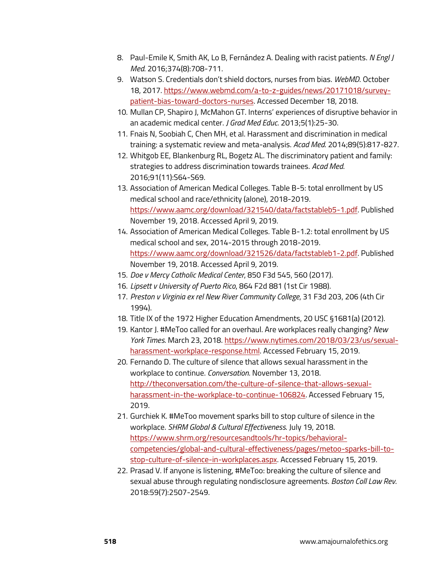- 8. Paul-Emile K, Smith AK, Lo B, Fernández A. Dealing with racist patients. *N Engl J Med*. 2016;374(8):708-711.
- 9. Watson S. Credentials don't shield doctors, nurses from bias. *WebMD*. October 18, 2017[. https://www.webmd.com/a-to-z-guides/news/20171018/survey](https://www.webmd.com/a-to-z-guides/news/20171018/survey-patient-bias-toward-doctors-nurses)[patient-bias-toward-doctors-nurses.](https://www.webmd.com/a-to-z-guides/news/20171018/survey-patient-bias-toward-doctors-nurses) Accessed December 18, 2018.
- 10. Mullan CP, Shapiro J, McMahon GT. Interns' experiences of disruptive behavior in an academic medical center. *J Grad Med Educ*. 2013;5(1):25-30.
- 11. Fnais N, Soobiah C, Chen MH, et al. Harassment and discrimination in medical training: a systematic review and meta-analysis. *Acad Med*. 2014;89(5):817-827.
- 12. Whitgob EE, Blankenburg RL, Bogetz AL. The discriminatory patient and family: strategies to address discrimination towards trainees. *Acad Med*. 2016;91(11):S64-S69.
- 13. Association of American Medical Colleges. Table B-5: total enrollment by US medical school and race/ethnicity (alone), 2018-2019. [https://www.aamc.org/download/321540/data/factstableb5-1.pdf.](https://www.aamc.org/download/321540/data/factstableb5-1.pdf) Published November 19, 2018. Accessed April 9, 2019.
- 14. Association of American Medical Colleges. Table B-1.2: total enrollment by US medical school and sex, 2014-2015 through 2018-2019. [https://www.aamc.org/download/321526/data/factstableb1-2.pdf.](https://www.aamc.org/download/321526/data/factstableb1-2.pdf) Published November 19, 2018. Accessed April 9, 2019.
- 15. *Doe v Mercy Catholic Medical Center*, 850 F3d 545, 560 (2017).
- 16. *Lipsett v University of Puerto Rico*, 864 F2d 881 (1st Cir 1988).
- 17. *Preston v Virginia ex rel New River Community College*, 31 F3d 203, 206 (4th Cir 1994).
- 18. Title IX of the 1972 Higher Education Amendments, 20 USC §1681(a) (2012).
- 19. Kantor J. #MeToo called for an overhaul. Are workplaces really changing? *New York Times*. March 23, 2018[. https://www.nytimes.com/2018/03/23/us/sexual](https://www.nytimes.com/2018/03/23/us/sexual-harassment-workplace-response.html)[harassment-workplace-response.html.](https://www.nytimes.com/2018/03/23/us/sexual-harassment-workplace-response.html) Accessed February 15, 2019.
- 20. Fernando D. The culture of silence that allows sexual harassment in the workplace to continue. *Conversation*. November 13, 2018. [http://theconversation.com/the-culture-of-silence-that-allows-sexual](http://theconversation.com/the-culture-of-silence-that-allows-sexual-harassment-in-the-workplace-to-continue-106824)[harassment-in-the-workplace-to-continue-106824.](http://theconversation.com/the-culture-of-silence-that-allows-sexual-harassment-in-the-workplace-to-continue-106824) Accessed February 15, 2019.
- 21. Gurchiek K. #MeToo movement sparks bill to stop culture of silence in the workplace. *SHRM Global & Cultural Effectiveness*. July 19, 2018. [https://www.shrm.org/resourcesandtools/hr-topics/behavioral](https://www.shrm.org/resourcesandtools/hr-topics/behavioral-competencies/global-and-cultural-effectiveness/pages/metoo-sparks-bill-to-stop-culture-of-silence-in-workplaces.aspx)[competencies/global-and-cultural-effectiveness/pages/metoo-sparks-bill-to](https://www.shrm.org/resourcesandtools/hr-topics/behavioral-competencies/global-and-cultural-effectiveness/pages/metoo-sparks-bill-to-stop-culture-of-silence-in-workplaces.aspx)[stop-culture-of-silence-in-workplaces.aspx.](https://www.shrm.org/resourcesandtools/hr-topics/behavioral-competencies/global-and-cultural-effectiveness/pages/metoo-sparks-bill-to-stop-culture-of-silence-in-workplaces.aspx) Accessed February 15, 2019.
- 22. Prasad V. If anyone is listening, #MeToo: breaking the culture of silence and sexual abuse through regulating nondisclosure agreements. *Boston Coll Law Rev*. 2018:59(7):2507-2549.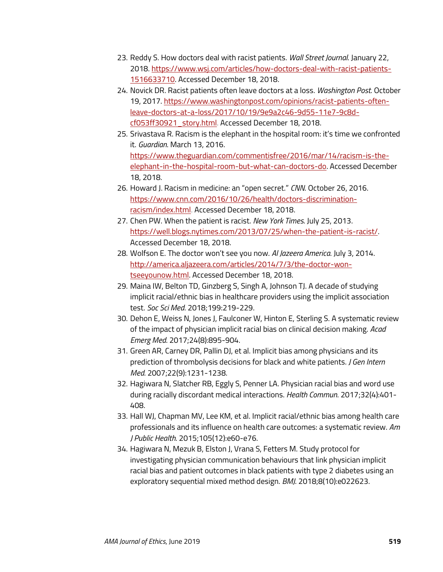- 23. Reddy S. How doctors deal with racist patients. *Wall Street Journal*. January 22, 2018[. https://www.wsj.com/articles/how-doctors-deal-with-racist-patients-](https://www.wsj.com/articles/how-doctors-deal-with-racist-patients-1516633710)[1516633710.](https://www.wsj.com/articles/how-doctors-deal-with-racist-patients-1516633710) Accessed December 18, 2018.
- 24. Novick DR. Racist patients often leave doctors at a loss. *Washington Post*. October 19, 2017[. https://www.washingtonpost.com/opinions/racist-patients-often](https://www.washingtonpost.com/opinions/racist-patients-often-leave-doctors-at-a-loss/2017/10/19/9e9a2c46-9d55-11e7-9c8d-cf053ff30921_story.html)[leave-doctors-at-a-loss/2017/10/19/9e9a2c46-9d55-11e7-9c8d](https://www.washingtonpost.com/opinions/racist-patients-often-leave-doctors-at-a-loss/2017/10/19/9e9a2c46-9d55-11e7-9c8d-cf053ff30921_story.html)[cf053ff30921\\_story.html.](https://www.washingtonpost.com/opinions/racist-patients-often-leave-doctors-at-a-loss/2017/10/19/9e9a2c46-9d55-11e7-9c8d-cf053ff30921_story.html) Accessed December 18, 2018.
- 25. Srivastava R. Racism is the elephant in the hospital room: it's time we confronted it. *Guardian*. March 13, 2016. [https://www.theguardian.com/commentisfree/2016/mar/14/racism-is-the](https://www.theguardian.com/commentisfree/2016/mar/14/racism-is-the-elephant-in-the-hospital-room-but-what-can-doctors-do)[elephant-in-the-hospital-room-but-what-can-doctors-do.](https://www.theguardian.com/commentisfree/2016/mar/14/racism-is-the-elephant-in-the-hospital-room-but-what-can-doctors-do) Accessed December 18, 2018.
- 26. Howard J. Racism in medicine: an "open secret." *CNN*. October 26, 2016. [https://www.cnn.com/2016/10/26/health/doctors-discrimination](https://www.cnn.com/2016/10/26/health/doctors-discrimination-racism/index.html)[racism/index.html.](https://www.cnn.com/2016/10/26/health/doctors-discrimination-racism/index.html) Accessed December 18, 2018.
- 27. Chen PW. When the patient is racist. *New York Times*. July 25, 2013. [https://well.blogs.nytimes.com/2013/07/25/when-the-patient-is-racist/.](https://well.blogs.nytimes.com/2013/07/25/when-the-patient-is-racist/)  Accessed December 18, 2018.
- 28. Wolfson E. The doctor won't see you now. *Al Jazeera America*. July 3, 2014. [http://america.aljazeera.com/articles/2014/7/3/the-doctor-won](http://america.aljazeera.com/articles/2014/7/3/the-doctor-won-tseeyounow.html)[tseeyounow.html.](http://america.aljazeera.com/articles/2014/7/3/the-doctor-won-tseeyounow.html) Accessed December 18, 2018.
- 29. Maina IW, Belton TD, Ginzberg S, Singh A, Johnson TJ. A decade of studying implicit racial/ethnic bias in healthcare providers using the implicit association test. *Soc Sci Med*. 2018;199:219-229.
- 30. Dehon E, Weiss N, Jones J, Faulconer W, Hinton E, Sterling S. A systematic review of the impact of physician implicit racial bias on clinical decision making. *Acad Emerg Med*. 2017;24(8):895-904.
- 31. Green AR, Carney DR, Pallin DJ, et al. Implicit bias among physicians and its prediction of thrombolysis decisions for black and white patients. *J Gen Intern Med*. 2007;22(9):1231-1238.
- 32. Hagiwara N, Slatcher RB, Eggly S, Penner LA. Physician racial bias and word use during racially discordant medical interactions. *Health Commun*. 2017;32(4):401- 408.
- 33. Hall WJ, Chapman MV, Lee KM, et al. Implicit racial/ethnic bias among health care professionals and its influence on health care outcomes: a systematic review. *Am J Public Health*. 2015;105(12):e60-e76.
- 34. Hagiwara N, Mezuk B, Elston J, Vrana S, Fetters M. Study protocol for investigating physician communication behaviours that link physician implicit racial bias and patient outcomes in black patients with type 2 diabetes using an exploratory sequential mixed method design. *BMJ*. 2018;8(10):e022623.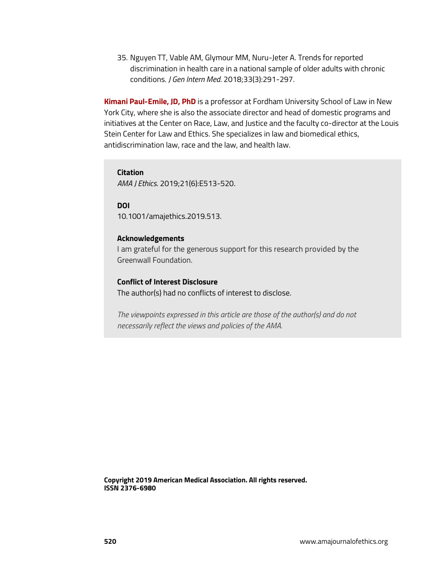35. Nguyen TT, Vable AM, Glymour MM, Nuru-Jeter A. Trends for reported discrimination in health care in a national sample of older adults with chronic conditions. *J Gen Intern Med*. 2018;33(3):291-297.

**Kimani Paul-Emile, JD, PhD** is a professor at Fordham University School of Law in New York City, where she is also the associate director and head of domestic programs and initiatives at the Center on Race, Law, and Justice and the faculty co-director at the Louis Stein Center for Law and Ethics. She specializes in law and biomedical ethics, antidiscrimination law, race and the law, and health law.

**Citation**

*AMA J Ethics*. 2019;21(6):E513-520.

**DOI** 10.1001/amajethics.2019.513.

#### **Acknowledgements**

I am grateful for the generous support for this research provided by the Greenwall Foundation.

## **Conflict of Interest Disclosure**

The author(s) had no conflicts of interest to disclose.

*The viewpoints expressed in this article are those of the author(s) and do not necessarily reflect the views and policies of the AMA.*

**Copyright 2019 American Medical Association. All rights reserved. ISSN 2376-6980**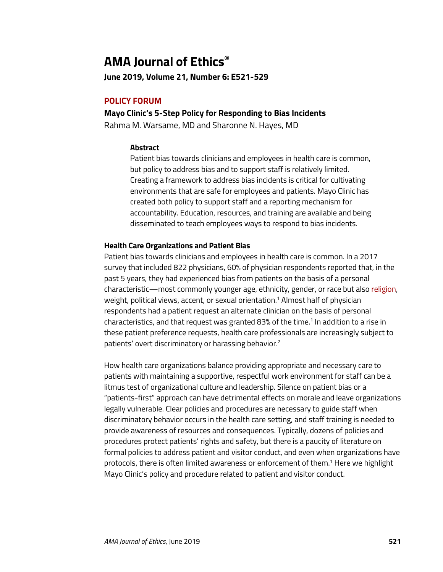# **AMA Journal of Ethics®**

**June 2019, Volume 21, Number 6: E521-529**

## **POLICY FORUM**

### **Mayo Clinic's 5-Step Policy for Responding to Bias Incidents**

Rahma M. Warsame, MD and Sharonne N. Hayes, MD

## **Abstract**

Patient bias towards clinicians and employees in health care is common, but policy to address bias and to support staff is relatively limited. Creating a framework to address bias incidents is critical for cultivating environments that are safe for employees and patients. Mayo Clinic has created both policy to support staff and a reporting mechanism for accountability. Education, resources, and training are available and being disseminated to teach employees ways to respond to bias incidents.

## **Health Care Organizations and Patient Bias**

Patient bias towards clinicians and employees in health care is common. In a 2017 survey that included 822 physicians, 60% of physician respondents reported that, in the past 5 years, they had experienced bias from patients on the basis of a personal characteristic—most commonly younger age, ethnicity, gender, or race but also [religion,](https://journalofethics.ama-assn.org/article/how-should-physicians-respond-patient-requests-religious-concordance/2019-06) weight, political views, accent, or sexual orientation.<sup>1</sup> Almost half of physician respondents had a patient request an alternate clinician on the basis of personal characteristics, and that request was granted 83% of the time.<sup>1</sup> In addition to a rise in these patient preference requests, health care professionals are increasingly subject to patients' overt discriminatory or harassing behavior.2

How health care organizations balance providing appropriate and necessary care to patients with maintaining a supportive, respectful work environment for staff can be a litmus test of organizational culture and leadership. Silence on patient bias or a "patients-first" approach can have detrimental effects on morale and leave organizations legally vulnerable. Clear policies and procedures are necessary to guide staff when discriminatory behavior occurs in the health care setting, and staff training is needed to provide awareness of resources and consequences. Typically, dozens of policies and procedures protect patients' rights and safety, but there is a paucity of literature on formal policies to address patient and visitor conduct, and even when organizations have protocols, there is often limited awareness or enforcement of them.<sup>1</sup> Here we highlight Mayo Clinic's policy and procedure related to patient and visitor conduct.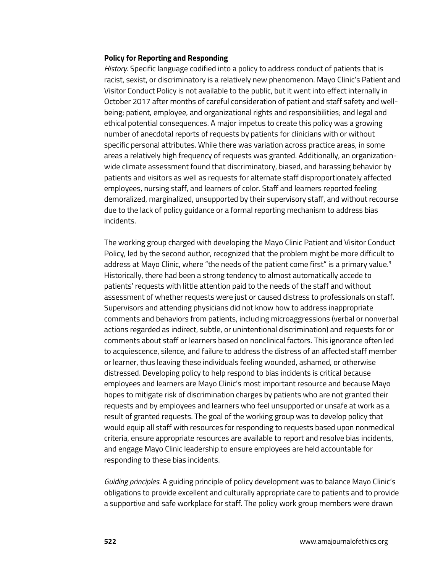#### **Policy for Reporting and Responding**

*History*. Specific language codified into a policy to address conduct of patients that is racist, sexist, or discriminatory is a relatively new phenomenon. Mayo Clinic's Patient and Visitor Conduct Policy is not available to the public, but it went into effect internally in October 2017 after months of careful consideration of patient and staff safety and wellbeing; patient, employee, and organizational rights and responsibilities; and legal and ethical potential consequences. A major impetus to create this policy was a growing number of anecdotal reports of requests by patients for clinicians with or without specific personal attributes. While there was variation across practice areas, in some areas a relatively high frequency of requests was granted. Additionally, an organizationwide climate assessment found that discriminatory, biased, and harassing behavior by patients and visitors as well as requests for alternate staff disproportionately affected employees, nursing staff, and learners of color. Staff and learners reported feeling demoralized, marginalized, unsupported by their supervisory staff, and without recourse due to the lack of policy guidance or a formal reporting mechanism to address bias incidents.

The working group charged with developing the Mayo Clinic Patient and Visitor Conduct Policy, led by the second author, recognized that the problem might be more difficult to address at Mayo Clinic, where "the needs of the patient come first" is a primary value. $3$ Historically, there had been a strong tendency to almost automatically accede to patients' requests with little attention paid to the needs of the staff and without assessment of whether requests were just or caused distress to professionals on staff. Supervisors and attending physicians did not know how to address inappropriate comments and behaviors from patients, including microaggressions (verbal or nonverbal actions regarded as indirect, subtle, or unintentional discrimination) and requests for or comments about staff or learners based on nonclinical factors. This ignorance often led to acquiescence, silence, and failure to address the distress of an affected staff member or learner, thus leaving these individuals feeling wounded, ashamed, or otherwise distressed. Developing policy to help respond to bias incidents is critical because employees and learners are Mayo Clinic's most important resource and because Mayo hopes to mitigate risk of discrimination charges by patients who are not granted their requests and by employees and learners who feel unsupported or unsafe at work as a result of granted requests. The goal of the working group was to develop policy that would equip all staff with resources for responding to requests based upon nonmedical criteria, ensure appropriate resources are available to report and resolve bias incidents, and engage Mayo Clinic leadership to ensure employees are held accountable for responding to these bias incidents.

*Guiding principles*. A guiding principle of policy development was to balance Mayo Clinic's obligations to provide excellent and culturally appropriate care to patients and to provide a supportive and safe workplace for staff. The policy work group members were drawn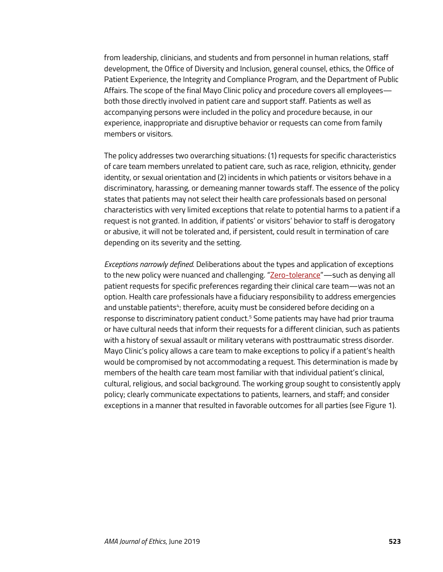from leadership, clinicians, and students and from personnel in human relations, staff development, the Office of Diversity and Inclusion, general counsel, ethics, the Office of Patient Experience, the Integrity and Compliance Program, and the Department of Public Affairs. The scope of the final Mayo Clinic policy and procedure covers all employees both those directly involved in patient care and support staff. Patients as well as accompanying persons were included in the policy and procedure because, in our experience, inappropriate and disruptive behavior or requests can come from family members or visitors.

The policy addresses two overarching situations: (1) requests for specific characteristics of care team members unrelated to patient care, such as race, religion, ethnicity, gender identity, or sexual orientation and (2) incidents in which patients or visitors behave in a discriminatory, harassing, or demeaning manner towards staff. The essence of the policy states that patients may not select their health care professionals based on personal characteristics with very limited exceptions that relate to potential harms to a patient if a request is not granted. In addition, if patients' or visitors' behavior to staff is derogatory or abusive, it will not be tolerated and, if persistent, could result in termination of care depending on its severity and the setting.

*Exceptions narrowly defined*. Deliberations about the types and application of exceptions to the new policy were nuanced and challenging. ["Zero-tolerance"](https://journalofethics.ama-assn.org/article/how-should-organizations-respond-racism-against-health-care-workers/2019-06)—such as denying all patient requests for specific preferences regarding their clinical care team—was not an option. Health care professionals have a fiduciary responsibility to address emergencies and unstable patients<sup>4</sup>; therefore, acuity must be considered before deciding on a response to discriminatory patient conduct.<sup>5</sup> Some patients may have had prior trauma or have cultural needs that inform their requests for a different clinician, such as patients with a history of sexual assault or military veterans with posttraumatic stress disorder. Mayo Clinic's policy allows a care team to make exceptions to policy if a patient's health would be compromised by not accommodating a request. This determination is made by members of the health care team most familiar with that individual patient's clinical, cultural, religious, and social background. The working group sought to consistently apply policy; clearly communicate expectations to patients, learners, and staff; and consider exceptions in a manner that resulted in favorable outcomes for all parties (see Figure 1).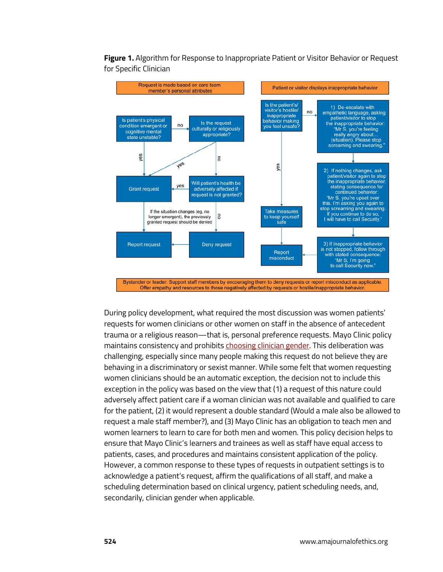

**Figure 1.** Algorithm for Response to Inappropriate Patient or Visitor Behavior or Request for Specific Clinician

During policy development, what required the most discussion was women patients' requests for women clinicians or other women on staff in the absence of antecedent trauma or a religious reason—that is, personal preference requests. Mayo Clinic policy maintains consistency and prohibits [choosing clinician gender.](https://journalofethics.ama-assn.org/article/how-should-physicians-respond-when-patients-distrust-them-because-their-gender/2017-04) This deliberation was challenging, especially since many people making this request do not believe they are behaving in a discriminatory or sexist manner. While some felt that women requesting women clinicians should be an automatic exception, the decision not to include this exception in the policy was based on the view that (1) a request of this nature could adversely affect patient care if a woman clinician was not available and qualified to care for the patient, (2) it would represent a double standard (Would a male also be allowed to request a male staff member?), and (3) Mayo Clinic has an obligation to teach men and women learners to learn to care for both men and women. This policy decision helps to ensure that Mayo Clinic's learners and trainees as well as staff have equal access to patients, cases, and procedures and maintains consistent application of the policy. However, a common response to these types of requests in outpatient settings is to acknowledge a patient's request, affirm the qualifications of all staff, and make a scheduling determination based on clinical urgency, patient scheduling needs, and, secondarily, clinician gender when applicable.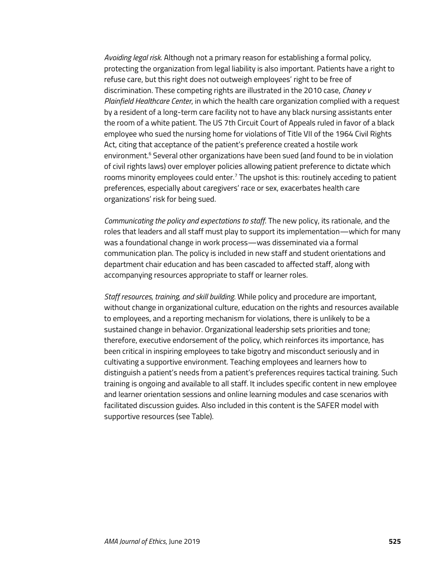*Avoiding legal risk*. Although not a primary reason for establishing a formal policy, protecting the organization from legal liability is also important. Patients have a right to refuse care, but this right does not outweigh employees' right to be free of discrimination. These competing rights are illustrated in the 2010 case, *Chaney v Plainfield Healthcare Center*, in which the health care organization complied with a request by a resident of a long-term care facility not to have any black nursing assistants enter the room of a white patient. The US 7th Circuit Court of Appeals ruled in favor of a black employee who sued the nursing home for violations of Title VII of the 1964 Civil Rights Act, citing that acceptance of the patient's preference created a hostile work environment.<sup>6</sup> Several other organizations have been sued (and found to be in violation of civil rights laws) over employer policies allowing patient preference to dictate which rooms minority employees could enter.<sup>7</sup> The upshot is this: routinely acceding to patient preferences, especially about caregivers' race or sex, exacerbates health care organizations' risk for being sued.

*Communicating the policy and expectations to staff*. The new policy, its rationale, and the roles that leaders and all staff must play to support its implementation—which for many was a foundational change in work process—was disseminated via a formal communication plan. The policy is included in new staff and student orientations and department chair education and has been cascaded to affected staff, along with accompanying resources appropriate to staff or learner roles.

*Staff resources, training, and skill building*. While policy and procedure are important, without change in organizational culture, education on the rights and resources available to employees, and a reporting mechanism for violations, there is unlikely to be a sustained change in behavior. Organizational leadership sets priorities and tone; therefore, executive endorsement of the policy, which reinforces its importance, has been critical in inspiring employees to take bigotry and misconduct seriously and in cultivating a supportive environment. Teaching employees and learners how to distinguish a patient's needs from a patient's preferences requires tactical training. Such training is ongoing and available to all staff. It includes specific content in new employee and learner orientation sessions and online learning modules and case scenarios with facilitated discussion guides. Also included in this content is the SAFER model with supportive resources (see Table).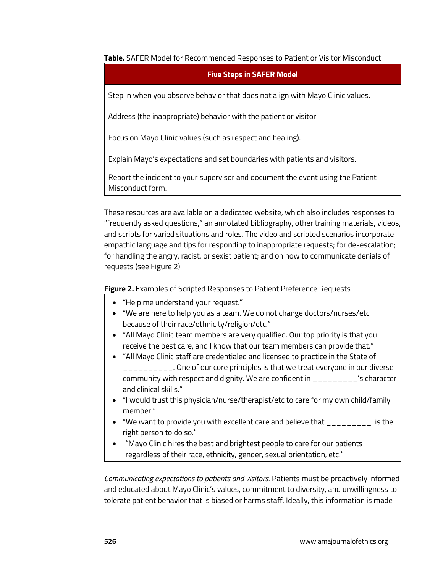**Table.** SAFER Model for Recommended Responses to Patient or Visitor Misconduct

### **Five Steps in SAFER Model**

Step in when you observe behavior that does not align with Mayo Clinic values.

Address (the inappropriate) behavior with the patient or visitor.

Focus on Mayo Clinic values (such as respect and healing).

Explain Mayo's expectations and set boundaries with patients and visitors.

Report the incident to your supervisor and document the event using the Patient Misconduct form.

These resources are available on a dedicated website, which also includes responses to "frequently asked questions," an annotated bibliography, other training materials, videos, and scripts for varied situations and roles. The video and scripted scenarios incorporate empathic language and tips for responding to inappropriate requests; for de-escalation; for handling the angry, racist, or sexist patient; and on how to communicate denials of requests (see Figure 2).

**Figure 2.** Examples of Scripted Responses to Patient Preference Requests

- "Help me understand your request."
- "We are here to help you as a team. We do not change doctors/nurses/etc because of their race/ethnicity/religion/etc."
- "All Mayo Clinic team members are very qualified. Our top priority is that you receive the best care, and I know that our team members can provide that."
- "All Mayo Clinic staff are credentialed and licensed to practice in the State of \_\_\_\_\_\_\_\_\_. One of our core principles is that we treat everyone in our diverse community with respect and dignity. We are confident in \_\_\_\_\_\_\_\_\_'s character and clinical skills."
- "I would trust this physician/nurse/therapist/etc to care for my own child/family member."
- "We want to provide you with excellent care and believe that \_\_\_\_\_\_\_\_\_ is the right person to do so."
- "Mayo Clinic hires the best and brightest people to care for our patients regardless of their race, ethnicity, gender, sexual orientation, etc."

*Communicating expectations to patients and visitors*. Patients must be proactively informed and educated about Mayo Clinic's values, commitment to diversity, and unwillingness to tolerate patient behavior that is biased or harms staff. Ideally, this information is made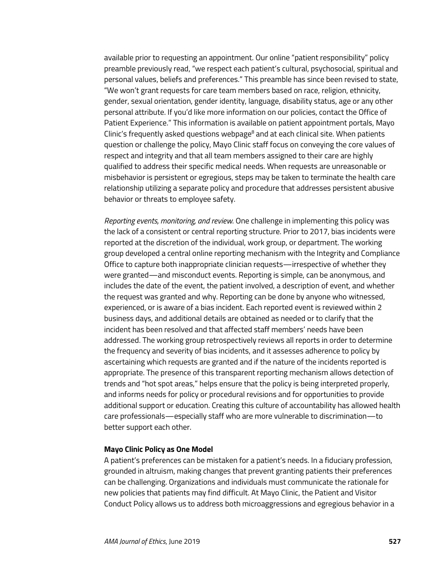available prior to requesting an appointment. Our online "patient responsibility" policy preamble previously read, "we respect each patient's cultural, psychosocial, spiritual and personal values, beliefs and preferences." This preamble has since been revised to state, "We won't grant requests for care team members based on race, religion, ethnicity, gender, sexual orientation, gender identity, language, disability status, age or any other personal attribute. If you'd like more information on our policies, contact the Office of Patient Experience." This information is available on patient appointment portals, Mayo Clinic's frequently asked questions webpage<sup>8</sup> and at each clinical site. When patients question or challenge the policy, Mayo Clinic staff focus on conveying the core values of respect and integrity and that all team members assigned to their care are highly qualified to address their specific medical needs. When requests are unreasonable or misbehavior is persistent or egregious, steps may be taken to terminate the health care relationship utilizing a separate policy and procedure that addresses persistent abusive behavior or threats to employee safety.

*Reporting events, monitoring, and review*. One challenge in implementing this policy was the lack of a consistent or central reporting structure. Prior to 2017, bias incidents were reported at the discretion of the individual, work group, or department. The working group developed a central online reporting mechanism with the Integrity and Compliance Office to capture both inappropriate clinician requests—irrespective of whether they were granted—and misconduct events. Reporting is simple, can be anonymous, and includes the date of the event, the patient involved, a description of event, and whether the request was granted and why. Reporting can be done by anyone who witnessed, experienced, or is aware of a bias incident. Each reported event is reviewed within 2 business days, and additional details are obtained as needed or to clarify that the incident has been resolved and that affected staff members' needs have been addressed. The working group retrospectively reviews all reports in order to determine the frequency and severity of bias incidents, and it assesses adherence to policy by ascertaining which requests are granted and if the nature of the incidents reported is appropriate. The presence of this transparent reporting mechanism allows detection of trends and "hot spot areas," helps ensure that the policy is being interpreted properly, and informs needs for policy or procedural revisions and for opportunities to provide additional support or education. Creating this culture of accountability has allowed health care professionals—especially staff who are more vulnerable to discrimination—to better support each other.

#### **Mayo Clinic Policy as One Model**

A patient's preferences can be mistaken for a patient's needs. In a fiduciary profession, grounded in altruism, making changes that prevent granting patients their preferences can be challenging. Organizations and individuals must communicate the rationale for new policies that patients may find difficult. At Mayo Clinic, the Patient and Visitor Conduct Policy allows us to address both microaggressions and egregious behavior in a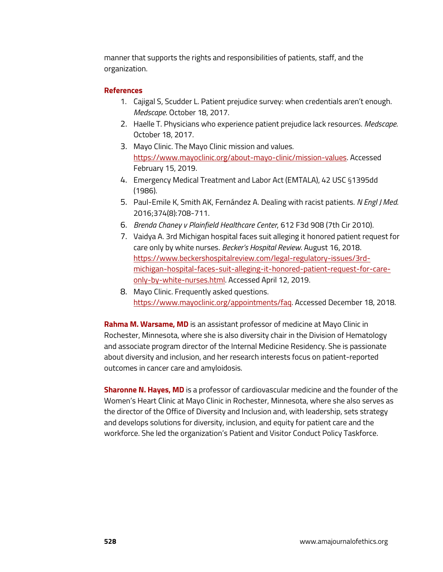manner that supports the rights and responsibilities of patients, staff, and the organization.

#### **References**

- 1. Cajigal S, Scudder L. Patient prejudice survey: when credentials aren't enough. *Medscape*. October 18, 2017.
- 2. Haelle T. Physicians who experience patient prejudice lack resources. *Medscape*. October 18, 2017.
- 3. Mayo Clinic. The Mayo Clinic mission and values. [https://www.mayoclinic.org/about-mayo-clinic/mission-values.](https://www.mayoclinic.org/about-mayo-clinic/mission-values) Accessed February 15, 2019.
- 4. Emergency Medical Treatment and Labor Act (EMTALA), 42 USC §1395dd (1986).
- 5. Paul-Emile K, Smith AK, Fernández A. Dealing with racist patients. *N Engl J Med*. 2016;374(8):708-711.
- 6. *Brenda Chaney v Plainfield Healthcare Center*, 612 F3d 908 (7th Cir 2010).
- 7. Vaidya A. 3rd Michigan hospital faces suit alleging it honored patient request for care only by white nurses. *Becker's Hospital Review*. August 16, 2018. [https://www.beckershospitalreview.com/legal-regulatory-issues/3rd](https://www.beckershospitalreview.com/legal-regulatory-issues/3rd-michigan-hospital-faces-suit-alleging-it-honored-patient-request-for-care-only-by-white-nurses.html)[michigan-hospital-faces-suit-alleging-it-honored-patient-request-for-care](https://www.beckershospitalreview.com/legal-regulatory-issues/3rd-michigan-hospital-faces-suit-alleging-it-honored-patient-request-for-care-only-by-white-nurses.html)[only-by-white-nurses.html.](https://www.beckershospitalreview.com/legal-regulatory-issues/3rd-michigan-hospital-faces-suit-alleging-it-honored-patient-request-for-care-only-by-white-nurses.html) Accessed April 12, 2019.
- 8. Mayo Clinic. Frequently asked questions. [https://www.mayoclinic.org/appointments/faq.](https://www.mayoclinic.org/appointments/faq) Accessed December 18, 2018.

**Rahma M. Warsame, MD** is an assistant professor of medicine at Mayo Clinic in Rochester, Minnesota, where she is also diversity chair in the Division of Hematology and associate program director of the Internal Medicine Residency. She is passionate about diversity and inclusion, and her research interests focus on patient-reported outcomes in cancer care and amyloidosis.

**Sharonne N. Hayes, MD** is a professor of cardiovascular medicine and the founder of the Women's Heart Clinic at Mayo Clinic in Rochester, Minnesota, where she also serves as the director of the Office of Diversity and Inclusion and, with leadership, sets strategy and develops solutions for diversity, inclusion, and equity for patient care and the workforce. She led the organization's Patient and Visitor Conduct Policy Taskforce.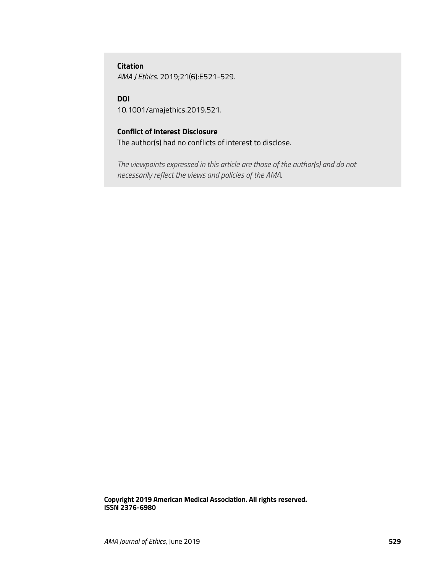## **Citation**

*AMA J Ethics*. 2019;21(6):E521-529.

### **DOI**

10.1001/amajethics.2019.521.

## **Conflict of Interest Disclosure**

The author(s) had no conflicts of interest to disclose.

*The viewpoints expressed in this article are those of the author(s) and do not necessarily reflect the views and policies of the AMA.*

**Copyright 2019 American Medical Association. All rights reserved. ISSN 2376-6980**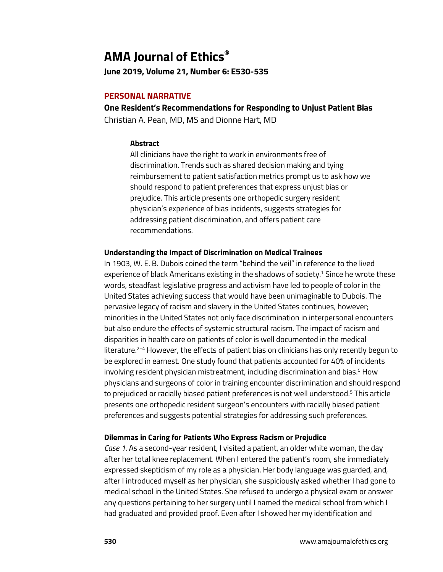# **AMA Journal of Ethics®**

**June 2019, Volume 21, Number 6: E530-535**

## **PERSONAL NARRATIVE**

**One Resident's Recommendations for Responding to Unjust Patient Bias** Christian A. Pean, MD, MS and Dionne Hart, MD

## **Abstract**

All clinicians have the right to work in environments free of discrimination. Trends such as shared decision making and tying reimbursement to patient satisfaction metrics prompt us to ask how we should respond to patient preferences that express unjust bias or prejudice. This article presents one orthopedic surgery resident physician's experience of bias incidents, suggests strategies for addressing patient discrimination, and offers patient care recommendations.

## **Understanding the Impact of Discrimination on Medical Trainees**

In 1903, W. E. B. Dubois coined the term "behind the veil" in reference to the lived experience of black Americans existing in the shadows of society.<sup>1</sup> Since he wrote these words, steadfast legislative progress and activism have led to people of color in the United States achieving success that would have been unimaginable to Dubois. The pervasive legacy of racism and slavery in the United States continues, however; minorities in the United States not only face discrimination in interpersonal encounters but also endure the effects of systemic structural racism. The impact of racism and disparities in health care on patients of color is well documented in the medical literature.<sup>2-4</sup> However, the effects of patient bias on clinicians has only recently begun to be explored in earnest. One study found that patients accounted for 40% of incidents involving resident physician mistreatment, including discrimination and bias.<sup>5</sup> How physicians and surgeons of color in training encounter discrimination and should respond to prejudiced or racially biased patient preferences is not well understood.<sup>5</sup> This article presents one orthopedic resident surgeon's encounters with racially biased patient preferences and suggests potential strategies for addressing such preferences.

## **Dilemmas in Caring for Patients Who Express Racism or Prejudice**

*Case 1*. As a second-year resident, I visited a patient, an older white woman, the day after her total knee replacement. When I entered the patient's room, she immediately expressed skepticism of my role as a physician. Her body language was guarded, and, after I introduced myself as her physician, she suspiciously asked whether I had gone to medical school in the United States. She refused to undergo a physical exam or answer any questions pertaining to her surgery until I named the medical school from which I had graduated and provided proof. Even after I showed her my identification and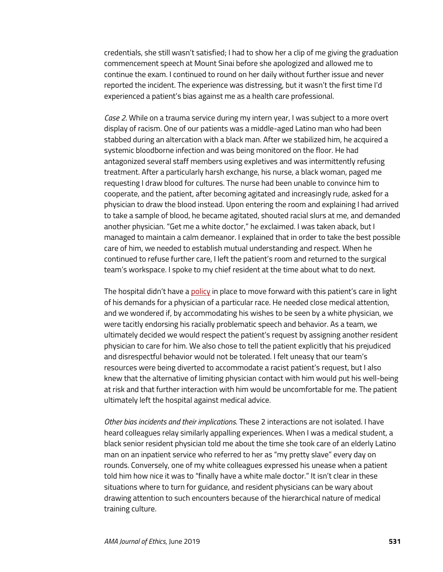credentials, she still wasn't satisfied; I had to show her a clip of me giving the graduation commencement speech at Mount Sinai before she apologized and allowed me to continue the exam. I continued to round on her daily without further issue and never reported the incident. The experience was distressing, but it wasn't the first time I'd experienced a patient's bias against me as a health care professional.

*Case 2*. While on a trauma service during my intern year, I was subject to a more overt display of racism. One of our patients was a middle-aged Latino man who had been stabbed during an altercation with a black man. After we stabilized him, he acquired a systemic bloodborne infection and was being monitored on the floor. He had antagonized several staff members using expletives and was intermittently refusing treatment. After a particularly harsh exchange, his nurse, a black woman, paged me requesting I draw blood for cultures. The nurse had been unable to convince him to cooperate, and the patient, after becoming agitated and increasingly rude, asked for a physician to draw the blood instead. Upon entering the room and explaining I had arrived to take a sample of blood, he became agitated, shouted racial slurs at me, and demanded another physician. "Get me a white doctor," he exclaimed. I was taken aback, but I managed to maintain a calm demeanor. I explained that in order to take the best possible care of him, we needed to establish mutual understanding and respect. When he continued to refuse further care, I left the patient's room and returned to the surgical team's workspace. I spoke to my chief resident at the time about what to do next.

The hospital didn't have a [policy](https://journalofethics.ama-assn.org/article/mayo-clinics-five-step-policy-responding-bias-incidents/2019-06) in place to move forward with this patient's care in light of his demands for a physician of a particular race. He needed close medical attention, and we wondered if, by accommodating his wishes to be seen by a white physician, we were tacitly endorsing his racially problematic speech and behavior. As a team, we ultimately decided we would respect the patient's request by assigning another resident physician to care for him. We also chose to tell the patient explicitly that his prejudiced and disrespectful behavior would not be tolerated. I felt uneasy that our team's resources were being diverted to accommodate a racist patient's request, but I also knew that the alternative of limiting physician contact with him would put his well-being at risk and that further interaction with him would be uncomfortable for me. The patient ultimately left the hospital against medical advice.

*Other bias incidents and their implications*. These 2 interactions are not isolated. I have heard colleagues relay similarly appalling experiences. When I was a medical student, a black senior resident physician told me about the time she took care of an elderly Latino man on an inpatient service who referred to her as "my pretty slave" every day on rounds. Conversely, one of my white colleagues expressed his unease when a patient told him how nice it was to "finally have a white male doctor." It isn't clear in these situations where to turn for guidance, and resident physicians can be wary about drawing attention to such encounters because of the hierarchical nature of medical training culture.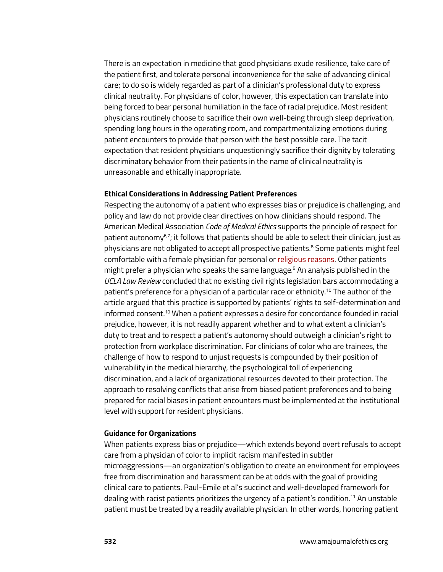There is an expectation in medicine that good physicians exude resilience, take care of the patient first, and tolerate personal inconvenience for the sake of advancing clinical care; to do so is widely regarded as part of a clinician's professional duty to express clinical neutrality. For physicians of color, however, this expectation can translate into being forced to bear personal humiliation in the face of racial prejudice. Most resident physicians routinely choose to sacrifice their own well-being through sleep deprivation, spending long hours in the operating room, and compartmentalizing emotions during patient encounters to provide that person with the best possible care. The tacit expectation that resident physicians unquestioningly sacrifice their dignity by tolerating discriminatory behavior from their patients in the name of clinical neutrality is unreasonable and ethically inappropriate.

#### **Ethical Considerations in Addressing Patient Preferences**

Respecting the autonomy of a patient who expresses bias or prejudice is challenging, and policy and law do not provide clear directives on how clinicians should respond. The American Medical Association *Code of Medical Ethics* supports the principle of respect for patient autonomy<sup>6,7</sup>; it follows that patients should be able to select their clinician, just as physicians are not obligated to accept all prospective patients.<sup>8</sup> Some patients might feel comfortable with a female physician for personal or [religious reasons.](https://journalofethics.ama-assn.org/article/how-should-physicians-respond-patient-requests-religious-concordance/2019-06) Other patients might prefer a physician who speaks the same language.<sup>9</sup> An analysis published in the *UCLA Law Review* concluded that no existing civil rights legislation bars accommodating a patient's preference for a physician of a particular race or ethnicity.10 The author of the article argued that this practice is supported by patients' rights to self-determination and informed consent.<sup>10</sup> When a patient expresses a desire for concordance founded in racial prejudice, however, it is not readily apparent whether and to what extent a clinician's duty to treat and to respect a patient's autonomy should outweigh a clinician's right to protection from workplace discrimination. For clinicians of color who are trainees, the challenge of how to respond to unjust requests is compounded by their position of vulnerability in the medical hierarchy, the psychological toll of experiencing discrimination, and a lack of organizational resources devoted to their protection. The approach to resolving conflicts that arise from biased patient preferences and to being prepared for racial biases in patient encounters must be implemented at the institutional level with support for resident physicians.

### **Guidance for Organizations**

When patients express bias or prejudice—which extends beyond overt refusals to accept care from a physician of color to implicit racism manifested in subtler microaggressions—an organization's obligation to create an environment for employees free from discrimination and harassment can be at odds with the goal of providing clinical care to patients. Paul-Emile et al's succinct and well-developed framework for dealing with racist patients prioritizes the urgency of a patient's condition.<sup>11</sup> An unstable patient must be treated by a readily available physician. In other words, honoring patient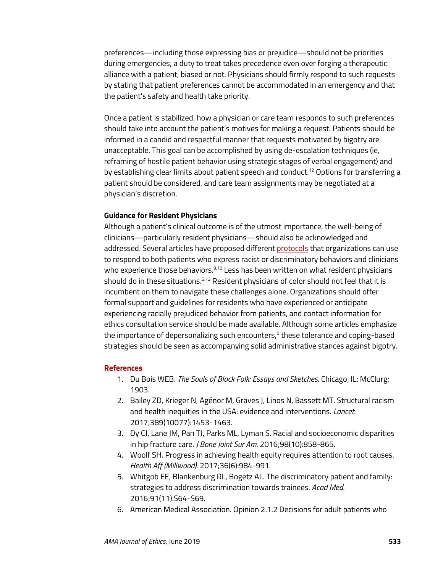preferences—including those expressing bias or prejudice—should not be priorities during emergencies; a duty to treat takes precedence even over forging a therapeutic alliance with a patient, biased or not. Physicians should firmly respond to such requests by stating that patient preferences cannot be accommodated in an emergency and that the patient's safety and health take priority.

Once a patient is stabilized, how a physician or care team responds to such preferences should take into account the patient's motives for making a request. Patients should be informed in a candid and respectful manner that requests motivated by bigotry are unacceptable. This goal can be accomplished by using de-escalation techniques (ie, reframing of hostile patient behavior using strategic stages of verbal engagement) and by establishing clear limits about patient speech and conduct.<sup>12</sup> Options for transferring a patient should be considered, and care team assignments may be negotiated at a physician's discretion.

## **Guidance for Resident Physicians**

Although a patient's clinical outcome is of the utmost importance, the well-being of clinicians—particularly resident physicians—should also be acknowledged and addressed. Several articles have proposed different [protocols](https://journalofethics.ama-assn.org/article/how-should-organizations-support-trainees-face-patient-bias/2019-06) that organizations can use to respond to both patients who express racist or discriminatory behaviors and clinicians who experience those behaviors.<sup>9,10</sup> Less has been written on what resident physicians should do in these situations.<sup>5,13</sup> Resident physicians of color should not feel that it is incumbent on them to navigate these challenges alone. Organizations should offer formal support and guidelines for residents who have experienced or anticipate experiencing racially prejudiced behavior from patients, and contact information for ethics consultation service should be made available. Although some articles emphasize the importance of depersonalizing such encounters,<sup>5</sup> these tolerance and coping-based strategies should be seen as accompanying solid administrative stances against bigotry.

## **References**

- 1. Du Bois WEB. *The Souls of Black Folk: Essays and Sketches*. Chicago, IL: McClurg; 1903.
- 2. Bailey ZD, Krieger N, Agénor M, Graves J, Linos N, Bassett MT. Structural racism and health inequities in the USA: evidence and interventions. *Lancet*. 2017;389(10077):1453-1463.
- 3. Dy CJ, Lane JM, Pan TJ, Parks ML, Lyman S. Racial and socioeconomic disparities in hip fracture care. *J Bone Joint Sur Am*. 2016;98(10):858-865.
- 4. Woolf SH. Progress in achieving health equity requires attention to root causes. *Health Aff (Millwood)*. 2017;36(6):984-991.
- 5. Whitgob EE, Blankenburg RL, Bogetz AL. The discriminatory patient and family: strategies to address discrimination towards trainees. *Acad Med*. 2016;91(11):S64-S69.
- 6. American Medical Association. Opinion 2.1.2 Decisions for adult patients who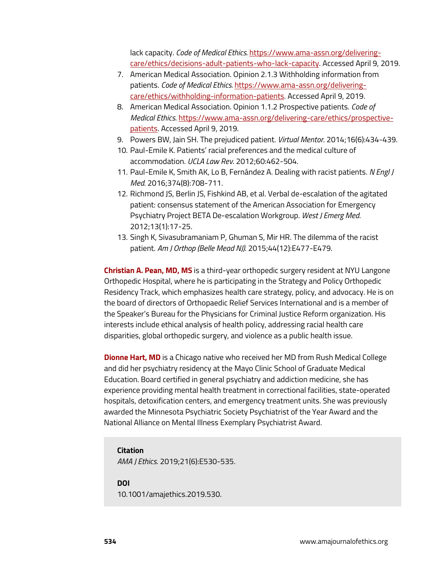lack capacity. *Code of Medical Ethics.* [https://www.ama-assn.org/delivering](https://www.ama-assn.org/delivering-care/ethics/decisions-adult-patients-who-lack-capacity)[care/ethics/decisions-adult-patients-who-lack-capacity.](https://www.ama-assn.org/delivering-care/ethics/decisions-adult-patients-who-lack-capacity) Accessed April 9, 2019.

- 7. American Medical Association. Opinion 2.1.3 Withholding information from patients. *Code of Medical Ethics.* [https://www.ama-assn.org/delivering](https://www.ama-assn.org/delivering-care/ethics/withholding-information-patients)[care/ethics/withholding-information-patients.](https://www.ama-assn.org/delivering-care/ethics/withholding-information-patients) Accessed April 9, 2019.
- 8. American Medical Association. Opinion 1.1.2 Prospective patients. *Code of Medical Ethics*. [https://www.ama-assn.org/delivering-care/ethics/prospective](https://www.ama-assn.org/delivering-care/ethics/prospective-patients)[patients.](https://www.ama-assn.org/delivering-care/ethics/prospective-patients) Accessed April 9, 2019.
- 9. Powers BW, Jain SH. The prejudiced patient. *Virtual Mentor*. 2014;16(6):434-439.
- 10. Paul-Emile K. Patients' racial preferences and the medical culture of accommodation. *UCLA Law Rev*. 2012;60:462-504.
- 11. Paul-Emile K, Smith AK, Lo B, Fernández A. Dealing with racist patients. *N Engl J Med*. 2016;374(8):708-711.
- 12. Richmond JS, Berlin JS, Fishkind AB, et al. Verbal de-escalation of the agitated patient: consensus statement of the American Association for Emergency Psychiatry Project BETA De-escalation Workgroup. *West J Emerg Med*. 2012;13(1):17-25.
- 13. Singh K, Sivasubramaniam P, Ghuman S, Mir HR. The dilemma of the racist patient. *Am J Orthop (Belle Mead NJ)*. 2015;44(12):E477-E479.

**Christian A. Pean, MD, MS** is a third-year orthopedic surgery resident at NYU Langone Orthopedic Hospital, where he is participating in the Strategy and Policy Orthopedic Residency Track, which emphasizes health care strategy, policy, and advocacy. He is on the board of directors of Orthopaedic Relief Services International and is a member of the Speaker's Bureau for the Physicians for Criminal Justice Reform organization. His interests include ethical analysis of health policy, addressing racial health care disparities, global orthopedic surgery, and violence as a public health issue.

**Dionne Hart, MD** is a Chicago native who received her MD from Rush Medical College and did her psychiatry residency at the Mayo Clinic School of Graduate Medical Education. Board certified in general psychiatry and addiction medicine, she has experience providing mental health treatment in correctional facilities, state-operated hospitals, detoxification centers, and emergency treatment units. She was previously awarded the Minnesota Psychiatric Society Psychiatrist of the Year Award and the National Alliance on Mental Illness Exemplary Psychiatrist Award.

### **Citation**

*AMA J Ethics*. 2019;21(6):E530-535.

## **DOI**

10.1001/amajethics.2019.530.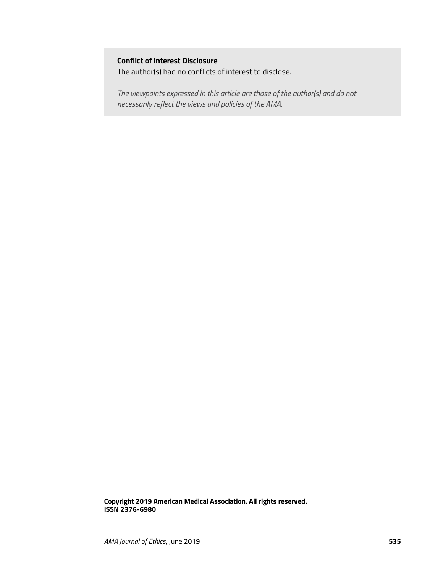## **Conflict of Interest Disclosure**

The author(s) had no conflicts of interest to disclose.

*The viewpoints expressed in this article are those of the author(s) and do not necessarily reflect the views and policies of the AMA.*

**Copyright 2019 American Medical Association. All rights reserved. ISSN 2376-6980**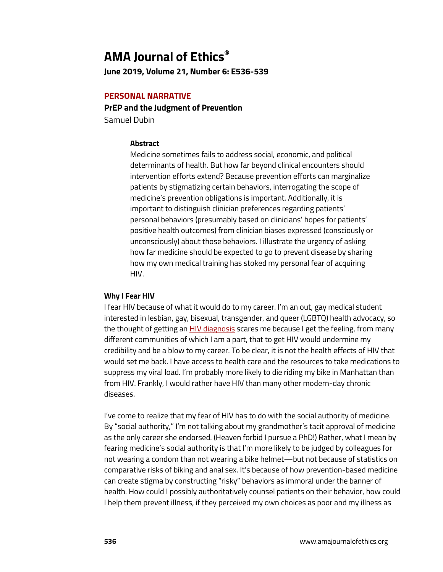## **AMA Journal of Ethics®**

**June 2019, Volume 21, Number 6: E536-539**

## **PERSONAL NARRATIVE**

**PrEP and the Judgment of Prevention** Samuel Dubin

**Abstract**

Medicine sometimes fails to address social, economic, and political determinants of health. But how far beyond clinical encounters should intervention efforts extend? Because prevention efforts can marginalize patients by stigmatizing certain behaviors, interrogating the scope of medicine's prevention obligations is important. Additionally, it is important to distinguish clinician preferences regarding patients' personal behaviors (presumably based on clinicians' hopes for patients' positive health outcomes) from clinician biases expressed (consciously or unconsciously) about those behaviors. I illustrate the urgency of asking how far medicine should be expected to go to prevent disease by sharing how my own medical training has stoked my personal fear of acquiring HIV.

## **Why I Fear HIV**

I fear HIV because of what it would do to my career. I'm an out, gay medical student interested in lesbian, gay, bisexual, transgender, and queer (LGBTQ) health advocacy, so the thought of getting an **HIV diagnosis** scares me because I get the feeling, from many different communities of which I am a part, that to get HIV would undermine my credibility and be a blow to my career. To be clear, it is not the health effects of HIV that would set me back. I have access to health care and the resources to take medications to suppress my viral load. I'm probably more likely to die riding my bike in Manhattan than from HIV. Frankly, I would rather have HIV than many other modern-day chronic diseases.

I've come to realize that my fear of HIV has to do with the social authority of medicine. By "social authority," I'm not talking about my grandmother's tacit approval of medicine as the only career she endorsed. (Heaven forbid I pursue a PhD!) Rather, what I mean by fearing medicine's social authority is that I'm more likely to be judged by colleagues for not wearing a condom than not wearing a bike helmet—but not because of statistics on comparative risks of biking and anal sex. It's because of how prevention-based medicine can create stigma by constructing "risky" behaviors as immoral under the banner of health. How could I possibly authoritatively counsel patients on their behavior, how could I help them prevent illness, if they perceived my own choices as poor and my illness as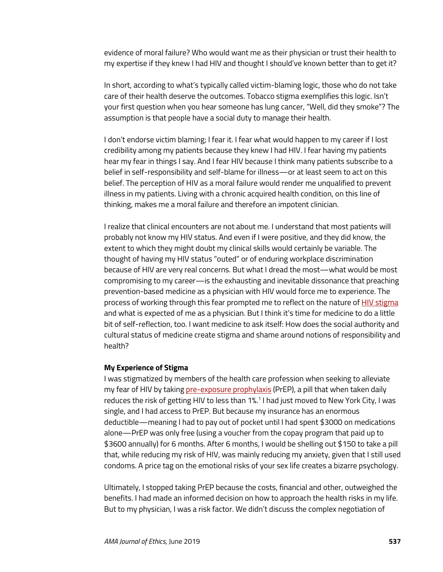evidence of moral failure? Who would want me as their physician or trust their health to my expertise if they knew I had HIV and thought I should've known better than to get it?

In short, according to what's typically called victim-blaming logic, those who do not take care of their health deserve the outcomes. Tobacco stigma exemplifies this logic. Isn't your first question when you hear someone has lung cancer, "Well, did they smoke"? The assumption is that people have a social duty to manage their health.

I don't endorse victim blaming; I fear it. I fear what would happen to my career if I lost credibility among my patients because they knew I had HIV. I fear having my patients hear my fear in things I say. And I fear HIV because I think many patients subscribe to a belief in self-responsibility and self-blame for illness—or at least seem to act on this belief. The perception of HIV as a moral failure would render me unqualified to prevent illness in my patients. Living with a chronic acquired health condition, on this line of thinking, makes me a moral failure and therefore an impotent clinician.

I realize that clinical encounters are not about me. I understand that most patients will probably not know my HIV status. And even if I were positive, and they did know, the extent to which they might doubt my clinical skills would certainly be variable. The thought of having my HIV status "outed" or of enduring workplace discrimination because of HIV are very real concerns. But what I dread the most—what would be most compromising to my career—is the exhausting and inevitable dissonance that preaching prevention-based medicine as a physician with HIV would force me to experience. The process of working through this fear prompted me to reflect on the nature of [HIV stigma](https://journalofethics.ama-assn.org/article/hiv-stigma-and-discrimination-persist-even-health-care/2009-12) and what is expected of me as a physician. But I think it's time for medicine to do a little bit of self-reflection, too. I want medicine to ask itself: How does the social authority and cultural status of medicine create stigma and shame around notions of responsibility and health?

### **My Experience of Stigma**

I was stigmatized by members of the health care profession when seeking to alleviate my fear of HIV by taking *pre-exposure prophylaxis* (PrEP), a pill that when taken daily reduces the risk of getting HIV to less than 1%.1 I had just moved to New York City, I was single, and I had access to PrEP. But because my insurance has an enormous deductible—meaning I had to pay out of pocket until I had spent \$3000 on medications alone—PrEP was only free (using a voucher from the copay program that paid up to \$3600 annually) for 6 months. After 6 months, I would be shelling out \$150 to take a pill that, while reducing my risk of HIV, was mainly reducing my anxiety, given that I still used condoms. A price tag on the emotional risks of your sex life creates a bizarre psychology.

Ultimately, I stopped taking PrEP because the costs, financial and other, outweighed the benefits. I had made an informed decision on how to approach the health risks in my life. But to my physician, I was a risk factor. We didn't discuss the complex negotiation of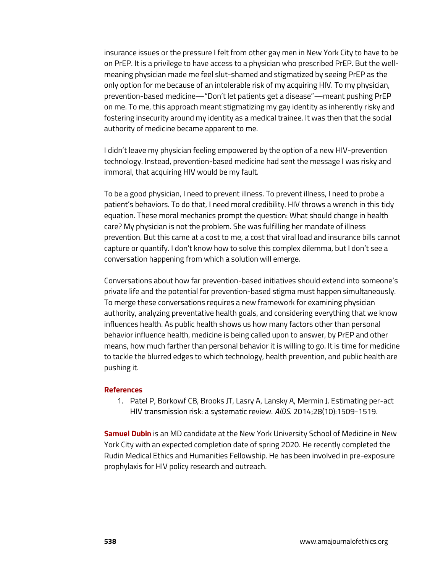insurance issues or the pressure I felt from other gay men in New York City to have to be on PrEP. It is a privilege to have access to a physician who prescribed PrEP. But the wellmeaning physician made me feel slut-shamed and stigmatized by seeing PrEP as the only option for me because of an intolerable risk of my acquiring HIV. To my physician, prevention-based medicine—"Don't let patients get a disease"—meant pushing PrEP on me. To me, this approach meant stigmatizing my gay identity as inherently risky and fostering insecurity around my identity as a medical trainee. It was then that the social authority of medicine became apparent to me.

I didn't leave my physician feeling empowered by the option of a new HIV-prevention technology. Instead, prevention-based medicine had sent the message I was risky and immoral, that acquiring HIV would be my fault.

To be a good physician, I need to prevent illness. To prevent illness, I need to probe a patient's behaviors. To do that, I need moral credibility. HIV throws a wrench in this tidy equation. These moral mechanics prompt the question: What should change in health care? My physician is not the problem. She was fulfilling her mandate of illness prevention. But this came at a cost to me, a cost that viral load and insurance bills cannot capture or quantify. I don't know how to solve this complex dilemma, but I don't see a conversation happening from which a solution will emerge.

Conversations about how far prevention-based initiatives should extend into someone's private life and the potential for prevention-based stigma must happen simultaneously. To merge these conversations requires a new framework for examining physician authority, analyzing preventative health goals, and considering everything that we know influences health. As public health shows us how many factors other than personal behavior influence health, medicine is being called upon to answer, by PrEP and other means, how much farther than personal behavior it is willing to go. It is time for medicine to tackle the blurred edges to which technology, health prevention, and public health are pushing it.

#### **References**

1. Patel P, Borkowf CB, Brooks JT, Lasry A, Lansky A, Mermin J. Estimating per-act HIV transmission risk: a systematic review. *AIDS*. 2014;28(10):1509-1519.

**Samuel Dubin** is an MD candidate at the New York University School of Medicine in New York City with an expected completion date of spring 2020. He recently completed the Rudin Medical Ethics and Humanities Fellowship. He has been involved in pre-exposure prophylaxis for HIV policy research and outreach.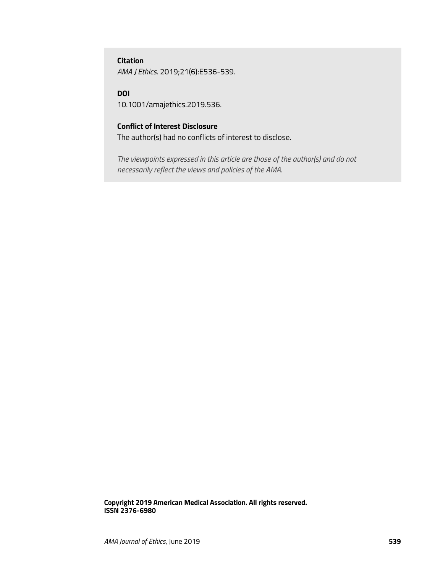## **Citation**

*AMA J Ethics*. 2019;21(6):E536-539.

## **DOI**

10.1001/amajethics.2019.536.

## **Conflict of Interest Disclosure**

The author(s) had no conflicts of interest to disclose.

*The viewpoints expressed in this article are those of the author(s) and do not necessarily reflect the views and policies of the AMA.*

**Copyright 2019 American Medical Association. All rights reserved. ISSN 2376-6980**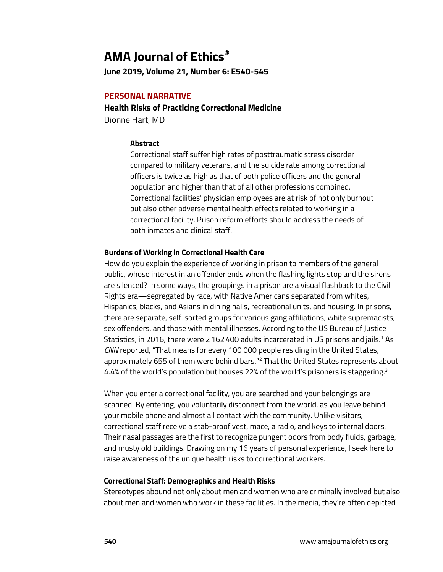## **AMA Journal of Ethics®**

**June 2019, Volume 21, Number 6: E540-545**

## **PERSONAL NARRATIVE**

**Health Risks of Practicing Correctional Medicine**

Dionne Hart, MD

## **Abstract**

Correctional staff suffer high rates of posttraumatic stress disorder compared to military veterans, and the suicide rate among correctional officers is twice as high as that of both police officers and the general population and higher than that of all other professions combined. Correctional facilities' physician employees are at risk of not only burnout but also other adverse mental health effects related to working in a correctional facility. Prison reform efforts should address the needs of both inmates and clinical staff.

## **Burdens of Working in Correctional Health Care**

How do you explain the experience of working in prison to members of the general public, whose interest in an offender ends when the flashing lights stop and the sirens are silenced? In some ways, the groupings in a prison are a visual flashback to the Civil Rights era—segregated by race, with Native Americans separated from whites, Hispanics, blacks, and Asians in dining halls, recreational units, and housing. In prisons, there are separate, self-sorted groups for various gang affiliations, white supremacists, sex offenders, and those with mental illnesses. According to the US Bureau of Justice Statistics, in 2016, there were 2 162 400 adults incarcerated in US prisons and jails.<sup>1</sup> As *CNN* reported, "That means for every 100 000 people residing in the United States, approximately 655 of them were behind bars."<sup>2</sup> That the United States represents about 4.4% of the world's population but houses 22% of the world's prisoners is staggering.<sup>3</sup>

When you enter a correctional facility, you are searched and your belongings are scanned. By entering, you voluntarily disconnect from the world, as you leave behind your mobile phone and almost all contact with the community. Unlike visitors, correctional staff receive a stab-proof vest, mace, a radio, and keys to internal doors. Their nasal passages are the first to recognize pungent odors from body fluids, garbage, and musty old buildings. Drawing on my 16 years of personal experience, I seek here to raise awareness of the unique health risks to correctional workers.

## **Correctional Staff: Demographics and Health Risks**

Stereotypes abound not only about men and women who are criminally involved but also about men and women who work in these facilities. In the media, they're often depicted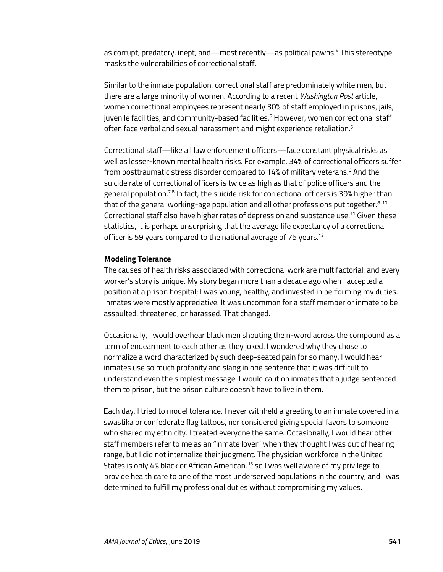as corrupt, predatory, inept, and—most recently—as political pawns.4 This stereotype masks the vulnerabilities of correctional staff.

Similar to the inmate population, correctional staff are predominately white men, but there are a large minority of women. According to a recent *Washington Post* article, women correctional employees represent nearly 30% of staff employed in prisons, jails, juvenile facilities, and community-based facilities.<sup>5</sup> However, women correctional staff often face verbal and sexual harassment and might experience retaliation.5

Correctional staff—like all law enforcement officers—face constant physical risks as well as lesser-known mental health risks. For example, 34% of correctional officers suffer from posttraumatic stress disorder compared to 14% of military veterans.<sup>6</sup> And the suicide rate of correctional officers is twice as high as that of police officers and the general population.<sup>7,8</sup> In fact, the suicide risk for correctional officers is 39% higher than that of the general working-age population and all other professions put together.<sup>8-10</sup> Correctional staff also have higher rates of depression and substance use.<sup>11</sup> Given these statistics, it is perhaps unsurprising that the average life expectancy of a correctional officer is 59 years compared to the national average of 75 years.<sup>12</sup>

## **Modeling Tolerance**

The causes of health risks associated with correctional work are multifactorial, and every worker's story is unique. My story began more than a decade ago when I accepted a position at a prison hospital; I was young, healthy, and invested in performing my duties. Inmates were mostly appreciative. It was uncommon for a staff member or inmate to be assaulted, threatened, or harassed. That changed.

Occasionally, I would overhear black men shouting the n-word across the compound as a term of endearment to each other as they joked. I wondered why they chose to normalize a word characterized by such deep-seated pain for so many. I would hear inmates use so much profanity and slang in one sentence that it was difficult to understand even the simplest message. I would caution inmates that a judge sentenced them to prison, but the prison culture doesn't have to live in them.

Each day, I tried to model tolerance. I never withheld a greeting to an inmate covered in a swastika or confederate flag tattoos, nor considered giving special favors to someone who shared my ethnicity. I treated everyone the same. Occasionally, I would hear other staff members refer to me as an "inmate lover" when they thought I was out of hearing range, but I did not internalize their judgment. The physician workforce in the United States is only 4% black or African American, <sup>13</sup> so I was well aware of my privilege to provide health care to one of the most underserved populations in the country, and I was determined to fulfill my professional duties without compromising my values.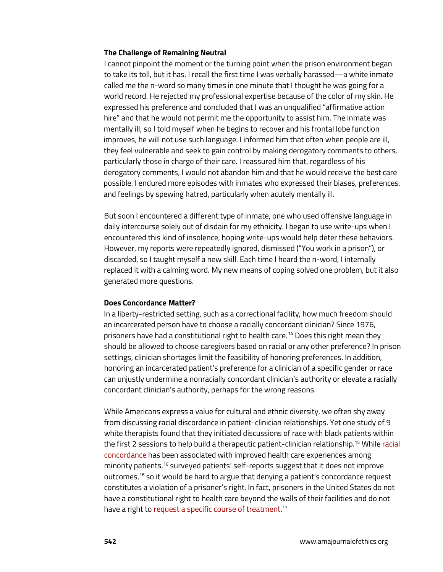#### **The Challenge of Remaining Neutral**

I cannot pinpoint the moment or the turning point when the prison environment began to take its toll, but it has. I recall the first time I was verbally harassed—a white inmate called me the n-word so many times in one minute that I thought he was going for a world record. He rejected my professional expertise because of the color of my skin. He expressed his preference and concluded that I was an unqualified "affirmative action hire" and that he would not permit me the opportunity to assist him. The inmate was mentally ill, so I told myself when he begins to recover and his frontal lobe function improves, he will not use such language. I informed him that often when people are ill, they feel vulnerable and seek to gain control by making derogatory comments to others, particularly those in charge of their care. I reassured him that, regardless of his derogatory comments, I would not abandon him and that he would receive the best care possible. I endured more episodes with inmates who expressed their biases, preferences, and feelings by spewing hatred, particularly when acutely mentally ill.

But soon I encountered a different type of inmate, one who used offensive language in daily intercourse solely out of disdain for my ethnicity. I began to use write-ups when I encountered this kind of insolence, hoping write-ups would help deter these behaviors. However, my reports were repeatedly ignored, dismissed ("You work in a prison"), or discarded, so I taught myself a new skill. Each time I heard the n-word, I internally replaced it with a calming word. My new means of coping solved one problem, but it also generated more questions.

### **Does Concordance Matter?**

In a liberty-restricted setting, such as a correctional facility, how much freedom should an incarcerated person have to choose a racially concordant clinician? Since 1976, prisoners have had a constitutional right to health care.<sup>14</sup> Does this right mean they should be allowed to choose caregivers based on racial or any other preference? In prison settings, clinician shortages limit the feasibility of honoring preferences. In addition, honoring an incarcerated patient's preference for a clinician of a specific gender or race can unjustly undermine a nonracially concordant clinician's authority or elevate a racially concordant clinician's authority, perhaps for the wrong reasons.

While Americans express a value for cultural and ethnic diversity, we often shy away from discussing racial discordance in patient-clinician relationships. Yet one study of 9 white therapists found that they initiated discussions of race with black patients within the first 2 sessions to help build a therapeutic patient-clinician relationship.<sup>15</sup> While [racial](https://journalofethics.ama-assn.org/article/prejudiced-patient/2014-06) [concordance](https://journalofethics.ama-assn.org/article/prejudiced-patient/2014-06) has been associated with improved health care experiences among minority patients,16 surveyed patients' self-reports suggest that it does not improve outcomes,<sup>16</sup> so it would be hard to argue that denying a patient's concordance request constitutes a violation of a prisoner's right. In fact, prisoners in the United States do not have a constitutional right to health care beyond the walls of their facilities and do not have a right to request a specific course of [treatment.](https://journalofethics.ama-assn.org/article/how-should-health-care-professional-respond-incarcerated-patients-request-particular-treatment/2017-09)<sup>17</sup>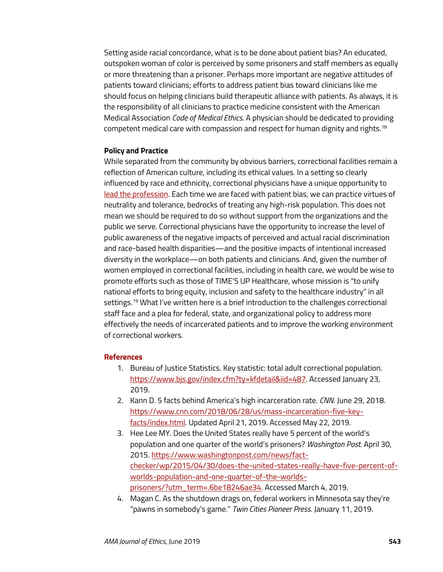Setting aside racial concordance, what is to be done about patient bias? An educated, outspoken woman of color is perceived by some prisoners and staff members as equally or more threatening than a prisoner. Perhaps more important are negative attitudes of patients toward clinicians; efforts to address patient bias toward clinicians like me should focus on helping clinicians build therapeutic alliance with patients. As always, it is the responsibility of all clinicians to practice medicine consistent with the American Medical Association *Code of Medical Ethics*. A physician should be dedicated to providing competent medical care with compassion and respect for human dignity and rights.18

### **Policy and Practice**

While separated from the community by obvious barriers, correctional facilities remain a reflection of American culture, including its ethical values. In a setting so clearly influenced by race and ethnicity, correctional physicians have a unique opportunity to lead the [profession.](https://journalofethics.ama-assn.org/article/medicine-and-mass-incarceration-education-and-advocacy-new-york-city-jail-system/2017-09) Each time we are faced with patient bias, we can practice virtues of neutrality and tolerance, bedrocks of treating any high-risk population. This does not mean we should be required to do so without support from the organizations and the public we serve. Correctional physicians have the opportunity to increase the level of public awareness of the negative impacts of perceived and actual racial discrimination and race-based health disparities—and the positive impacts of intentional increased diversity in the workplace—on both patients and clinicians. And, given the number of women employed in correctional facilities, including in health care, we would be wise to promote efforts such as those of TIME'S UP Healthcare, whose mission is "to unify national efforts to bring equity, inclusion and safety to the healthcare industry" in all settings.<sup>19</sup> What I've written here is a brief introduction to the challenges correctional staff face and a plea for federal, state, and organizational policy to address more effectively the needs of incarcerated patients and to improve the working environment of correctional workers.

## **References**

- 1. Bureau of Justice Statistics. Key statistic: total adult correctional population. [https://www.bjs.gov/index.cfm?ty=kfdetail&iid=487.](https://www.bjs.gov/index.cfm?ty=kfdetail&iid=487) Accessed January 23, 2019.
- 2. Kann D. 5 facts behind America's high incarceration rate. *CNN*. June 29, 2018. [https://www.cnn.com/2018/06/28/us/mass-incarceration-five-key](https://www.cnn.com/2018/06/28/us/mass-incarceration-five-key-facts/index.html)[facts/index.html.](https://www.cnn.com/2018/06/28/us/mass-incarceration-five-key-facts/index.html) Updated April 21, 2019. Accessed May 22, 2019.
- 3. Hee Lee MY. Does the United States really have 5 percent of the world's population and one quarter of the world's prisoners? *Washington Post*. April 30, 2015. [https://www.washingtonpost.com/news/fact](https://www.washingtonpost.com/news/fact-checker/wp/2015/04/30/does-the-united-states-really-have-five-percent-of-worlds-population-and-one-quarter-of-the-worlds-prisoners/?utm_term=.6be18246ae34)[checker/wp/2015/04/30/does-the-united-states-really-have-five-percent-of](https://www.washingtonpost.com/news/fact-checker/wp/2015/04/30/does-the-united-states-really-have-five-percent-of-worlds-population-and-one-quarter-of-the-worlds-prisoners/?utm_term=.6be18246ae34)[worlds-population-and-one-quarter-of-the-worlds](https://www.washingtonpost.com/news/fact-checker/wp/2015/04/30/does-the-united-states-really-have-five-percent-of-worlds-population-and-one-quarter-of-the-worlds-prisoners/?utm_term=.6be18246ae34)[prisoners/?utm\\_term=.6be18246ae34.](https://www.washingtonpost.com/news/fact-checker/wp/2015/04/30/does-the-united-states-really-have-five-percent-of-worlds-population-and-one-quarter-of-the-worlds-prisoners/?utm_term=.6be18246ae34) Accessed March 4, 2019.
- 4. Magan C. As the shutdown drags on, federal workers in Minnesota say they're "pawns in somebody's game." *Twin Cities Pioneer Press*. January 11, 2019.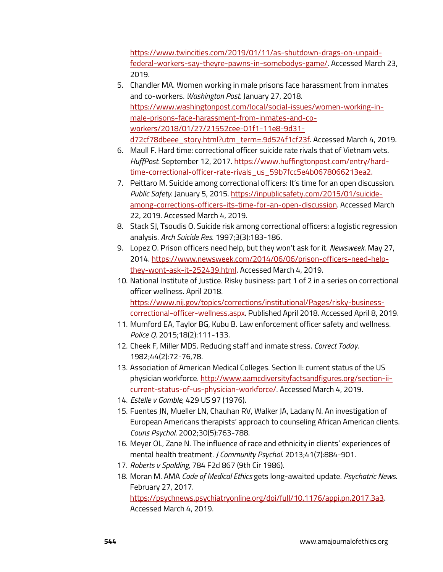[https://www.twincities.com/2019/01/11/as-shutdown-drags-on-unpaid](https://www.twincities.com/2019/01/11/as-shutdown-drags-on-unpaid-federal-workers-say-theyre-pawns-in-somebodys-game/)[federal-workers-say-theyre-pawns-in-somebodys-game/.](https://www.twincities.com/2019/01/11/as-shutdown-drags-on-unpaid-federal-workers-say-theyre-pawns-in-somebodys-game/) Accessed March 23, 2019.

- 5. Chandler MA. Women working in male prisons face harassment from inmates and co-workers. *Washington Post*. January 27, 2018. [https://www.washingtonpost.com/local/social-issues/women-working-in](https://www.washingtonpost.com/local/social-issues/women-working-in-male-prisons-face-harassment-from-inmates-and-co-workers/2018/01/27/21552cee-01f1-11e8-9d31-d72cf78dbeee_story.html?utm_term=.9d524f1cf23f)[male-prisons-face-harassment-from-inmates-and-co](https://www.washingtonpost.com/local/social-issues/women-working-in-male-prisons-face-harassment-from-inmates-and-co-workers/2018/01/27/21552cee-01f1-11e8-9d31-d72cf78dbeee_story.html?utm_term=.9d524f1cf23f)[workers/2018/01/27/21552cee-01f1-11e8-9d31](https://www.washingtonpost.com/local/social-issues/women-working-in-male-prisons-face-harassment-from-inmates-and-co-workers/2018/01/27/21552cee-01f1-11e8-9d31-d72cf78dbeee_story.html?utm_term=.9d524f1cf23f) [d72cf78dbeee\\_story.html?utm\\_term=.9d524f1cf23f.](https://www.washingtonpost.com/local/social-issues/women-working-in-male-prisons-face-harassment-from-inmates-and-co-workers/2018/01/27/21552cee-01f1-11e8-9d31-d72cf78dbeee_story.html?utm_term=.9d524f1cf23f) Accessed March 4, 2019.
- 6. Maull F. Hard time: correctional officer suicide rate rivals that of Vietnam vets. *HuffPost*. September 12, 2017. [https://www.huffingtonpost.com/entry/hard](https://www.huffingtonpost.com/entry/hard-time-correctional-officer-rate-rivals_us_59b7fcc5e4b0678066213ea2)[time-correctional-officer-rate-rivals\\_us\\_59b7fcc5e4b0678066213ea2.](https://www.huffingtonpost.com/entry/hard-time-correctional-officer-rate-rivals_us_59b7fcc5e4b0678066213ea2)
- 7. Peittaro M. Suicide among correctional officers: It's time for an open discussion. *Public Safety*. January 5, 2015. [https://inpublicsafety.com/2015/01/suicide](https://inpublicsafety.com/2015/01/suicide-among-corrections-officers-its-time-for-an-open-discussion)[among-corrections-officers-its-time-for-an-open-discussion.](https://inpublicsafety.com/2015/01/suicide-among-corrections-officers-its-time-for-an-open-discussion) Accessed March 22, 2019. Accessed March 4, 2019.
- 8. Stack SJ, Tsoudis O. Suicide risk among correctional officers: a logistic regression analysis. *Arch Suicide Res*. 1997;3(3):183-186.
- 9. Lopez O. Prison officers need help, but they won't ask for it. *Newsweek*. May 27, 2014. [https://www.newsweek.com/2014/06/06/prison-officers-need-help](https://www.newsweek.com/2014/06/06/prison-officers-need-help-they-wont-ask-it-252439.html)[they-wont-ask-it-252439.html.](https://www.newsweek.com/2014/06/06/prison-officers-need-help-they-wont-ask-it-252439.html) Accessed March 4, 2019.
- 10. National Institute of Justice. Risky business: part 1 of 2 in a series on correctional officer wellness. April 2018. [https://www.nij.gov/topics/corrections/institutional/Pages/risky-business](https://www.nij.gov/topics/corrections/institutional/Pages/risky-business-correctional-officer-wellness.aspx)[correctional-officer-wellness.aspx.](https://www.nij.gov/topics/corrections/institutional/Pages/risky-business-correctional-officer-wellness.aspx) Published April 2018. Accessed April 8, 2019.
- 11. Mumford EA, Taylor BG, Kubu B. Law enforcement officer safety and wellness. *Police Q*. 2015;18(2):111-133.
- 12. Cheek F, Miller MDS. Reducing staff and inmate stress. *Correct Today*. 1982;44(2):72-76,78.
- 13. Association of American Medical Colleges. Section II: current status of the US physician workforce. [http://www.aamcdiversityfactsandfigures.org/section-ii](http://www.aamcdiversityfactsandfigures.org/section-ii-current-status-of-us-physician-workforce/)[current-status-of-us-physician-workforce/.](http://www.aamcdiversityfactsandfigures.org/section-ii-current-status-of-us-physician-workforce/) Accessed March 4, 2019.
- 14. *Estelle v Gamble*, 429 US 97 (1976).
- 15. Fuentes JN, Mueller LN, Chauhan RV, Walker JA, Ladany N. An investigation of European Americans therapists' approach to counseling African American clients. *Couns Psychol*. 2002;30(5):763-788.
- 16. Meyer OL, Zane N. The influence of race and ethnicity in clients' experiences of mental health treatment. *J Community Psychol*. 2013;41(7):884-901.
- 17. *Roberts v Spalding*, 784 F2d 867 (9th Cir 1986).
- 18. Moran M. AMA *Code of Medical Ethics* gets long-awaited update. *Psychatric News*. February 27, 2017.

[https://psychnews.psychiatryonline.org/doi/full/10.1176/appi.pn.2017.3a3.](https://psychnews.psychiatryonline.org/doi/full/10.1176/appi.pn.2017.3a3) Accessed March 4, 2019.